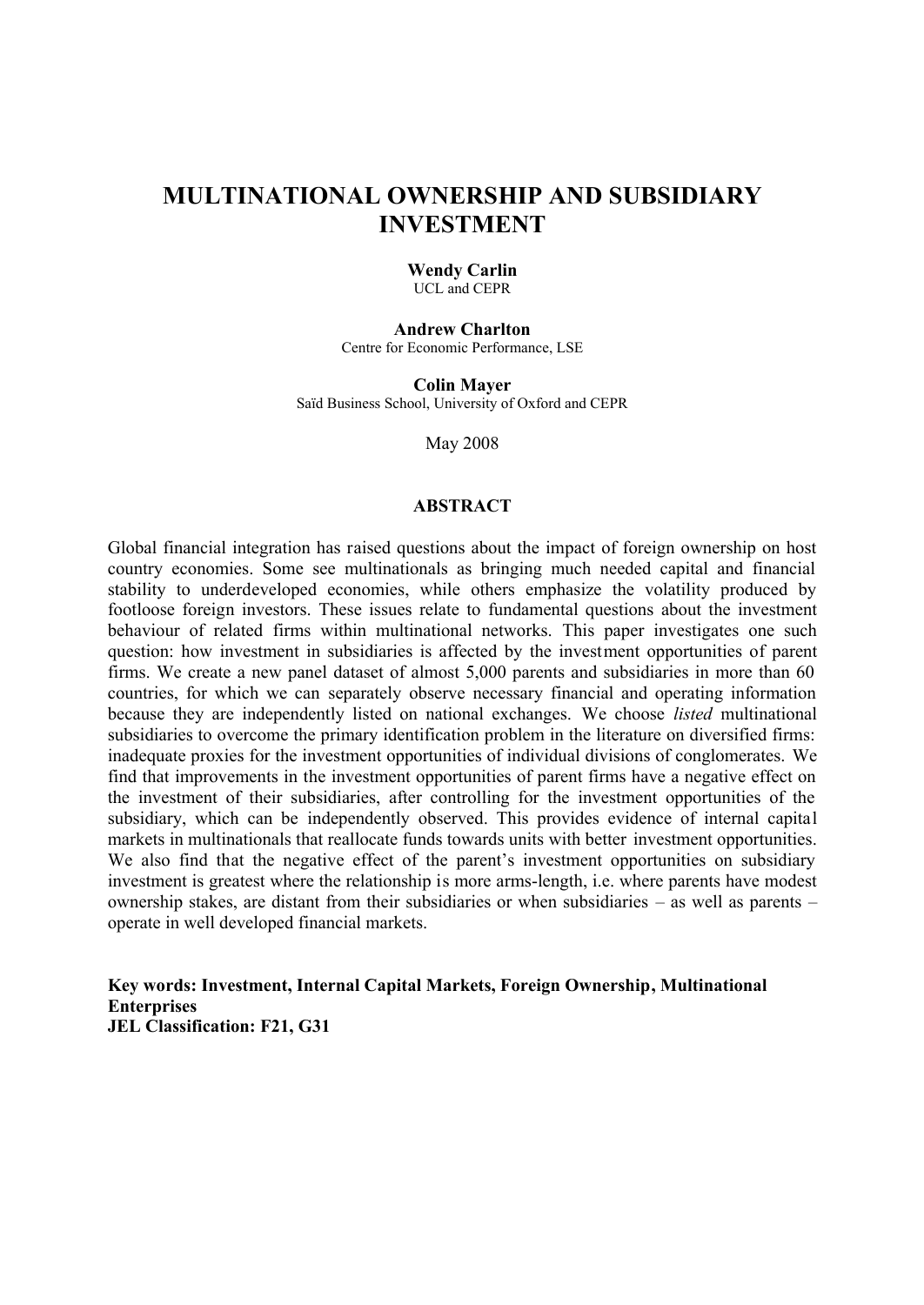# **MULTINATIONAL OWNERSHIP AND SUBSIDIARY INVESTMENT**

## **Wendy Carlin**

UCL and CEPR

**Andrew Charlton**  Centre for Economic Performance, LSE

**Colin Mayer**  Saïd Business School, University of Oxford and CEPR

May 2008

#### **ABSTRACT**

Global financial integration has raised questions about the impact of foreign ownership on host country economies. Some see multinationals as bringing much needed capital and financial stability to underdeveloped economies, while others emphasize the volatility produced by footloose foreign investors. These issues relate to fundamental questions about the investment behaviour of related firms within multinational networks. This paper investigates one such question: how investment in subsidiaries is affected by the investment opportunities of parent firms. We create a new panel dataset of almost 5,000 parents and subsidiaries in more than 60 countries, for which we can separately observe necessary financial and operating information because they are independently listed on national exchanges. We choose *listed* multinational subsidiaries to overcome the primary identification problem in the literature on diversified firms: inadequate proxies for the investment opportunities of individual divisions of conglomerates. We find that improvements in the investment opportunities of parent firms have a negative effect on the investment of their subsidiaries, after controlling for the investment opportunities of the subsidiary, which can be independently observed. This provides evidence of internal capital markets in multinationals that reallocate funds towards units with better investment opportunities. We also find that the negative effect of the parent's investment opportunities on subsidiary investment is greatest where the relationship is more arms-length, i.e. where parents have modest ownership stakes, are distant from their subsidiaries or when subsidiaries – as well as parents – operate in well developed financial markets.

**Key words: Investment, Internal Capital Markets, Foreign Ownership, Multinational Enterprises JEL Classification: F21, G31**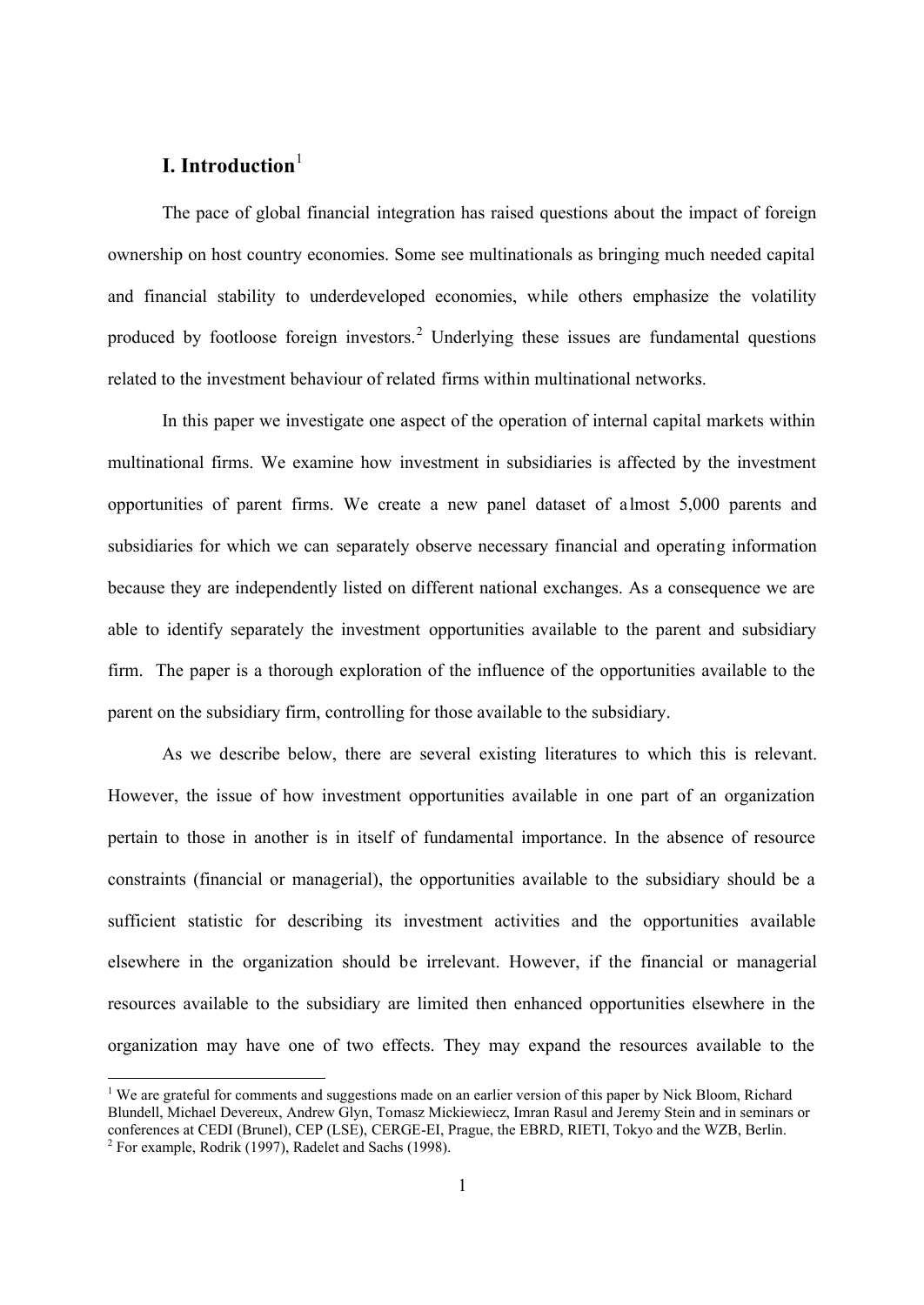## **I. Introduction**<sup>1</sup>

 $\overline{a}$ 

The pace of global financial integration has raised questions about the impact of foreign ownership on host country economies. Some see multinationals as bringing much needed capital and financial stability to underdeveloped economies, while others emphasize the volatility produced by footloose foreign investors.<sup>2</sup> Underlying these issues are fundamental questions related to the investment behaviour of related firms within multinational networks.

In this paper we investigate one aspect of the operation of internal capital markets within multinational firms. We examine how investment in subsidiaries is affected by the investment opportunities of parent firms. We create a new panel dataset of almost 5,000 parents and subsidiaries for which we can separately observe necessary financial and operating information because they are independently listed on different national exchanges. As a consequence we are able to identify separately the investment opportunities available to the parent and subsidiary firm. The paper is a thorough exploration of the influence of the opportunities available to the parent on the subsidiary firm, controlling for those available to the subsidiary.

As we describe below, there are several existing literatures to which this is relevant. However, the issue of how investment opportunities available in one part of an organization pertain to those in another is in itself of fundamental importance. In the absence of resource constraints (financial or managerial), the opportunities available to the subsidiary should be a sufficient statistic for describing its investment activities and the opportunities available elsewhere in the organization should be irrelevant. However, if the financial or managerial resources available to the subsidiary are limited then enhanced opportunities elsewhere in the organization may have one of two effects. They may expand the resources available to the

<sup>&</sup>lt;sup>1</sup> We are grateful for comments and suggestions made on an earlier version of this paper by Nick Bloom, Richard Blundell, Michael Devereux, Andrew Glyn, Tomasz Mickiewiecz, Imran Rasul and Jeremy Stein and in seminars or conferences at CEDI (Brunel), CEP (LSE), CERGE-EI, Prague, the EBRD, RIETI, Tokyo and the WZB, Berlin.  $2^2$  For example, Rodrik (1997), Radelet and Sachs (1998).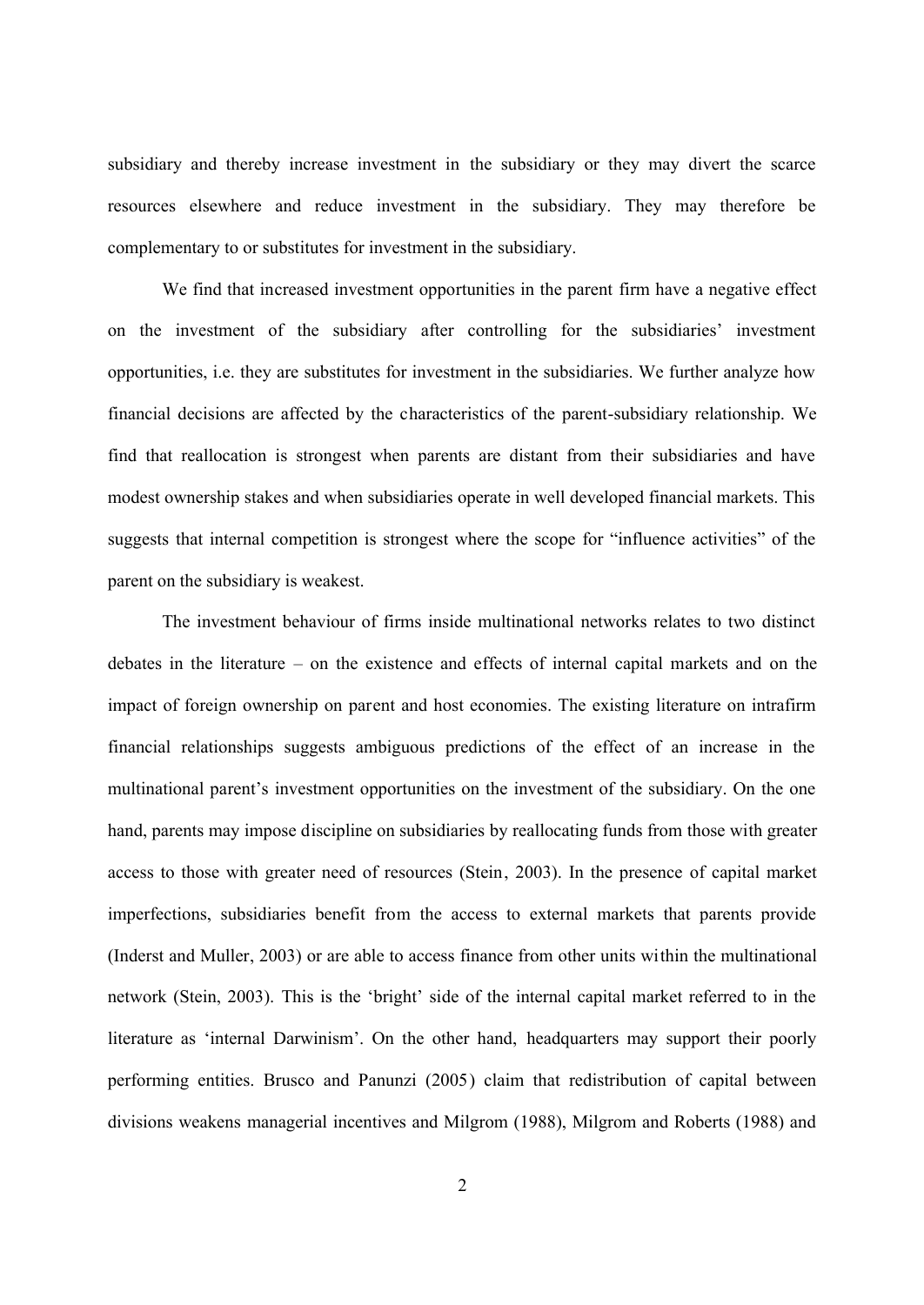subsidiary and thereby increase investment in the subsidiary or they may divert the scarce resources elsewhere and reduce investment in the subsidiary. They may therefore be complementary to or substitutes for investment in the subsidiary.

We find that increased investment opportunities in the parent firm have a negative effect on the investment of the subsidiary after controlling for the subsidiaries' investment opportunities, i.e. they are substitutes for investment in the subsidiaries. We further analyze how financial decisions are affected by the characteristics of the parent-subsidiary relationship. We find that reallocation is strongest when parents are distant from their subsidiaries and have modest ownership stakes and when subsidiaries operate in well developed financial markets. This suggests that internal competition is strongest where the scope for "influence activities" of the parent on the subsidiary is weakest.

The investment behaviour of firms inside multinational networks relates to two distinct debates in the literature – on the existence and effects of internal capital markets and on the impact of foreign ownership on parent and host economies. The existing literature on intrafirm financial relationships suggests ambiguous predictions of the effect of an increase in the multinational parent's investment opportunities on the investment of the subsidiary. On the one hand, parents may impose discipline on subsidiaries by reallocating funds from those with greater access to those with greater need of resources (Stein, 2003). In the presence of capital market imperfections, subsidiaries benefit from the access to external markets that parents provide (Inderst and Muller, 2003) or are able to access finance from other units within the multinational network (Stein, 2003). This is the 'bright' side of the internal capital market referred to in the literature as 'internal Darwinism'. On the other hand, headquarters may support their poorly performing entities. Brusco and Panunzi (2005) claim that redistribution of capital between divisions weakens managerial incentives and Milgrom (1988), Milgrom and Roberts (1988) and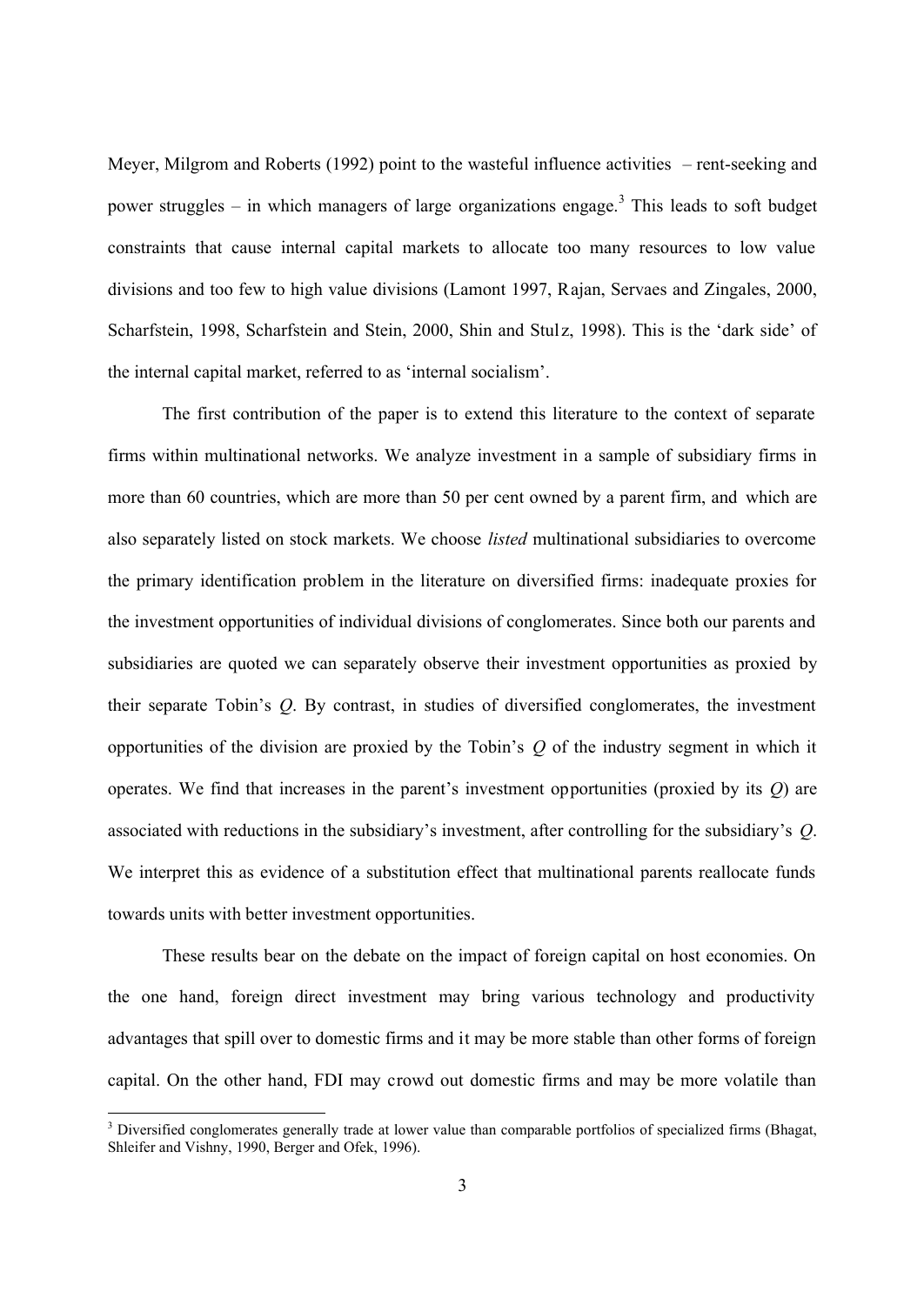Meyer, Milgrom and Roberts (1992) point to the wasteful influence activities – rent-seeking and power struggles – in which managers of large organizations engage.<sup>3</sup> This leads to soft budget constraints that cause internal capital markets to allocate too many resources to low value divisions and too few to high value divisions (Lamont 1997, Rajan, Servaes and Zingales, 2000, Scharfstein, 1998, Scharfstein and Stein, 2000, Shin and Stulz, 1998). This is the 'dark side' of the internal capital market, referred to as 'internal socialism'.

The first contribution of the paper is to extend this literature to the context of separate firms within multinational networks. We analyze investment in a sample of subsidiary firms in more than 60 countries, which are more than 50 per cent owned by a parent firm, and which are also separately listed on stock markets. We choose *listed* multinational subsidiaries to overcome the primary identification problem in the literature on diversified firms: inadequate proxies for the investment opportunities of individual divisions of conglomerates. Since both our parents and subsidiaries are quoted we can separately observe their investment opportunities as proxied by their separate Tobin's *Q*. By contrast, in studies of diversified conglomerates, the investment opportunities of the division are proxied by the Tobin's *Q* of the industry segment in which it operates. We find that increases in the parent's investment opportunities (proxied by its *Q*) are associated with reductions in the subsidiary's investment, after controlling for the subsidiary's *Q*. We interpret this as evidence of a substitution effect that multinational parents reallocate funds towards units with better investment opportunities.

These results bear on the debate on the impact of foreign capital on host economies. On the one hand, foreign direct investment may bring various technology and productivity advantages that spill over to domestic firms and it may be more stable than other forms of foreign capital. On the other hand, FDI may crowd out domestic firms and may be more volatile than

<sup>&</sup>lt;sup>3</sup> Diversified conglomerates generally trade at lower value than comparable portfolios of specialized firms (Bhagat, Shleifer and Vishny, 1990, Berger and Ofek, 1996).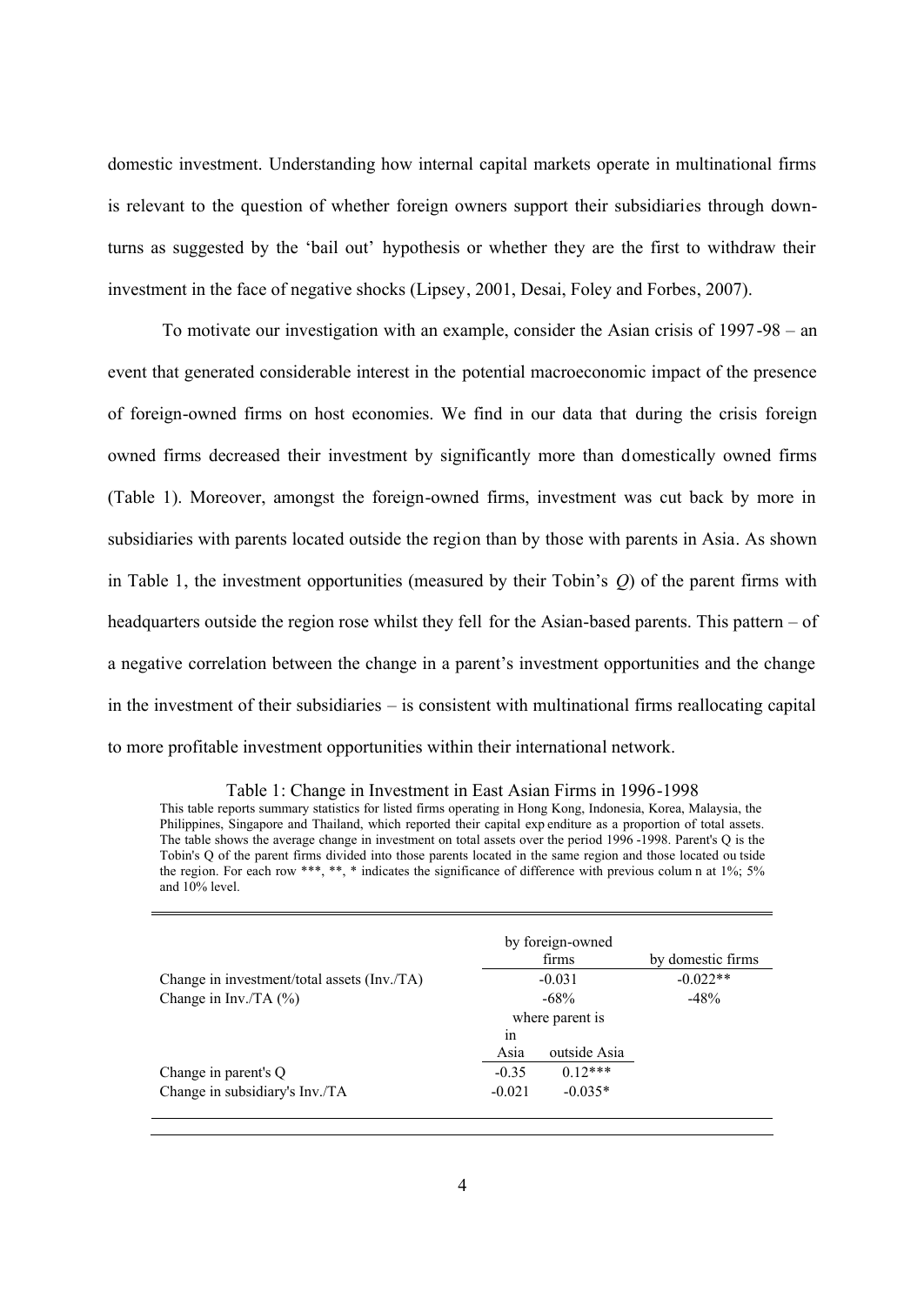domestic investment. Understanding how internal capital markets operate in multinational firms is relevant to the question of whether foreign owners support their subsidiaries through downturns as suggested by the 'bail out' hypothesis or whether they are the first to withdraw their investment in the face of negative shocks (Lipsey, 2001, Desai, Foley and Forbes, 2007).

To motivate our investigation with an example, consider the Asian crisis of 1997-98 – an event that generated considerable interest in the potential macroeconomic impact of the presence of foreign-owned firms on host economies. We find in our data that during the crisis foreign owned firms decreased their investment by significantly more than domestically owned firms (Table 1). Moreover, amongst the foreign-owned firms, investment was cut back by more in subsidiaries with parents located outside the region than by those with parents in Asia. As shown in Table 1, the investment opportunities (measured by their Tobin's *Q*) of the parent firms with headquarters outside the region rose whilst they fell for the Asian-based parents. This pattern – of a negative correlation between the change in a parent's investment opportunities and the change in the investment of their subsidiaries – is consistent with multinational firms reallocating capital to more profitable investment opportunities within their international network.

#### Table 1: Change in Investment in East Asian Firms in 1996-1998 This table reports summary statistics for listed firms operating in Hong Kong, Indonesia, Korea, Malaysia, the

Philippines, Singapore and Thailand, which reported their capital exp enditure as a proportion of total assets. The table shows the average change in investment on total assets over the period 1996 -1998. Parent's Q is the Tobin's Q of the parent firms divided into those parents located in the same region and those located ou tside the region. For each row \*\*\*, \*\*, \* indicates the significance of difference with previous colum n at 1%; 5% and 10% level.

|                                             |          | by foreign-owned<br>firms | by domestic firms |
|---------------------------------------------|----------|---------------------------|-------------------|
| Change in investment/total assets (Inv./TA) |          | $-0.031$                  | $-0.022**$        |
| Change in Inv./TA $(\% )$                   |          | $-68\%$                   | $-48%$            |
|                                             |          | where parent is           |                   |
|                                             | in       |                           |                   |
|                                             | Asia     | outside Asia              |                   |
| Change in parent's Q                        | $-0.35$  | $0.12***$                 |                   |
| Change in subsidiary's Inv./TA              | $-0.021$ | $-0.035*$                 |                   |
|                                             |          |                           |                   |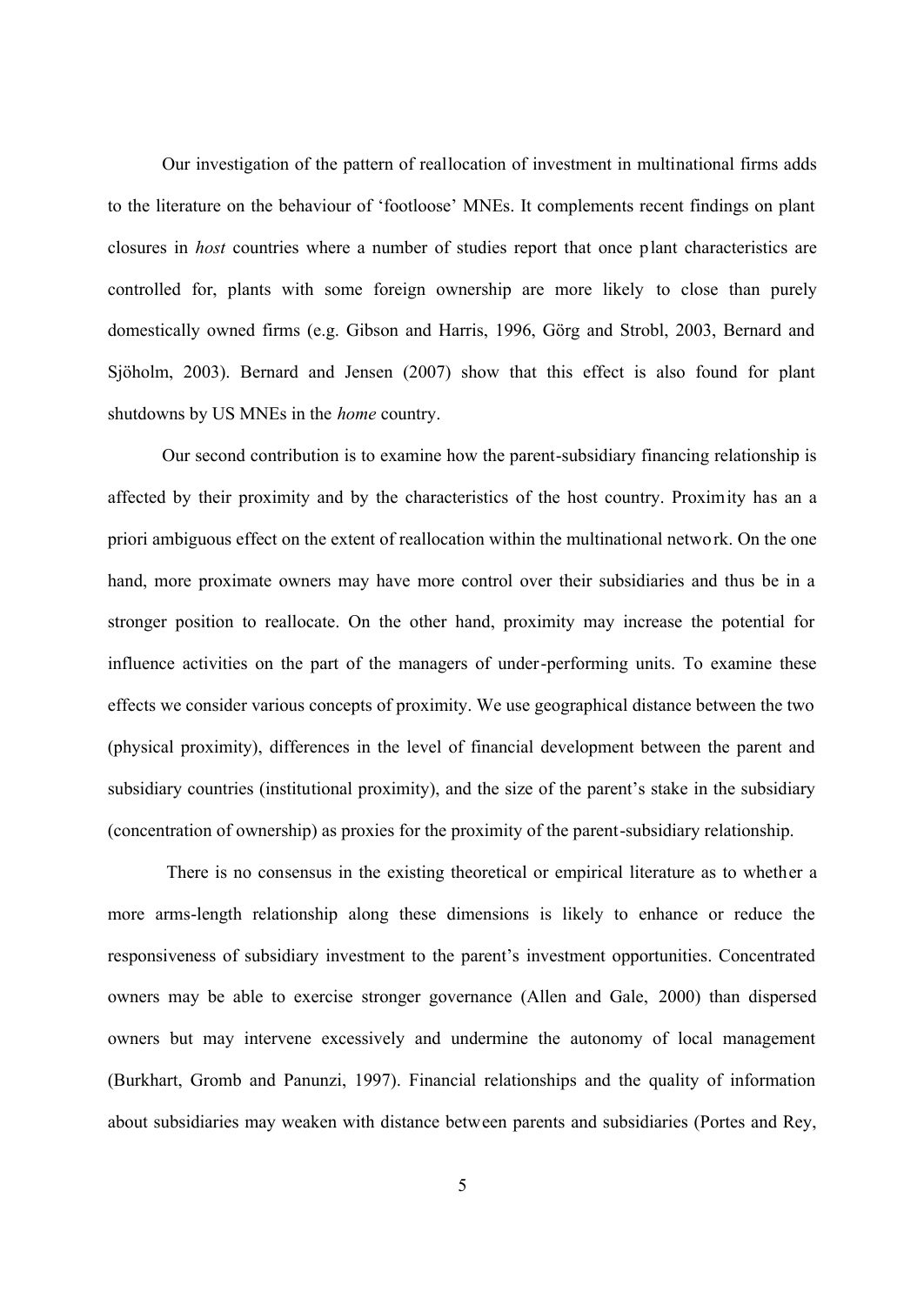Our investigation of the pattern of reallocation of investment in multinational firms adds to the literature on the behaviour of 'footloose' MNEs. It complements recent findings on plant closures in *host* countries where a number of studies report that once plant characteristics are controlled for, plants with some foreign ownership are more likely to close than purely domestically owned firms (e.g. Gibson and Harris, 1996, Görg and Strobl, 2003, Bernard and Sjöholm, 2003). Bernard and Jensen (2007) show that this effect is also found for plant shutdowns by US MNEs in the *home* country.

Our second contribution is to examine how the parent-subsidiary financing relationship is affected by their proximity and by the characteristics of the host country. Proximity has an a priori ambiguous effect on the extent of reallocation within the multinational network. On the one hand, more proximate owners may have more control over their subsidiaries and thus be in a stronger position to reallocate. On the other hand, proximity may increase the potential for influence activities on the part of the managers of under-performing units. To examine these effects we consider various concepts of proximity. We use geographical distance between the two (physical proximity), differences in the level of financial development between the parent and subsidiary countries (institutional proximity), and the size of the parent's stake in the subsidiary (concentration of ownership) as proxies for the proximity of the parent-subsidiary relationship.

There is no consensus in the existing theoretical or empirical literature as to whether a more arms-length relationship along these dimensions is likely to enhance or reduce the responsiveness of subsidiary investment to the parent's investment opportunities. Concentrated owners may be able to exercise stronger governance (Allen and Gale, 2000) than dispersed owners but may intervene excessively and undermine the autonomy of local management (Burkhart, Gromb and Panunzi, 1997). Financial relationships and the quality of information about subsidiaries may weaken with distance between parents and subsidiaries (Portes and Rey,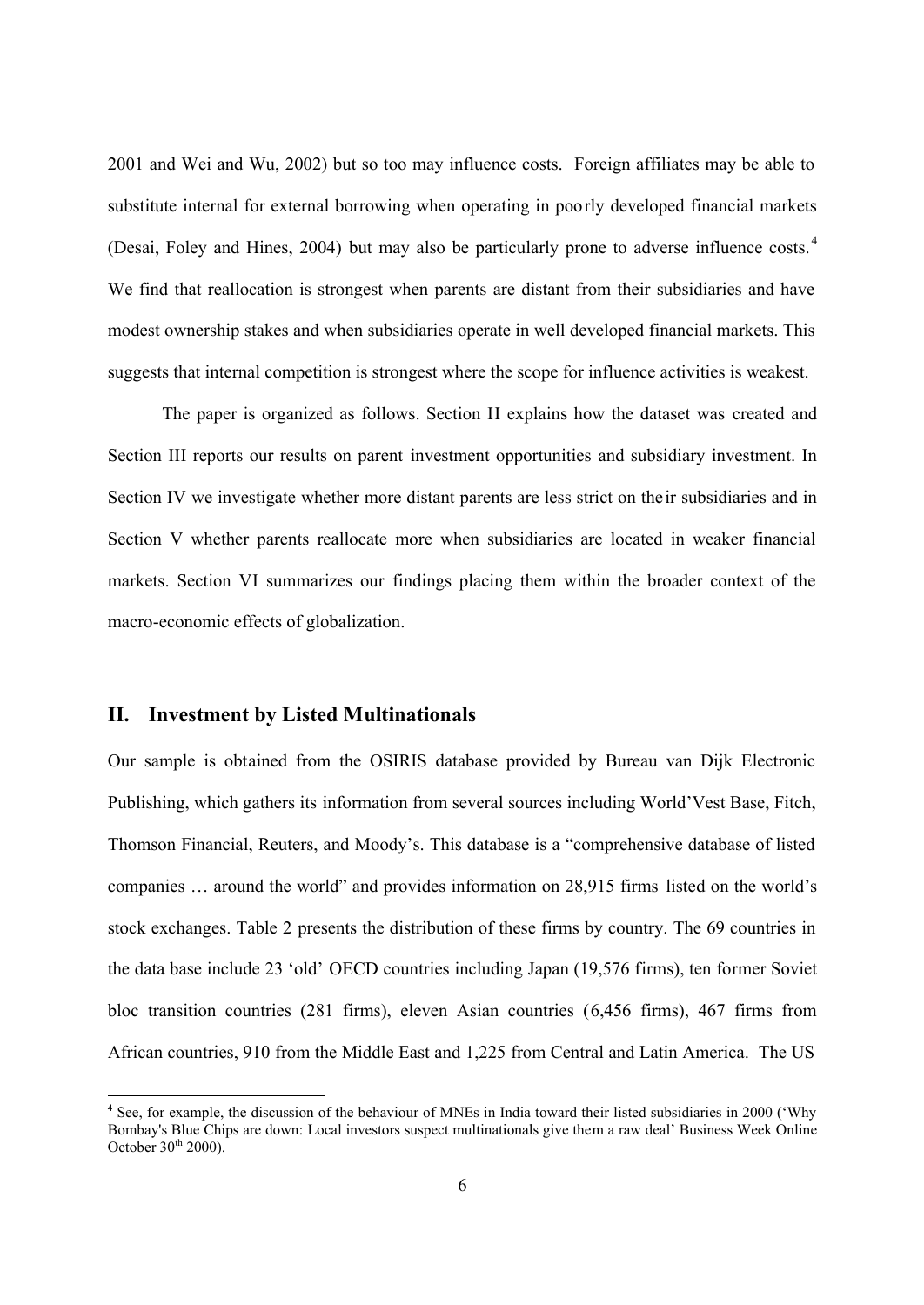2001 and Wei and Wu, 2002) but so too may influence costs. Foreign affiliates may be able to substitute internal for external borrowing when operating in poorly developed financial markets (Desai, Foley and Hines, 2004) but may also be particularly prone to adverse influence costs.<sup>4</sup> We find that reallocation is strongest when parents are distant from their subsidiaries and have modest ownership stakes and when subsidiaries operate in well developed financial markets. This suggests that internal competition is strongest where the scope for influence activities is weakest.

The paper is organized as follows. Section II explains how the dataset was created and Section III reports our results on parent investment opportunities and subsidiary investment. In Section IV we investigate whether more distant parents are less strict on their subsidiaries and in Section V whether parents reallocate more when subsidiaries are located in weaker financial markets. Section VI summarizes our findings placing them within the broader context of the macro-economic effects of globalization.

## **II. Investment by Listed Multinationals**

Our sample is obtained from the OSIRIS database provided by Bureau van Dijk Electronic Publishing, which gathers its information from several sources including World'Vest Base, Fitch, Thomson Financial, Reuters, and Moody's. This database is a "comprehensive database of listed companies … around the world" and provides information on 28,915 firms listed on the world's stock exchanges. Table 2 presents the distribution of these firms by country. The 69 countries in the data base include 23 'old' OECD countries including Japan (19,576 firms), ten former Soviet bloc transition countries (281 firms), eleven Asian countries (6,456 firms), 467 firms from African countries, 910 from the Middle East and 1,225 from Central and Latin America. The US

<sup>&</sup>lt;sup>4</sup> See, for example, the discussion of the behaviour of MNEs in India toward their listed subsidiaries in 2000 ('Why Bombay's Blue Chips are down: Local investors suspect multinationals give them a raw deal' Business Week Online October  $30<sup>th</sup> 2000$ .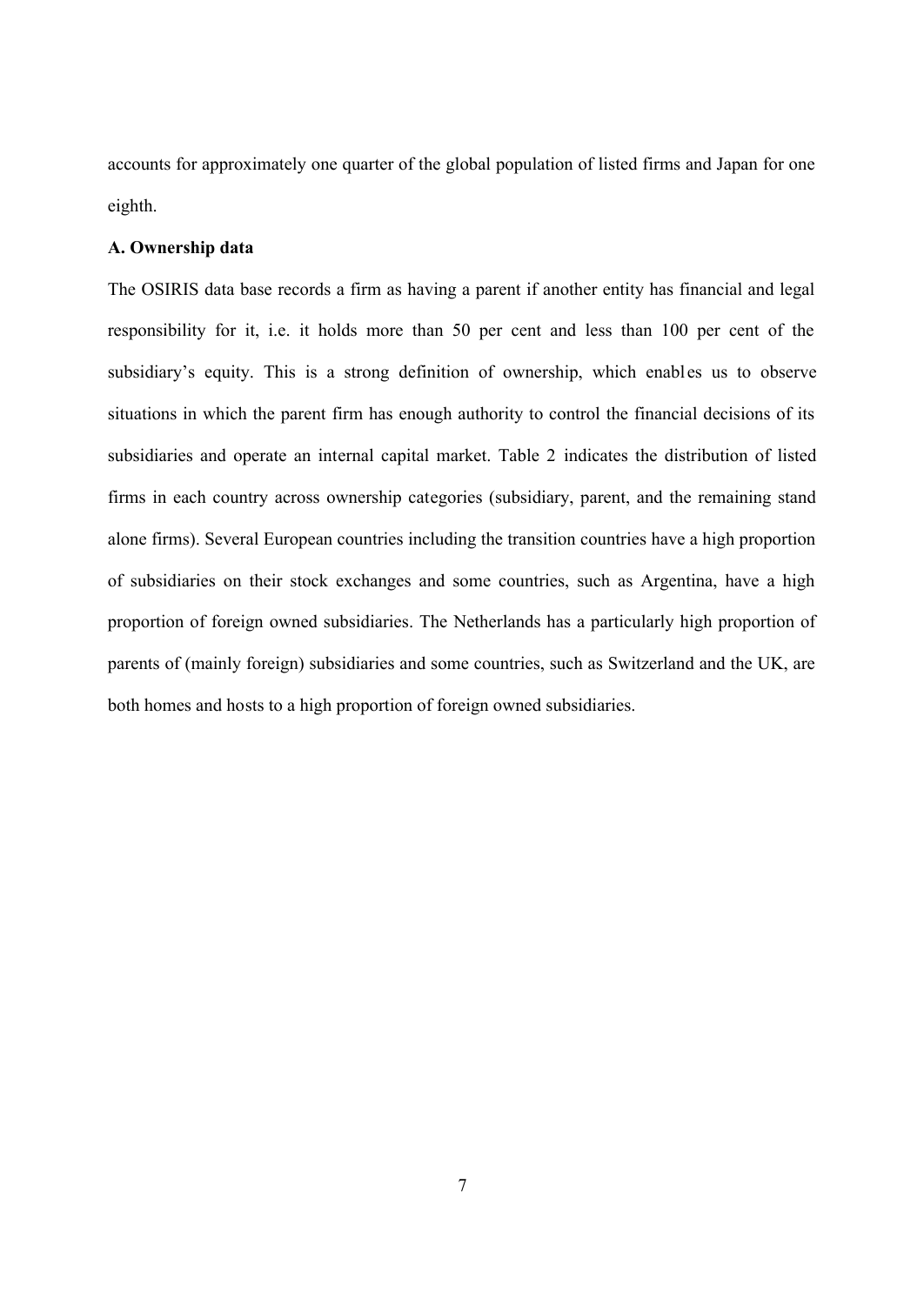accounts for approximately one quarter of the global population of listed firms and Japan for one eighth.

## **A. Ownership data**

The OSIRIS data base records a firm as having a parent if another entity has financial and legal responsibility for it, i.e. it holds more than 50 per cent and less than 100 per cent of the subsidiary's equity. This is a strong definition of ownership, which enables us to observe situations in which the parent firm has enough authority to control the financial decisions of its subsidiaries and operate an internal capital market. Table 2 indicates the distribution of listed firms in each country across ownership categories (subsidiary, parent, and the remaining stand alone firms). Several European countries including the transition countries have a high proportion of subsidiaries on their stock exchanges and some countries, such as Argentina, have a high proportion of foreign owned subsidiaries. The Netherlands has a particularly high proportion of parents of (mainly foreign) subsidiaries and some countries, such as Switzerland and the UK, are both homes and hosts to a high proportion of foreign owned subsidiaries.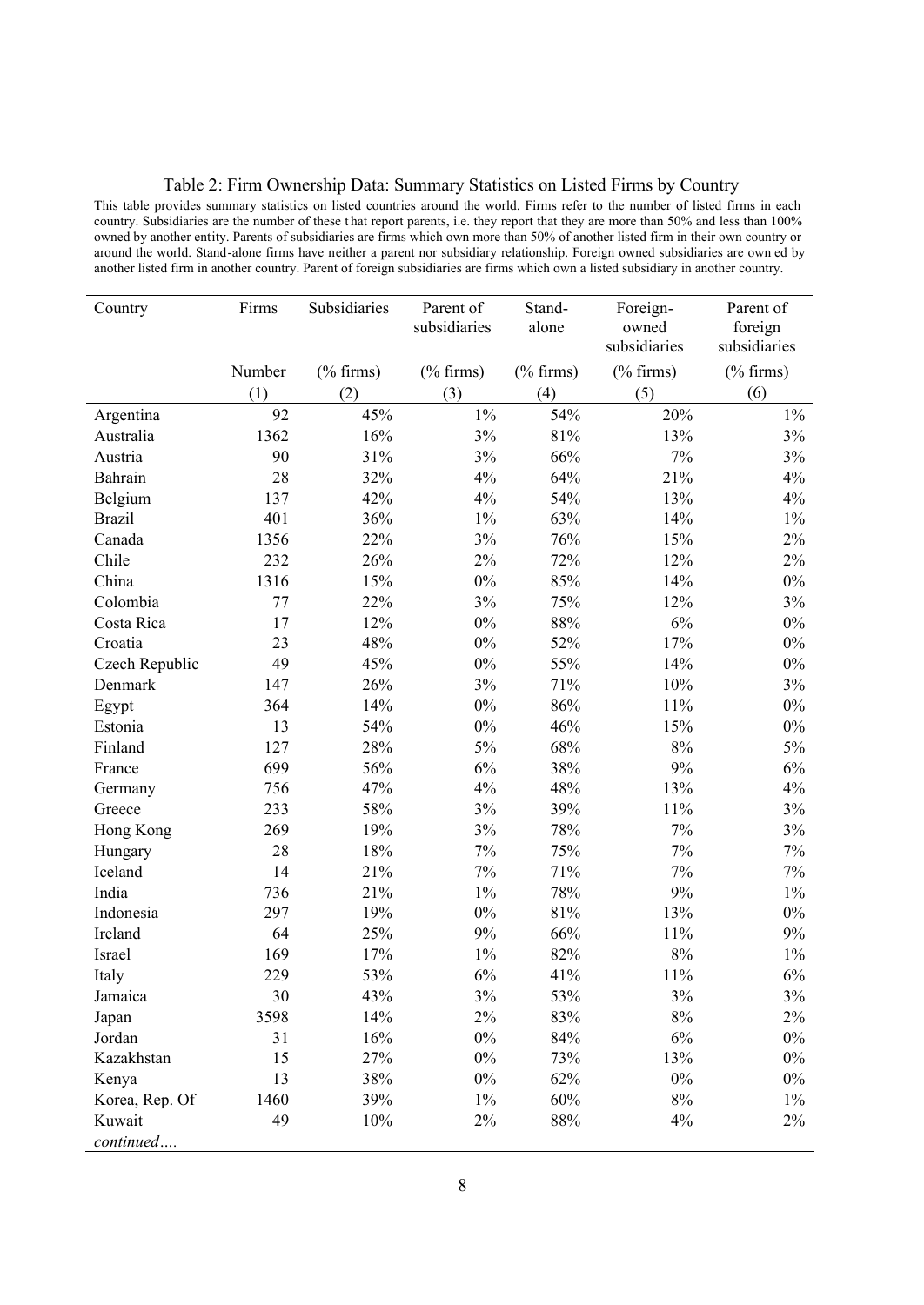Table 2: Firm Ownership Data: Summary Statistics on Listed Firms by Country

This table provides summary statistics on listed countries around the world. Firms refer to the number of listed firms in each country. Subsidiaries are the number of these that report parents, i.e. they report that they are more than 50% and less than 100% owned by another entity. Parents of subsidiaries are firms which own more than 50% of another listed firm in their own country or around the world. Stand-alone firms have neither a parent nor subsidiary relationship. Foreign owned subsidiaries are own ed by another listed firm in another country. Parent of foreign subsidiaries are firms which own a listed subsidiary in another country.

| Country        | Firms  | Subsidiaries | Parent of<br>subsidiaries | Stand-<br>alone | Foreign-<br>owned | Parent of<br>foreign |
|----------------|--------|--------------|---------------------------|-----------------|-------------------|----------------------|
|                |        |              |                           |                 | subsidiaries      | subsidiaries         |
|                | Number | $(\%$ firms) | $(\%$ firms)              | $(\%$ firms)    | $(\%$ firms)      | $(\%$ firms)         |
|                | (1)    | (2)          | (3)                       | (4)             | (5)               | (6)                  |
| Argentina      | 92     | 45%          | $1\%$                     | 54%             | 20%               | $1\%$                |
| Australia      | 1362   | 16%          | 3%                        | 81%             | 13%               | 3%                   |
| Austria        | 90     | 31%          | 3%                        | 66%             | 7%                | 3%                   |
| Bahrain        | 28     | 32%          | 4%                        | 64%             | 21%               | 4%                   |
| Belgium        | 137    | 42%          | 4%                        | 54%             | 13%               | 4%                   |
| <b>Brazil</b>  | 401    | 36%          | $1\%$                     | 63%             | 14%               | $1\%$                |
| Canada         | 1356   | 22%          | 3%                        | 76%             | 15%               | $2\%$                |
| Chile          | 232    | 26%          | $2\%$                     | 72%             | 12%               | $2\%$                |
| China          | 1316   | 15%          | $0\%$                     | 85%             | 14%               | $0\%$                |
| Colombia       | 77     | 22%          | 3%                        | 75%             | 12%               | 3%                   |
| Costa Rica     | 17     | 12%          | $0\%$                     | 88%             | 6%                | $0\%$                |
| Croatia        | 23     | 48%          | $0\%$                     | 52%             | 17%               | $0\%$                |
| Czech Republic | 49     | 45%          | $0\%$                     | 55%             | 14%               | $0\%$                |
| Denmark        | 147    | 26%          | 3%                        | 71%             | 10%               | 3%                   |
| Egypt          | 364    | 14%          | $0\%$                     | 86%             | 11%               | $0\%$                |
| Estonia        | 13     | 54%          | $0\%$                     | 46%             | 15%               | $0\%$                |
| Finland        | 127    | 28%          | 5%                        | 68%             | $8\%$             | $5\%$                |
| France         | 699    | 56%          | $6\%$                     | 38%             | 9%                | 6%                   |
| Germany        | 756    | 47%          | 4%                        | 48%             | 13%               | 4%                   |
| Greece         | 233    | 58%          | 3%                        | 39%             | $11\%$            | 3%                   |
| Hong Kong      | 269    | 19%          | 3%                        | 78%             | 7%                | 3%                   |
| Hungary        | 28     | 18%          | $7\%$                     | 75%             | 7%                | $7\%$                |
| Iceland        | 14     | 21%          | $7\%$                     | 71%             | 7%                | $7\%$                |
| India          | 736    | 21%          | $1\%$                     | 78%             | 9%                | $1\%$                |
| Indonesia      | 297    | 19%          | $0\%$                     | 81%             | 13%               | $0\%$                |
| Ireland        | 64     | 25%          | 9%                        | 66%             | $11\%$            | 9%                   |
| Israel         | 169    | 17%          | $1\%$                     | 82%             | $8\%$             | $1\%$                |
| Italy          | 229    | 53%          | 6%                        | 41%             | 11%               | 6%                   |
| Jamaica        | 30     | 43%          | 3%                        | 53%             | 3%                | 3%                   |
| Japan          | 3598   | 14%          | $2\%$                     | 83%             | $8\%$             | $2\%$                |
| Jordan         | 31     | 16%          | $0\%$                     | $84\%$          | $6\%$             | $0\%$                |
| Kazakhstan     | 15     | 27%          | $0\%$                     | 73%             | 13%               | $0\%$                |
| Kenya          | 13     | 38%          | $0\%$                     | 62%             | $0\%$             | $0\%$                |
| Korea, Rep. Of | 1460   | 39%          | $1\%$                     | 60%             | $8\%$             | $1\%$                |
| Kuwait         | 49     | 10%          | $2\%$                     | $88\%$          | 4%                | $2\%$                |
| continued      |        |              |                           |                 |                   |                      |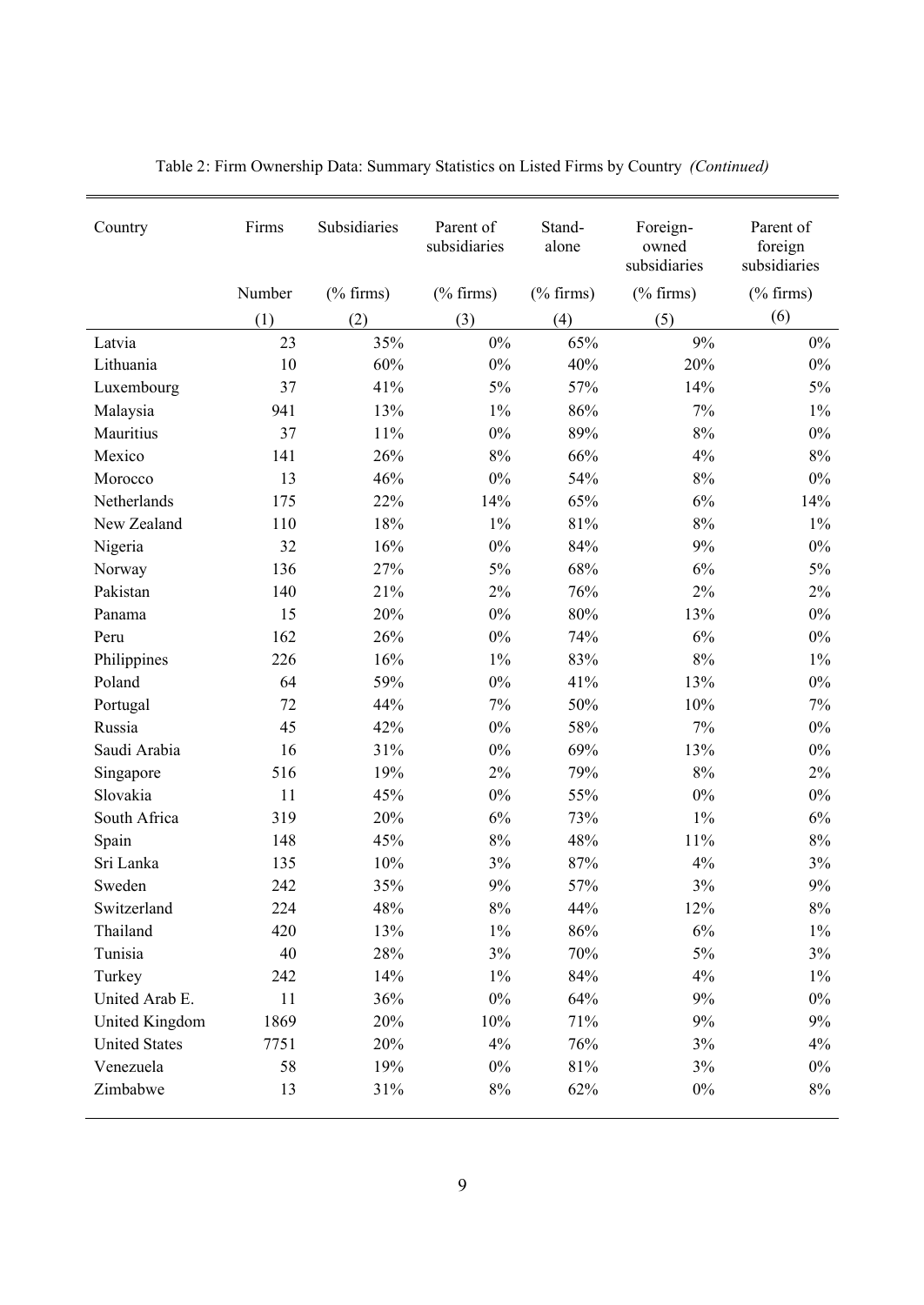| Country              | Firms  | Subsidiaries | Parent of<br>subsidiaries | Stand-<br>alone | Foreign-<br>owned<br>subsidiaries | Parent of<br>foreign<br>subsidiaries |
|----------------------|--------|--------------|---------------------------|-----------------|-----------------------------------|--------------------------------------|
|                      | Number | $(\%$ firms) | $(\%$ firms)              | $(\%$ firms)    | $(% \mathcal{L}_{0})$ firms)      | $(\%$ firms)                         |
|                      | (1)    | (2)          | (3)                       | (4)             | (5)                               | (6)                                  |
| Latvia               | 23     | 35%          | $0\%$                     | 65%             | 9%                                | $0\%$                                |
| Lithuania            | 10     | 60%          | $0\%$                     | 40%             | 20%                               | $0\%$                                |
| Luxembourg           | 37     | 41%          | 5%                        | 57%             | 14%                               | 5%                                   |
| Malaysia             | 941    | 13%          | $1\%$                     | 86%             | 7%                                | $1\%$                                |
| Mauritius            | 37     | 11%          | $0\%$                     | 89%             | 8%                                | $0\%$                                |
| Mexico               | 141    | 26%          | 8%                        | 66%             | 4%                                | $8\%$                                |
| Morocco              | 13     | 46%          | $0\%$                     | 54%             | $8\%$                             | $0\%$                                |
| Netherlands          | 175    | 22%          | 14%                       | 65%             | 6%                                | 14%                                  |
| New Zealand          | 110    | 18%          | $1\%$                     | 81%             | 8%                                | $1\%$                                |
| Nigeria              | 32     | 16%          | $0\%$                     | 84%             | 9%                                | $0\%$                                |
| Norway               | 136    | 27%          | 5%                        | 68%             | 6%                                | 5%                                   |
| Pakistan             | 140    | 21%          | 2%                        | 76%             | 2%                                | 2%                                   |
| Panama               | 15     | 20%          | $0\%$                     | 80%             | 13%                               | $0\%$                                |
| Peru                 | 162    | 26%          | $0\%$                     | 74%             | 6%                                | $0\%$                                |
| Philippines          | 226    | 16%          | $1\%$                     | 83%             | 8%                                | $1\%$                                |
| Poland               | 64     | 59%          | $0\%$                     | 41%             | 13%                               | $0\%$                                |
| Portugal             | 72     | 44%          | 7%                        | 50%             | 10%                               | 7%                                   |
| Russia               | 45     | 42%          | $0\%$                     | 58%             | 7%                                | $0\%$                                |
| Saudi Arabia         | 16     | 31%          | $0\%$                     | 69%             | 13%                               | $0\%$                                |
| Singapore            | 516    | 19%          | 2%                        | 79%             | $8\%$                             | 2%                                   |
| Slovakia             | 11     | 45%          | $0\%$                     | 55%             | $0\%$                             | $0\%$                                |
| South Africa         | 319    | 20%          | 6%                        | 73%             | $1\%$                             | 6%                                   |
| Spain                | 148    | 45%          | 8%                        | 48%             | 11%                               | $8\%$                                |
| Sri Lanka            | 135    | 10%          | 3%                        | 87%             | 4%                                | 3%                                   |
| Sweden               | 242    | 35%          | 9%                        | 57%             | 3%                                | 9%                                   |
| Switzerland          | 224    | 48%          | $8\%$                     | 44%             | 12%                               | $8\%$                                |
| Thailand             | 420    | 13%          | $1\%$                     | $86\%$          | $6\%$                             | $1\%$                                |
| Tunisia              | 40     | 28%          | 3%                        | 70%             | $5\%$                             | 3%                                   |
| Turkey               | 242    | 14%          | $1\%$                     | 84%             | $4\%$                             | $1\%$                                |
| United Arab E.       | 11     | 36%          | $0\%$                     | 64%             | $9\%$                             | $0\%$                                |
| United Kingdom       | 1869   | 20%          | 10%                       | 71%             | 9%                                | 9%                                   |
| <b>United States</b> | 7751   | 20%          | 4%                        | 76%             | $3\%$                             | 4%                                   |
| Venezuela            | 58     | 19%          | $0\%$                     | 81%             | 3%                                | $0\%$                                |
| Zimbabwe             | 13     | 31%          | $8\%$                     | 62%             | $0\%$                             | $8\%$                                |

Table 2: Firm Ownership Data: Summary Statistics on Listed Firms by Country *(Continued)*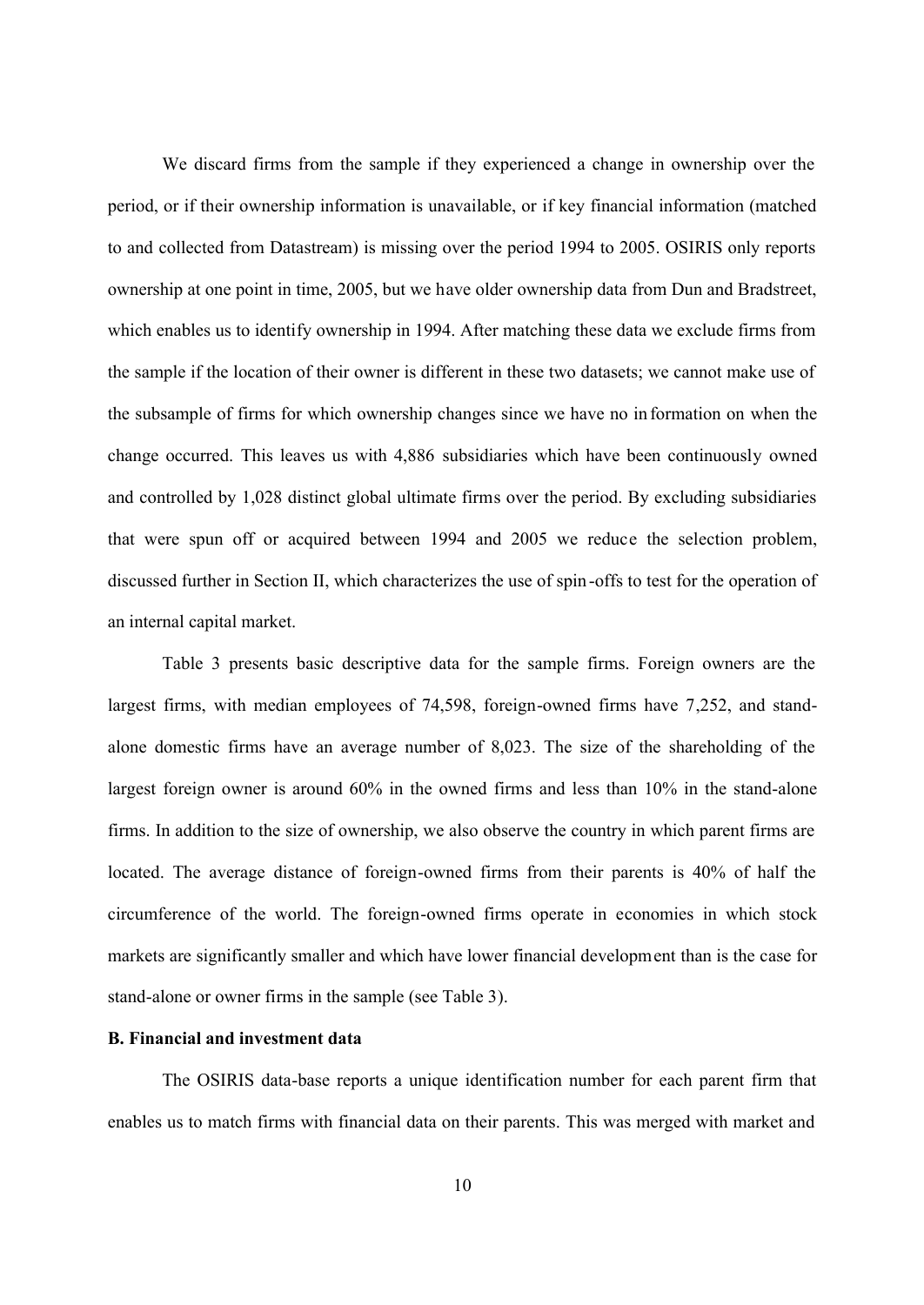We discard firms from the sample if they experienced a change in ownership over the period, or if their ownership information is unavailable, or if key financial information (matched to and collected from Datastream) is missing over the period 1994 to 2005. OSIRIS only reports ownership at one point in time, 2005, but we have older ownership data from Dun and Bradstreet, which enables us to identify ownership in 1994. After matching these data we exclude firms from the sample if the location of their owner is different in these two datasets; we cannot make use of the subsample of firms for which ownership changes since we have no in formation on when the change occurred. This leaves us with 4,886 subsidiaries which have been continuously owned and controlled by 1,028 distinct global ultimate firms over the period. By excluding subsidiaries that were spun off or acquired between 1994 and 2005 we reduce the selection problem, discussed further in Section II, which characterizes the use of spin -offs to test for the operation of an internal capital market.

Table 3 presents basic descriptive data for the sample firms. Foreign owners are the largest firms, with median employees of 74,598, foreign-owned firms have 7,252, and standalone domestic firms have an average number of 8,023. The size of the shareholding of the largest foreign owner is around 60% in the owned firms and less than 10% in the stand-alone firms. In addition to the size of ownership, we also observe the country in which parent firms are located. The average distance of foreign-owned firms from their parents is 40% of half the circumference of the world. The foreign-owned firms operate in economies in which stock markets are significantly smaller and which have lower financial development than is the case for stand-alone or owner firms in the sample (see Table 3).

## **B. Financial and investment data**

The OSIRIS data-base reports a unique identification number for each parent firm that enables us to match firms with financial data on their parents. This was merged with market and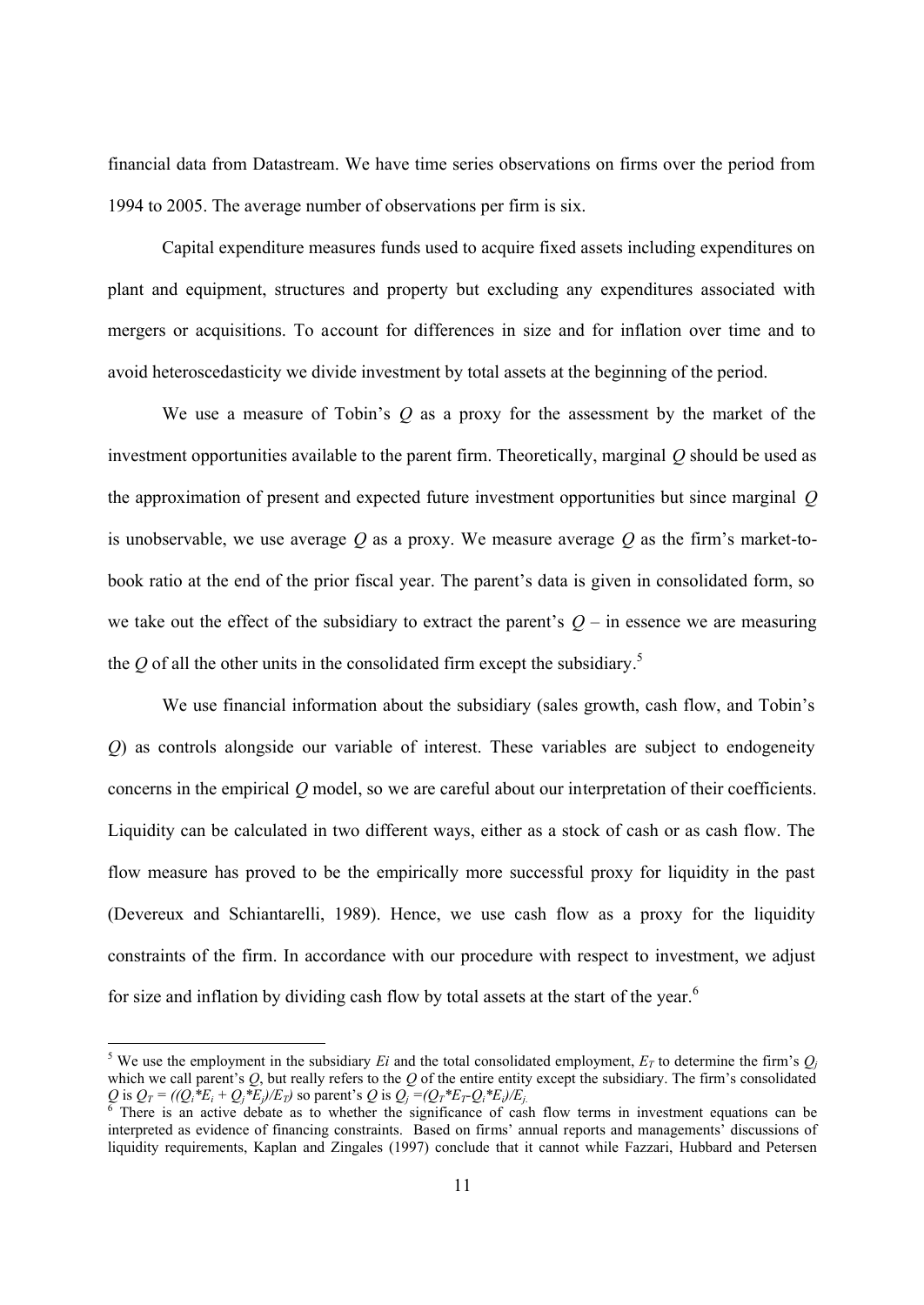financial data from Datastream. We have time series observations on firms over the period from 1994 to 2005. The average number of observations per firm is six.

Capital expenditure measures funds used to acquire fixed assets including expenditures on plant and equipment, structures and property but excluding any expenditures associated with mergers or acquisitions. To account for differences in size and for inflation over time and to avoid heteroscedasticity we divide investment by total assets at the beginning of the period.

We use a measure of Tobin's *Q* as a proxy for the assessment by the market of the investment opportunities available to the parent firm. Theoretically, marginal *Q* should be used as the approximation of present and expected future investment opportunities but since marginal *Q* is unobservable, we use average *Q* as a proxy. We measure average *Q* as the firm's market-tobook ratio at the end of the prior fiscal year. The parent's data is given in consolidated form, so we take out the effect of the subsidiary to extract the parent's  $Q$  – in essence we are measuring the  $Q$  of all the other units in the consolidated firm except the subsidiary.<sup>5</sup>

We use financial information about the subsidiary (sales growth, cash flow, and Tobin's *Q*) as controls alongside our variable of interest. These variables are subject to endogeneity concerns in the empirical *Q* model, so we are careful about our interpretation of their coefficients. Liquidity can be calculated in two different ways, either as a stock of cash or as cash flow. The flow measure has proved to be the empirically more successful proxy for liquidity in the past (Devereux and Schiantarelli, 1989). Hence, we use cash flow as a proxy for the liquidity constraints of the firm. In accordance with our procedure with respect to investment, we adjust for size and inflation by dividing cash flow by total assets at the start of the year.<sup>6</sup>

<sup>&</sup>lt;sup>5</sup> We use the employment in the subsidiary *Ei* and the total consolidated employment,  $E_T$  to determine the firm's  $Q_j$ which we call parent's *Q*, but really refers to the *Q* of the entire entity except the subsidiary. The firm's consolidated Q is  $Q_T = ((Q_i * E_i + Q_j * E_j)/E_T)$  so parent's Q is  $Q_j = (Q_T * E_T Q_i * E_j)/E_j$ <br>
There is an active debate as to whether the significance of case

There is an active debate as to whether the significance of cash flow terms in investment equations can be interpreted as evidence of financing constraints. Based on firms' annual reports and managements' discussions of liquidity requirements, Kaplan and Zingales (1997) conclude that it cannot while Fazzari, Hubbard and Petersen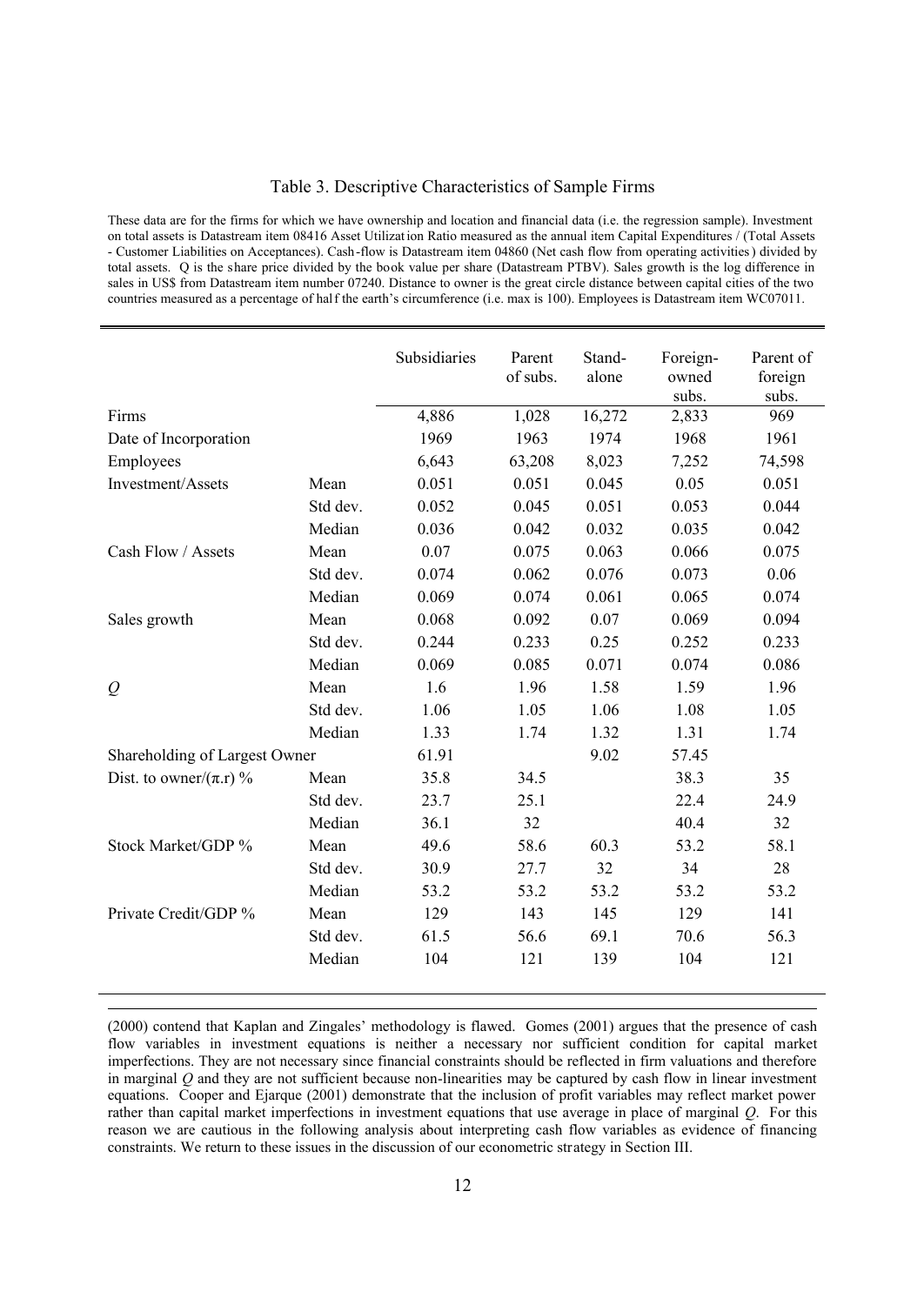## Table 3. Descriptive Characteristics of Sample Firms

These data are for the firms for which we have ownership and location and financial data (i.e. the regression sample). Investment on total assets is Datastream item 08416 Asset Utilization Ratio measured as the annual item Capital Expenditures / (Total Assets - Customer Liabilities on Acceptances). Cash-flow is Datastream item 04860 (Net cash flow from operating activities) divided by total assets. Q is the share price divided by the book value per share (Datastream PTBV). Sales growth is the log difference in sales in US\$ from Datastream item number 07240. Distance to owner is the great circle distance between capital cities of the two countries measured as a percentage of half the earth's circumference (i.e. max is 100). Employees is Datastream item WC07011.

|                               |          | Subsidiaries | Parent<br>of subs. | Stand-<br>alone | Foreign-<br>owned<br>subs. | Parent of<br>foreign<br>subs. |
|-------------------------------|----------|--------------|--------------------|-----------------|----------------------------|-------------------------------|
| Firms                         |          | 4,886        | 1,028              | 16,272          | 2,833                      | 969                           |
| Date of Incorporation         |          | 1969         | 1963               | 1974            | 1968                       | 1961                          |
| Employees                     |          | 6,643        | 63,208             | 8,023           | 7,252                      | 74,598                        |
| Investment/Assets             | Mean     | 0.051        | 0.051              | 0.045           | 0.05                       | 0.051                         |
|                               | Std dev. | 0.052        | 0.045              | 0.051           | 0.053                      | 0.044                         |
|                               | Median   | 0.036        | 0.042              | 0.032           | 0.035                      | 0.042                         |
| Cash Flow / Assets            | Mean     | 0.07         | 0.075              | 0.063           | 0.066                      | 0.075                         |
|                               | Std dev. | 0.074        | 0.062              | 0.076           | 0.073                      | 0.06                          |
|                               | Median   | 0.069        | 0.074              | 0.061           | 0.065                      | 0.074                         |
| Sales growth                  | Mean     | 0.068        | 0.092              | 0.07            | 0.069                      | 0.094                         |
|                               | Std dev. | 0.244        | 0.233              | 0.25            | 0.252                      | 0.233                         |
|                               | Median   | 0.069        | 0.085              | 0.071           | 0.074                      | 0.086                         |
| $\mathcal{Q}$                 | Mean     | 1.6          | 1.96               | 1.58            | 1.59                       | 1.96                          |
|                               | Std dev. | 1.06         | 1.05               | 1.06            | 1.08                       | 1.05                          |
|                               | Median   | 1.33         | 1.74               | 1.32            | 1.31                       | 1.74                          |
| Shareholding of Largest Owner |          | 61.91        |                    | 9.02            | 57.45                      |                               |
| Dist. to owner/ $(\pi.r)$ %   | Mean     | 35.8         | 34.5               |                 | 38.3                       | 35                            |
|                               | Std dev. | 23.7         | 25.1               |                 | 22.4                       | 24.9                          |
|                               | Median   | 36.1         | 32                 |                 | 40.4                       | 32                            |
| Stock Market/GDP %            | Mean     | 49.6         | 58.6               | 60.3            | 53.2                       | 58.1                          |
|                               | Std dev. | 30.9         | 27.7               | 32              | 34                         | 28                            |
|                               | Median   | 53.2         | 53.2               | 53.2            | 53.2                       | 53.2                          |
| Private Credit/GDP %          | Mean     | 129          | 143                | 145             | 129                        | 141                           |
|                               | Std dev. | 61.5         | 56.6               | 69.1            | 70.6                       | 56.3                          |
|                               | Median   | 104          | 121                | 139             | 104                        | 121                           |

<sup>(2000)</sup> contend that Kaplan and Zingales' methodology is flawed. Gomes (2001) argues that the presence of cash flow variables in investment equations is neither a necessary nor sufficient condition for capital market imperfections. They are not necessary since financial constraints should be reflected in firm valuations and therefore in marginal *Q* and they are not sufficient because non-linearities may be captured by cash flow in linear investment equations. Cooper and Ejarque (2001) demonstrate that the inclusion of profit variables may reflect market power rather than capital market imperfections in investment equations that use average in place of marginal *Q*. For this reason we are cautious in the following analysis about interpreting cash flow variables as evidence of financing constraints. We return to these issues in the discussion of our econometric strategy in Section III.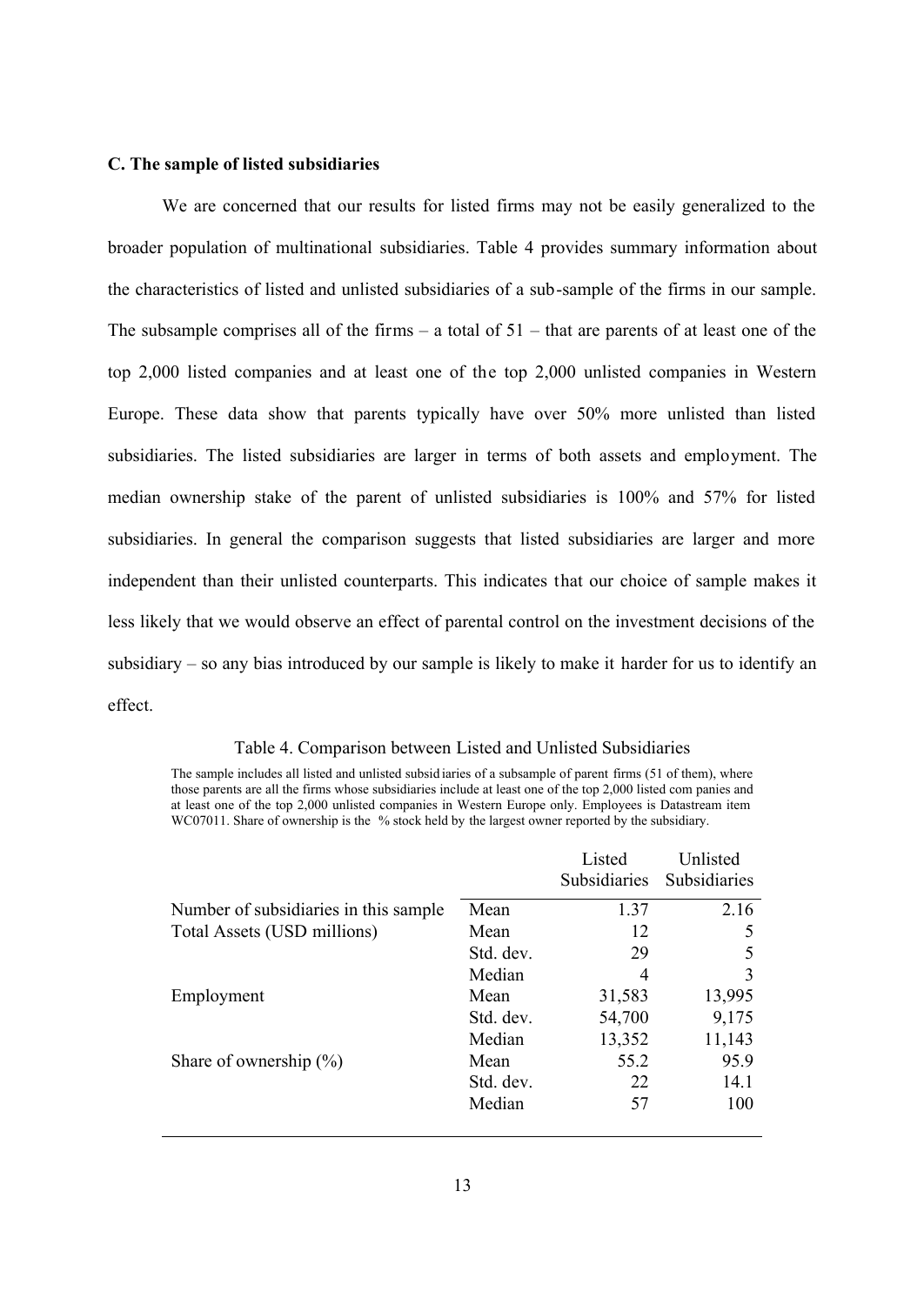## **C. The sample of listed subsidiaries**

We are concerned that our results for listed firms may not be easily generalized to the broader population of multinational subsidiaries. Table 4 provides summary information about the characteristics of listed and unlisted subsidiaries of a sub-sample of the firms in our sample. The subsample comprises all of the firms – a total of  $51$  – that are parents of at least one of the top 2,000 listed companies and at least one of the top 2,000 unlisted companies in Western Europe. These data show that parents typically have over 50% more unlisted than listed subsidiaries. The listed subsidiaries are larger in terms of both assets and employment. The median ownership stake of the parent of unlisted subsidiaries is 100% and 57% for listed subsidiaries. In general the comparison suggests that listed subsidiaries are larger and more independent than their unlisted counterparts. This indicates that our choice of sample makes it less likely that we would observe an effect of parental control on the investment decisions of the subsidiary – so any bias introduced by our sample is likely to make it harder for us to identify an effect.

#### Table 4. Comparison between Listed and Unlisted Subsidiaries

The sample includes all listed and unlisted subsid iaries of a subsample of parent firms (51 of them), where those parents are all the firms whose subsidiaries include at least one of the top 2,000 listed com panies and at least one of the top 2,000 unlisted companies in Western Europe only. Employees is Datastream item WC07011. Share of ownership is the % stock held by the largest owner reported by the subsidiary.

|                                        |           | Listed<br>Subsidiaries | Unlisted<br>Subsidiaries |
|----------------------------------------|-----------|------------------------|--------------------------|
| Number of subsidiaries in this sample. | Mean      | 1.37                   | 2.16                     |
| Total Assets (USD millions)            | Mean      | 12                     | 5                        |
|                                        | Std. dev. | 29                     | 5                        |
|                                        | Median    | 4                      | 3                        |
| Employment                             | Mean      | 31,583                 | 13,995                   |
|                                        | Std. dev. | 54,700                 | 9,175                    |
|                                        | Median    | 13,352                 | 11,143                   |
| Share of ownership $(\%)$              | Mean      | 55.2                   | 95.9                     |
|                                        | Std. dev. | 22                     | 14.1                     |
|                                        | Median    | 57                     | 100                      |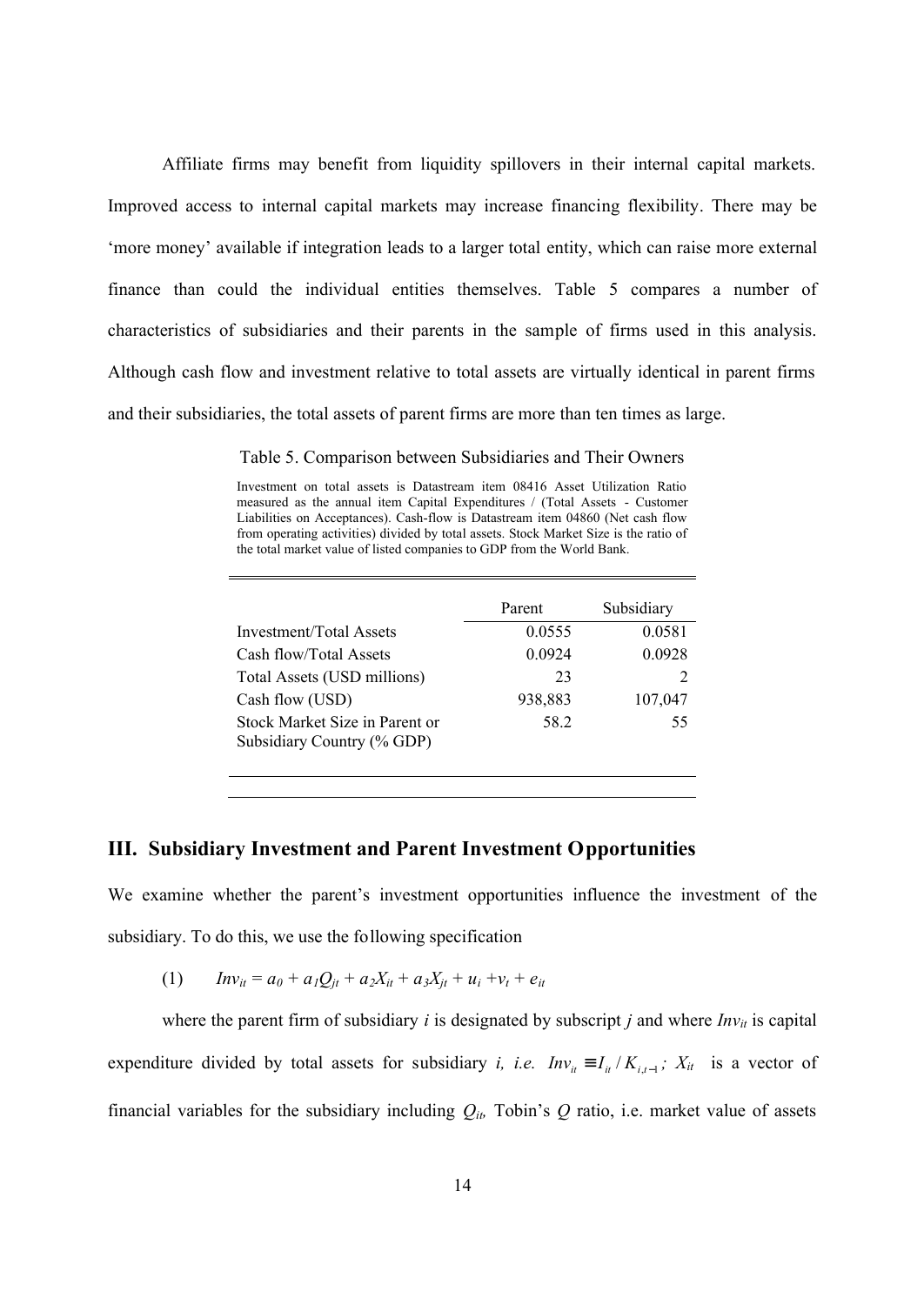Affiliate firms may benefit from liquidity spillovers in their internal capital markets. Improved access to internal capital markets may increase financing flexibility. There may be 'more money' available if integration leads to a larger total entity, which can raise more external finance than could the individual entities themselves. Table 5 compares a number of characteristics of subsidiaries and their parents in the sample of firms used in this analysis. Although cash flow and investment relative to total assets are virtually identical in parent firms and their subsidiaries, the total assets of parent firms are more than ten times as large.

Table 5. Comparison between Subsidiaries and Their Owners

Investment on total assets is Datastream item 08416 Asset Utilization Ratio measured as the annual item Capital Expenditures / (Total Assets - Customer Liabilities on Acceptances). Cash-flow is Datastream item 04860 (Net cash flow from operating activities) divided by total assets. Stock Market Size is the ratio of the total market value of listed companies to GDP from the World Bank.

|                                                              | Parent  | Subsidiary |
|--------------------------------------------------------------|---------|------------|
| Investment/Total Assets                                      | 0.0555  | 0.0581     |
| Cash flow/Total Assets                                       | 0.0924  | 0.0928     |
| Total Assets (USD millions)                                  | 23      |            |
| Cash flow (USD)                                              | 938,883 | 107,047    |
| Stock Market Size in Parent or<br>Subsidiary Country (% GDP) | 58.2    | 55         |

## **III. Subsidiary Investment and Parent Investment Opportunities**

We examine whether the parent's investment opportunities influence the investment of the subsidiary. To do this, we use the following specification

(1) 
$$
Inv_{it} = a_0 + a_1Q_{jt} + a_2X_{it} + a_3X_{jt} + u_i + v_t + e_{it}
$$

where the parent firm of subsidiary  $i$  is designated by subscript  $j$  and where  $Inv_{it}$  is capital expenditure divided by total assets for subsidiary *i, i.e.*  $Inv_{it} \equiv I_{it} / K_{i,t-1}$ ;  $X_{it}$  is a vector of financial variables for the subsidiary including  $Q_{it}$ , Tobin's  $Q$  ratio, i.e. market value of assets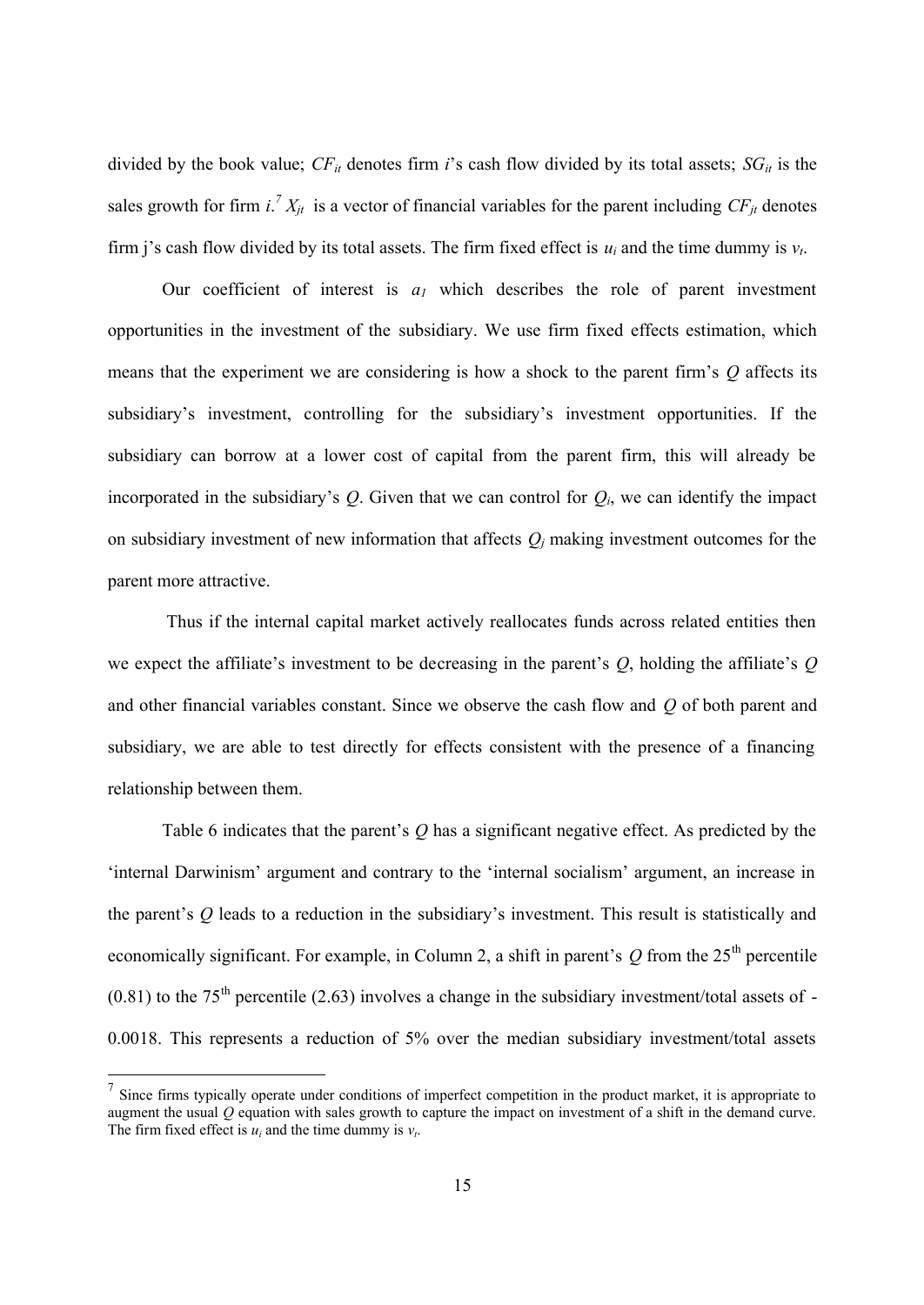divided by the book value;  $CF_{it}$  denotes firm *i*'s cash flow divided by its total assets;  $SG_{it}$  is the sales growth for firm  $i^T X_{jt}$  is a vector of financial variables for the parent including  $CF_{jt}$  denotes firm j's cash flow divided by its total assets. The firm fixed effect is  $u_i$  and the time dummy is  $v_i$ .

Our coefficient of interest is  $a<sub>l</sub>$  which describes the role of parent investment opportunities in the investment of the subsidiary. We use firm fixed effects estimation, which means that the experiment we are considering is how a shock to the parent firm's *Q* affects its subsidiary's investment, controlling for the subsidiary's investment opportunities. If the subsidiary can borrow at a lower cost of capital from the parent firm, this will already be incorporated in the subsidiary's  $Q$ . Given that we can control for  $Q_i$ , we can identify the impact on subsidiary investment of new information that affects  $Q_j$  making investment outcomes for the parent more attractive.

Thus if the internal capital market actively reallocates funds across related entities then we expect the affiliate's investment to be decreasing in the parent's *Q*, holding the affiliate's *Q* and other financial variables constant. Since we observe the cash flow and *Q* of both parent and subsidiary, we are able to test directly for effects consistent with the presence of a financing relationship between them.

Table 6 indicates that the parent's *Q* has a significant negative effect. As predicted by the 'internal Darwinism' argument and contrary to the 'internal socialism' argument, an increase in the parent's *Q* leads to a reduction in the subsidiary's investment. This result is statistically and economically significant. For example, in Column 2, a shift in parent's  $Q$  from the  $25<sup>th</sup>$  percentile  $(0.81)$  to the 75<sup>th</sup> percentile (2.63) involves a change in the subsidiary investment/total assets of -0.0018. This represents a reduction of 5% over the median subsidiary investment/total assets

<sup>&</sup>lt;sup>7</sup> Since firms typically operate under conditions of imperfect competition in the product market, it is appropriate to augment the usual *Q* equation with sales growth to capture the impact on investment of a shift in the demand curve. The firm fixed effect is  $u_i$  and the time dummy is  $v_t$ .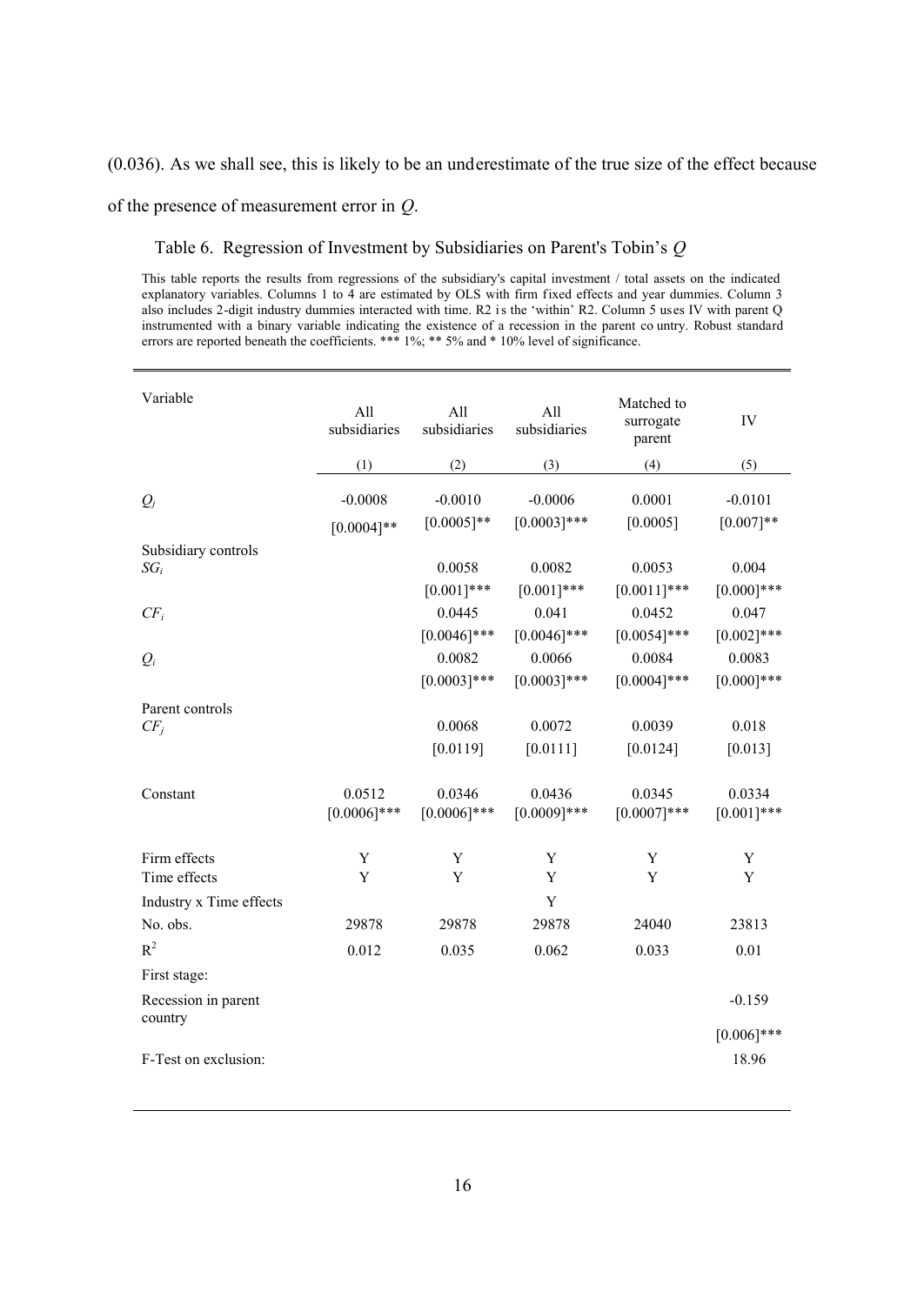(0.036). As we shall see, this is likely to be an underestimate of the true size of the effect because

of the presence of measurement error in *Q*.

Table 6. Regression of Investment by Subsidiaries on Parent's Tobin's *Q*

This table reports the results from regressions of the subsidiary's capital investment / total assets on the indicated explanatory variables. Columns 1 to 4 are estimated by OLS with firm fixed effects and year dummies. Column 3 also includes 2-digit industry dummies interacted with time. R2 is the 'within' R2. Column 5 uses IV with parent Q instrumented with a binary variable indicating the existence of a recession in the parent co untry. Robust standard errors are reported beneath the coefficients. \*\*\* 1%; \*\* 5% and \* 10% level of significance.

| Variable                       | All<br>subsidiaries       | All<br>subsidiaries       | All<br>subsidiaries         | Matched to<br>surrogate<br>parent | IV                       |
|--------------------------------|---------------------------|---------------------------|-----------------------------|-----------------------------------|--------------------------|
|                                | (1)                       | (2)                       | (3)                         | (4)                               | (5)                      |
| $Q_i$                          | $-0.0008$<br>$[0.0004]**$ | $-0.0010$<br>$[0.0005]**$ | $-0.0006$<br>$[0.0003]$ *** | 0.0001<br>[0.0005]                | $-0.0101$<br>$[0.007]**$ |
| Subsidiary controls<br>$SG_i$  |                           | 0.0058<br>$[0.001]***$    | 0.0082<br>$[0.001]***$      | 0.0053<br>$[0.0011]$ ***          | 0.004<br>$[0.000]***$    |
| $CF_i$                         |                           | 0.0445                    | 0.041                       | 0.0452                            | 0.047                    |
|                                |                           | $[0.0046]$ ***            | $[0.0046]$ ***              | $[0.0054]$ ***                    | $[0.002]$ ***            |
| $Q_i$                          |                           | 0.0082                    | 0.0066                      | 0.0084                            | 0.0083                   |
|                                |                           | $[0.0003]***$             | $[0.0003]$ ***              | $[0.0004]$ ***                    | $[0.000]***$             |
| Parent controls<br>$CF_i$      |                           | 0.0068                    | 0.0072                      | 0.0039                            | 0.018                    |
|                                |                           | [0.0119]                  | [0.0111]                    | [0.0124]                          | [0.013]                  |
| Constant                       | 0.0512<br>$[0.0006]$ ***  | 0.0346<br>$[0.0006]$ ***  | 0.0436<br>$[0.0009]***$     | 0.0345<br>$[0.0007]***$           | 0.0334<br>$[0.001]***$   |
| Firm effects<br>Time effects   | Y<br>Y                    | Y<br>Y                    | Y<br>Y                      | Y<br>Y                            | Y<br>Y                   |
| Industry x Time effects        |                           |                           | Y                           |                                   |                          |
| No. obs.                       | 29878                     | 29878                     | 29878                       | 24040                             | 23813                    |
| $R^2$                          | 0.012                     | 0.035                     | 0.062                       | 0.033                             | 0.01                     |
| First stage:                   |                           |                           |                             |                                   |                          |
| Recession in parent<br>country |                           |                           |                             |                                   | $-0.159$                 |
| F-Test on exclusion:           |                           |                           |                             |                                   | $[0.006]$ ***<br>18.96   |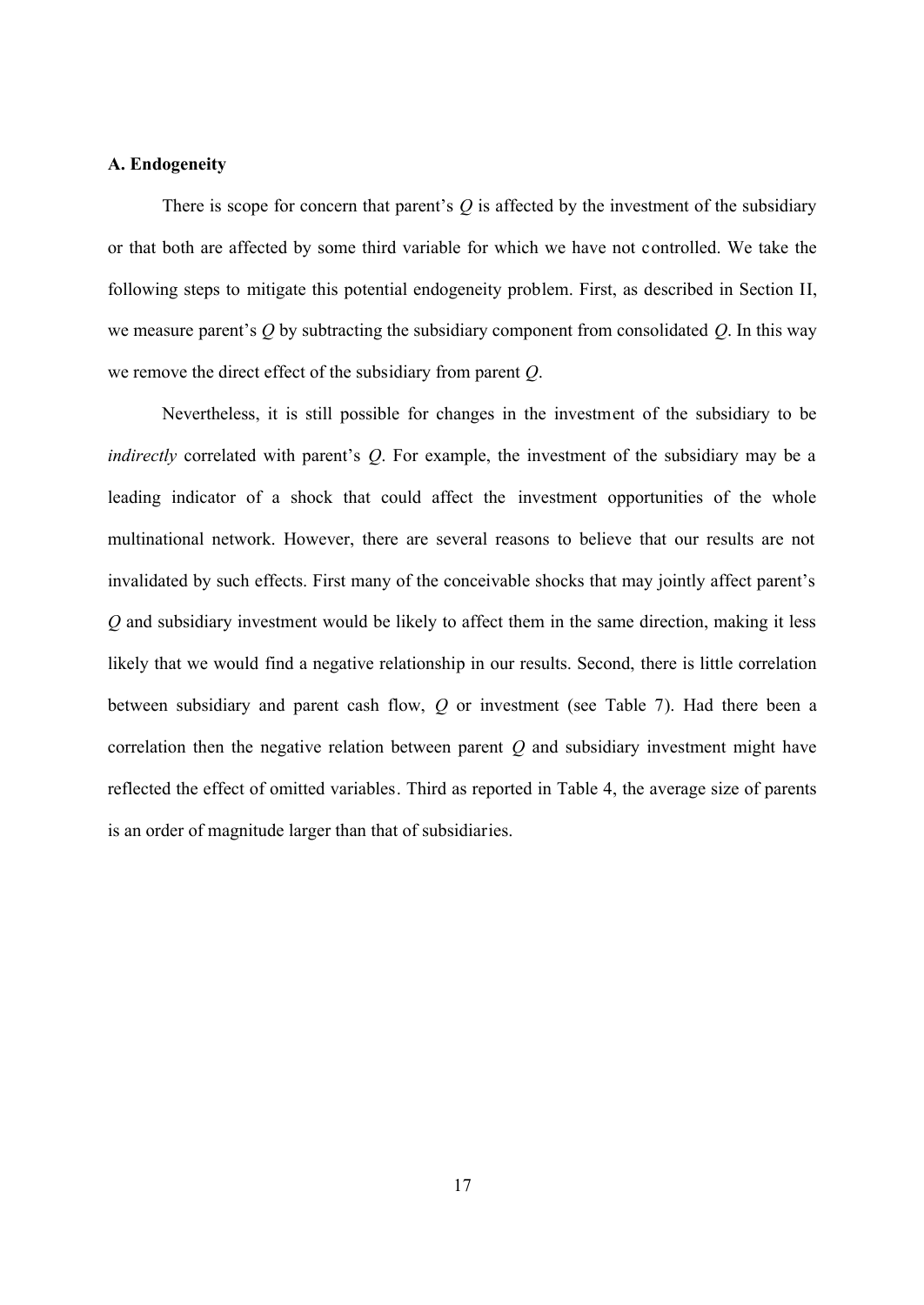## **A. Endogeneity**

There is scope for concern that parent's  $Q$  is affected by the investment of the subsidiary or that both are affected by some third variable for which we have not controlled. We take the following steps to mitigate this potential endogeneity problem. First, as described in Section II, we measure parent's *Q* by subtracting the subsidiary component from consolidated *Q*. In this way we remove the direct effect of the subsidiary from parent *Q*.

Nevertheless, it is still possible for changes in the investment of the subsidiary to be *indirectly* correlated with parent's *Q*. For example, the investment of the subsidiary may be a leading indicator of a shock that could affect the investment opportunities of the whole multinational network. However, there are several reasons to believe that our results are not invalidated by such effects. First many of the conceivable shocks that may jointly affect parent's *Q* and subsidiary investment would be likely to affect them in the same direction, making it less likely that we would find a negative relationship in our results. Second, there is little correlation between subsidiary and parent cash flow, *Q* or investment (see Table 7). Had there been a correlation then the negative relation between parent *Q* and subsidiary investment might have reflected the effect of omitted variables. Third as reported in Table 4, the average size of parents is an order of magnitude larger than that of subsidiaries.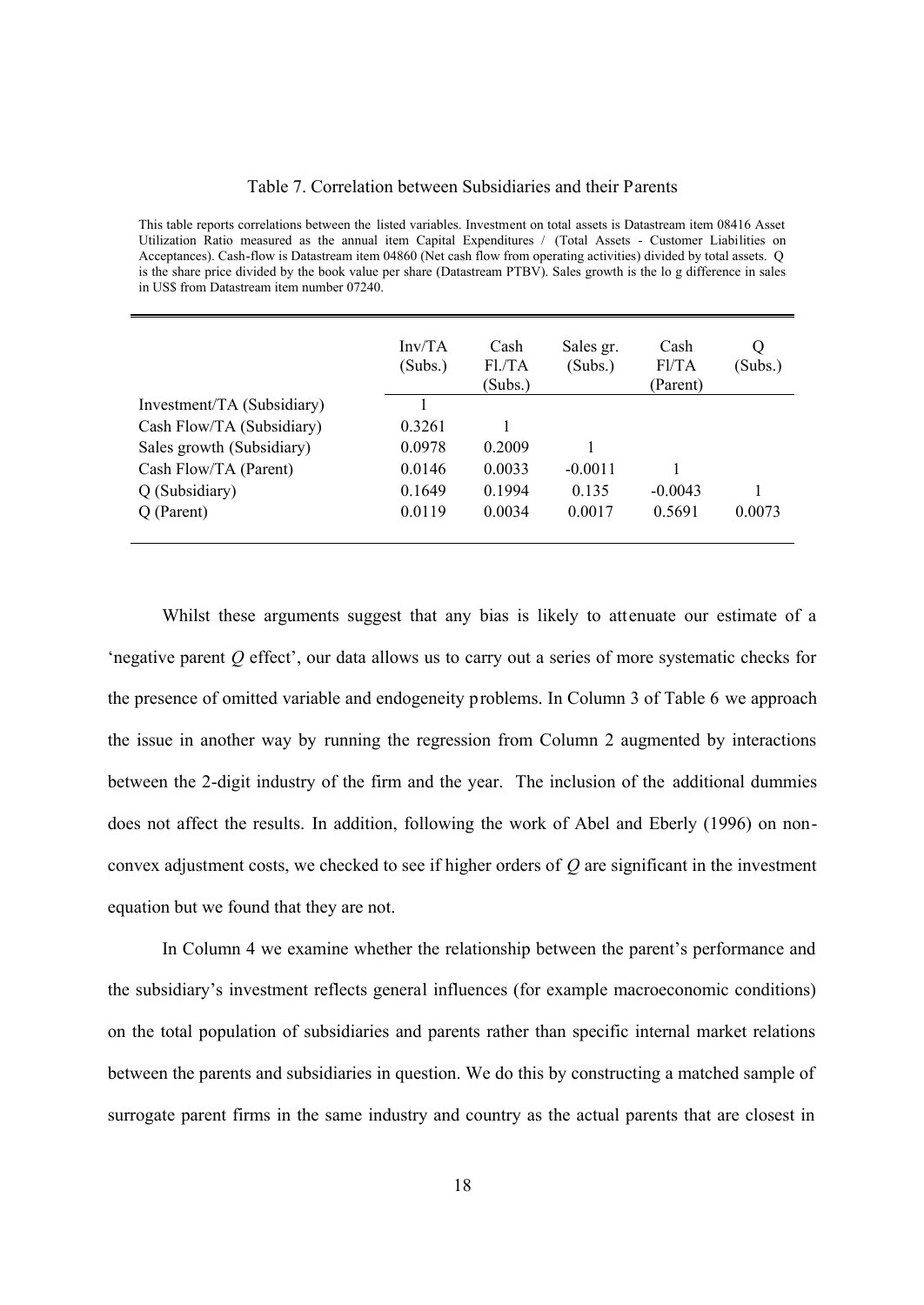#### Table 7. Correlation between Subsidiaries and their Parents

This table reports correlations between the listed variables. Investment on total assets is Datastream item 08416 Asset Utilization Ratio measured as the annual item Capital Expenditures / (Total Assets - Customer Liabilities on Acceptances). Cash-flow is Datastream item 04860 (Net cash flow from operating activities) divided by total assets. Q is the share price divided by the book value per share (Datastream PTBV). Sales growth is the lo g difference in sales in US\$ from Datastream item number 07240.

|                            | Inv/TA<br>(Subs.) | Cash<br>Fl./TA<br>(Subs.) | Sales gr.<br>(Subs.) | Cash<br>Fl/TA<br>(Parent) | Q<br>(Subs.) |
|----------------------------|-------------------|---------------------------|----------------------|---------------------------|--------------|
| Investment/TA (Subsidiary) |                   |                           |                      |                           |              |
| Cash Flow/TA (Subsidiary)  | 0.3261            |                           |                      |                           |              |
| Sales growth (Subsidiary)  | 0.0978            | 0.2009                    |                      |                           |              |
| Cash Flow/TA (Parent)      | 0.0146            | 0.0033                    | $-0.0011$            |                           |              |
| Q (Subsidiary)             | 0.1649            | 0.1994                    | 0.135                | $-0.0043$                 |              |
| Q (Parent)                 | 0.0119            | 0.0034                    | 0.0017               | 0.5691                    | 0.0073       |
|                            |                   |                           |                      |                           |              |

Whilst these arguments suggest that any bias is likely to attenuate our estimate of a 'negative parent *Q* effect', our data allows us to carry out a series of more systematic checks for the presence of omitted variable and endogeneity problems. In Column 3 of Table 6 we approach the issue in another way by running the regression from Column 2 augmented by interactions between the 2-digit industry of the firm and the year. The inclusion of the additional dummies does not affect the results. In addition, following the work of Abel and Eberly (1996) on nonconvex adjustment costs, we checked to see if higher orders of *Q* are significant in the investment equation but we found that they are not.

In Column 4 we examine whether the relationship between the parent's performance and the subsidiary's investment reflects general influences (for example macroeconomic conditions) on the total population of subsidiaries and parents rather than specific internal market relations between the parents and subsidiaries in question. We do this by constructing a matched sample of surrogate parent firms in the same industry and country as the actual parents that are closest in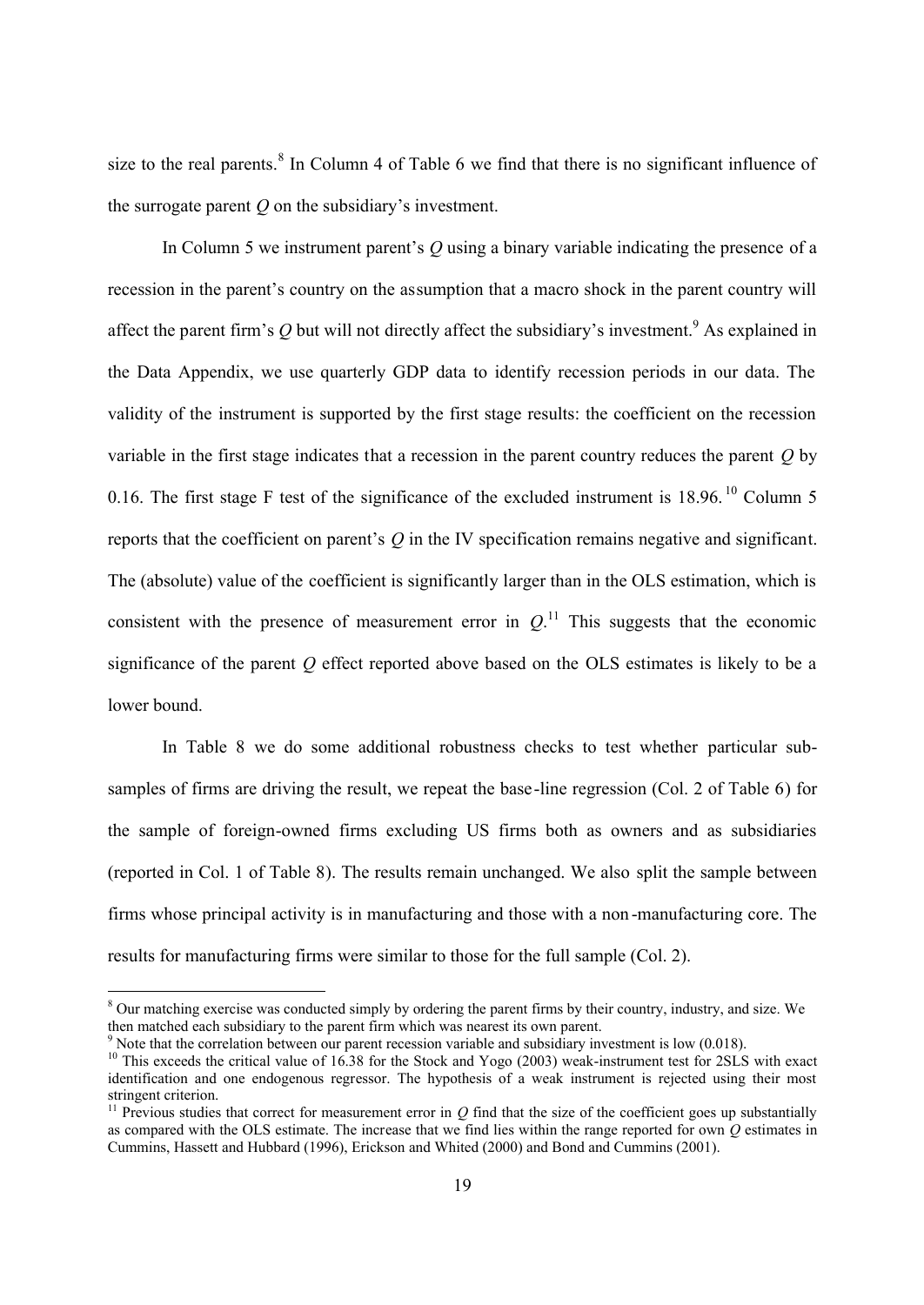size to the real parents.<sup>8</sup> In Column 4 of Table 6 we find that there is no significant influence of the surrogate parent *Q* on the subsidiary's investment.

In Column 5 we instrument parent's *Q* using a binary variable indicating the presence of a recession in the parent's country on the assumption that a macro shock in the parent country will affect the parent firm's  $Q$  but will not directly affect the subsidiary's investment.<sup>9</sup> As explained in the Data Appendix, we use quarterly GDP data to identify recession periods in our data. The validity of the instrument is supported by the first stage results: the coefficient on the recession variable in the first stage indicates that a recession in the parent country reduces the parent *Q* by 0.16. The first stage F test of the significance of the excluded instrument is  $18.96$ . <sup>10</sup> Column 5 reports that the coefficient on parent's *Q* in the IV specification remains negative and significant. The (absolute) value of the coefficient is significantly larger than in the OLS estimation, which is consistent with the presence of measurement error in  $Q$ .<sup>11</sup> This suggests that the economic significance of the parent *Q* effect reported above based on the OLS estimates is likely to be a lower bound.

In Table 8 we do some additional robustness checks to test whether particular subsamples of firms are driving the result, we repeat the base-line regression (Col. 2 of Table 6) for the sample of foreign-owned firms excluding US firms both as owners and as subsidiaries (reported in Col. 1 of Table 8). The results remain unchanged. We also split the sample between firms whose principal activity is in manufacturing and those with a non -manufacturing core. The results for manufacturing firms were similar to those for the full sample (Col. 2).

<sup>&</sup>lt;sup>8</sup> Our matching exercise was conducted simply by ordering the parent firms by their country, industry, and size. We then matched each subsidiary to the parent firm which was nearest its own parent.

<sup>&</sup>lt;sup>9</sup> Note that the correlation between our parent recession variable and subsidiary investment is low  $(0.018)$ .

 $10$  This exceeds the critical value of 16.38 for the Stock and Yogo (2003) weak-instrument test for 2SLS with exact identification and one endogenous regressor. The hypothesis of a weak instrument is rejected using their most stringent criterion.

<sup>&</sup>lt;sup>11</sup> Previous studies that correct for measurement error in  $Q$  find that the size of the coefficient goes up substantially as compared with the OLS estimate. The increase that we find lies within the range reported for own *Q* estimates in Cummins, Hassett and Hubbard (1996), Erickson and Whited (2000) and Bond and Cummins (2001).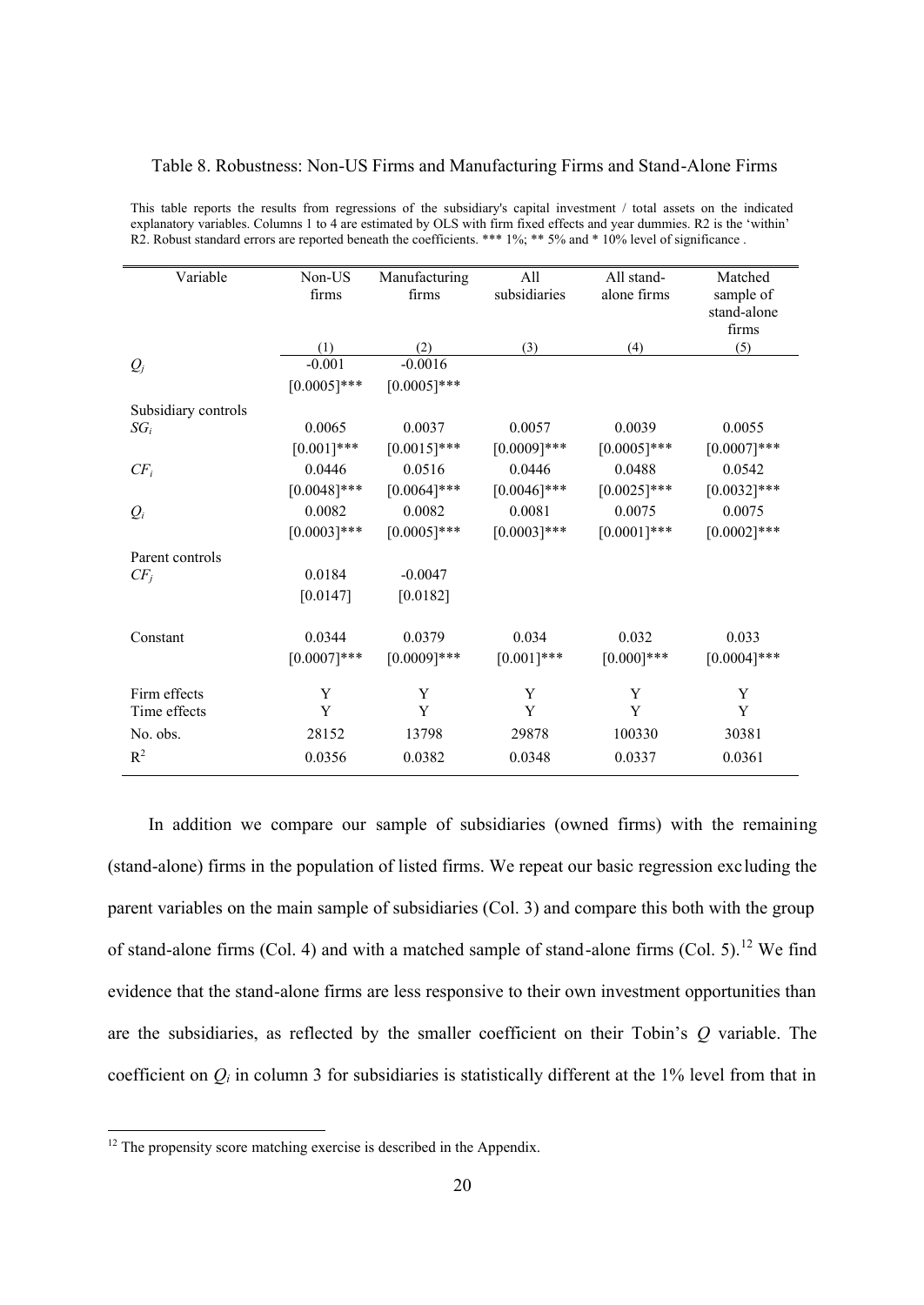#### Table 8. Robustness: Non-US Firms and Manufacturing Firms and Stand-Alone Firms

| Variable            | Non-US<br>firms | Manufacturing<br>firms | All<br>subsidiaries | All stand-<br>alone firms | Matched<br>sample of<br>stand-alone<br>firms |
|---------------------|-----------------|------------------------|---------------------|---------------------------|----------------------------------------------|
|                     | (1)             | (2)                    | (3)                 | (4)                       | (5)                                          |
| $Q_j$               | $-0.001$        | $-0.0016$              |                     |                           |                                              |
|                     | $[0.0005]***$   | $[0.0005]***$          |                     |                           |                                              |
| Subsidiary controls |                 |                        |                     |                           |                                              |
| $SG_i$              | 0.0065          | 0.0037                 | 0.0057              | 0.0039                    | 0.0055                                       |
|                     | $[0.001]***$    | $[0.0015]***$          | $[0.0009]***$       | $[0.0005]$ ***            | $[0.0007]***$                                |
| $CF_i$              | 0.0446          | 0.0516                 | 0.0446              | 0.0488                    | 0.0542                                       |
|                     | $[0.0048]***$   | $[0.0064]$ ***         | $[0.0046]$ ***      | $[0.0025]***$             | $[0.0032]$ ***                               |
| $Q_i$               | 0.0082          | 0.0082                 | 0.0081              | 0.0075                    | 0.0075                                       |
|                     | $[0.0003]***$   | $[0.0005]***$          | $[0.0003]***$       | $[0.0001]***$             | $[0.0002]$ ***                               |
| Parent controls     |                 |                        |                     |                           |                                              |
| $CF_i$              | 0.0184          | $-0.0047$              |                     |                           |                                              |
|                     | [0.0147]        | [0.0182]               |                     |                           |                                              |
| Constant            | 0.0344          | 0.0379                 | 0.034               | 0.032                     | 0.033                                        |
|                     | $[0.0007]***$   | $[0.0009]***$          | $[0.001]***$        | $[0.000]***$              | $[0.0004]$ ***                               |
|                     |                 |                        |                     |                           |                                              |
| Firm effects        | Y               | Y                      | Y                   | Y                         | Y                                            |
| Time effects        | Y               | Y                      | Y                   | Y                         | Y                                            |
| No. obs.            | 28152           | 13798                  | 29878               | 100330                    | 30381                                        |
| $R^2$               | 0.0356          | 0.0382                 | 0.0348              | 0.0337                    | 0.0361                                       |
|                     |                 |                        |                     |                           |                                              |

This table reports the results from regressions of the subsidiary's capital investment / total assets on the indicated explanatory variables. Columns 1 to 4 are estimated by OLS with firm fixed effects and year dummies. R2 is the 'within' R2. Robust standard errors are reported beneath the coefficients. \*\*\* 1%; \*\* 5% and \* 10% level of significance.

In addition we compare our sample of subsidiaries (owned firms) with the remaining (stand-alone) firms in the population of listed firms. We repeat our basic regression excluding the parent variables on the main sample of subsidiaries (Col. 3) and compare this both with the group of stand-alone firms (Col. 4) and with a matched sample of stand-alone firms (Col. 5).<sup>12</sup> We find evidence that the stand-alone firms are less responsive to their own investment opportunities than are the subsidiaries, as reflected by the smaller coefficient on their Tobin's *Q* variable. The coefficient on  $Q_i$  in column 3 for subsidiaries is statistically different at the 1% level from that in

 $12$  The propensity score matching exercise is described in the Appendix.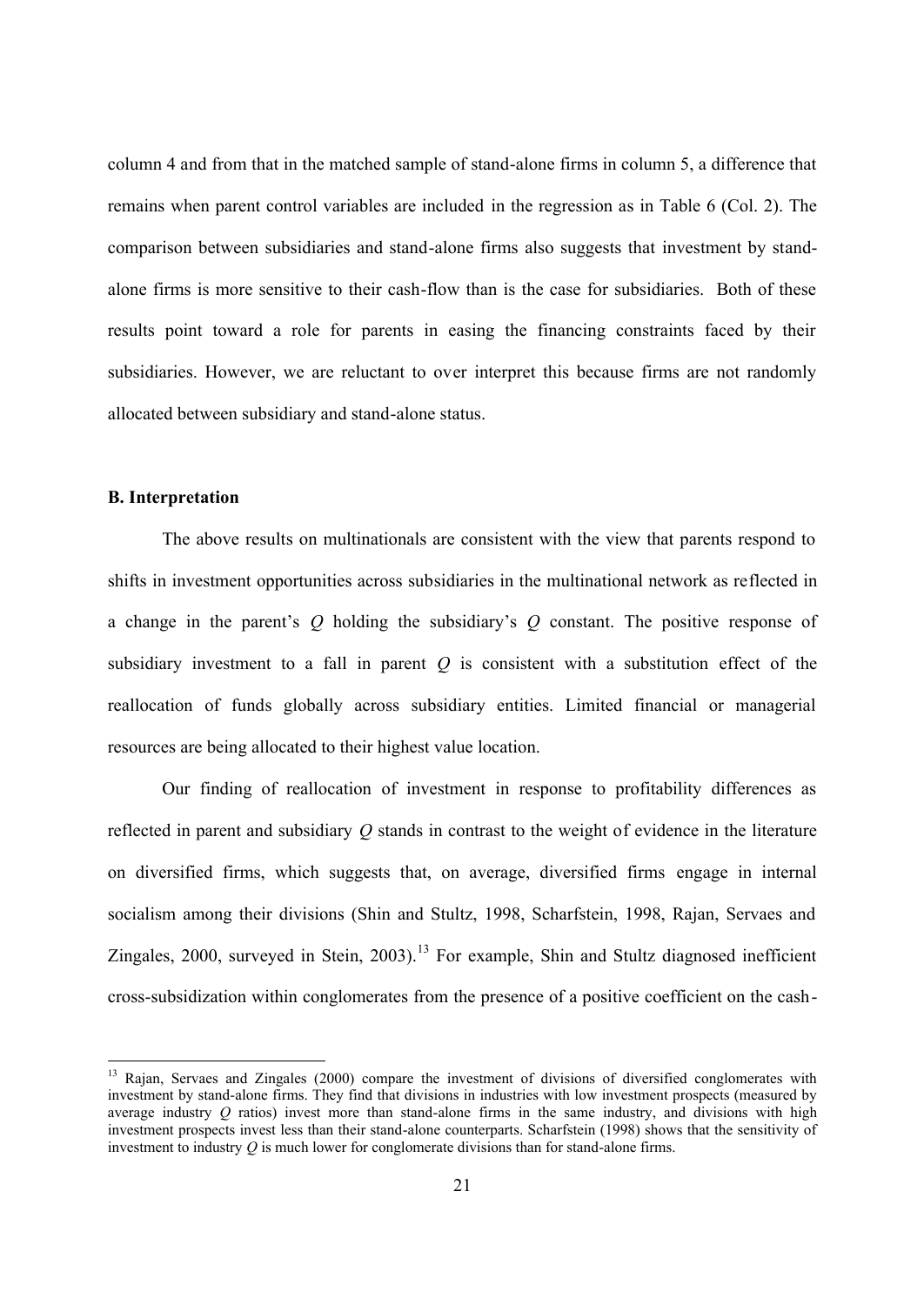column 4 and from that in the matched sample of stand-alone firms in column 5, a difference that remains when parent control variables are included in the regression as in Table 6 (Col. 2). The comparison between subsidiaries and stand-alone firms also suggests that investment by standalone firms is more sensitive to their cash-flow than is the case for subsidiaries. Both of these results point toward a role for parents in easing the financing constraints faced by their subsidiaries. However, we are reluctant to over interpret this because firms are not randomly allocated between subsidiary and stand-alone status.

## **B. Interpretation**

 $\overline{a}$ 

The above results on multinationals are consistent with the view that parents respond to shifts in investment opportunities across subsidiaries in the multinational network as reflected in a change in the parent's *Q* holding the subsidiary's *Q* constant. The positive response of subsidiary investment to a fall in parent *Q* is consistent with a substitution effect of the reallocation of funds globally across subsidiary entities. Limited financial or managerial resources are being allocated to their highest value location.

Our finding of reallocation of investment in response to profitability differences as reflected in parent and subsidiary *Q* stands in contrast to the weight of evidence in the literature on diversified firms, which suggests that, on average, diversified firms engage in internal socialism among their divisions (Shin and Stultz, 1998, Scharfstein, 1998, Rajan, Servaes and Zingales, 2000, surveyed in Stein, 2003).<sup>13</sup> For example, Shin and Stultz diagnosed inefficient cross-subsidization within conglomerates from the presence of a positive coefficient on the cash-

<sup>&</sup>lt;sup>13</sup> Rajan, Servaes and Zingales (2000) compare the investment of divisions of diversified conglomerates with investment by stand-alone firms. They find that divisions in industries with low investment prospects (measured by average industry *Q* ratios) invest more than stand-alone firms in the same industry, and divisions with high investment prospects invest less than their stand-alone counterparts. Scharfstein (1998) shows that the sensitivity of investment to industry *Q* is much lower for conglomerate divisions than for stand-alone firms.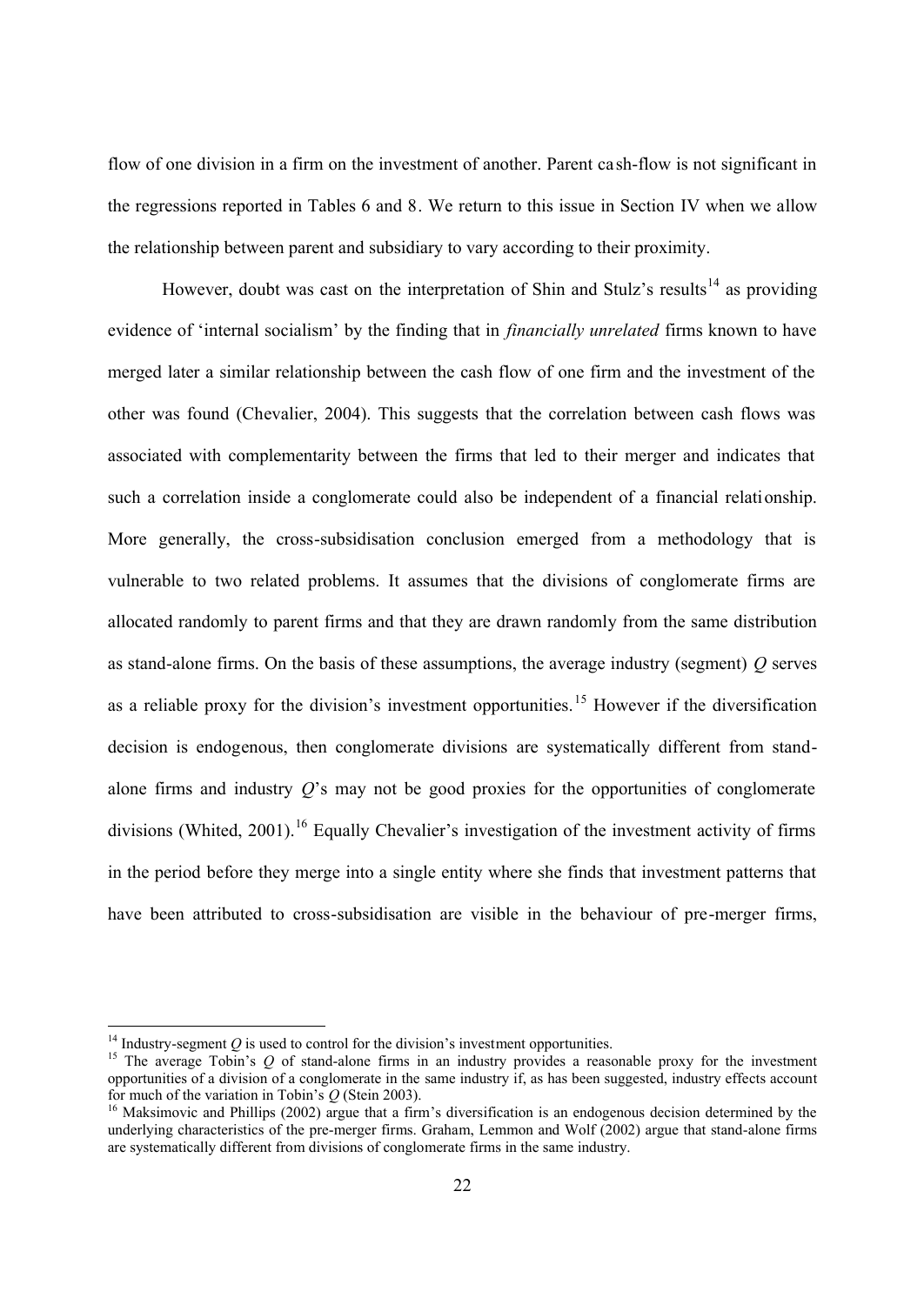flow of one division in a firm on the investment of another. Parent ca sh-flow is not significant in the regressions reported in Tables 6 and 8. We return to this issue in Section IV when we allow the relationship between parent and subsidiary to vary according to their proximity.

However, doubt was cast on the interpretation of Shin and Stulz's results<sup>14</sup> as providing evidence of 'internal socialism' by the finding that in *financially unrelated* firms known to have merged later a similar relationship between the cash flow of one firm and the investment of the other was found (Chevalier, 2004). This suggests that the correlation between cash flows was associated with complementarity between the firms that led to their merger and indicates that such a correlation inside a conglomerate could also be independent of a financial relationship. More generally, the cross-subsidisation conclusion emerged from a methodology that is vulnerable to two related problems. It assumes that the divisions of conglomerate firms are allocated randomly to parent firms and that they are drawn randomly from the same distribution as stand-alone firms. On the basis of these assumptions, the average industry (segment) *Q* serves as a reliable proxy for the division's investment opportunities.<sup>15</sup> However if the diversification decision is endogenous, then conglomerate divisions are systematically different from standalone firms and industry *Q*'s may not be good proxies for the opportunities of conglomerate divisions (Whited, 2001).<sup>16</sup> Equally Chevalier's investigation of the investment activity of firms in the period before they merge into a single entity where she finds that investment patterns that have been attributed to cross-subsidisation are visible in the behaviour of pre-merger firms,

 $14$  Industry-segment  $Q$  is used to control for the division's investment opportunities.

<sup>&</sup>lt;sup>15</sup> The average Tobin's *Q* of stand-alone firms in an industry provides a reasonable proxy for the investment opportunities of a division of a conglomerate in the same industry if, as has been suggested, industry effects account for much of the variation in Tobin's *Q* (Stein 2003).

<sup>&</sup>lt;sup>16</sup> Maksimovic and Phillips (2002) argue that a firm's diversification is an endogenous decision determined by the underlying characteristics of the pre-merger firms. Graham, Lemmon and Wolf (2002) argue that stand-alone firms are systematically different from divisions of conglomerate firms in the same industry.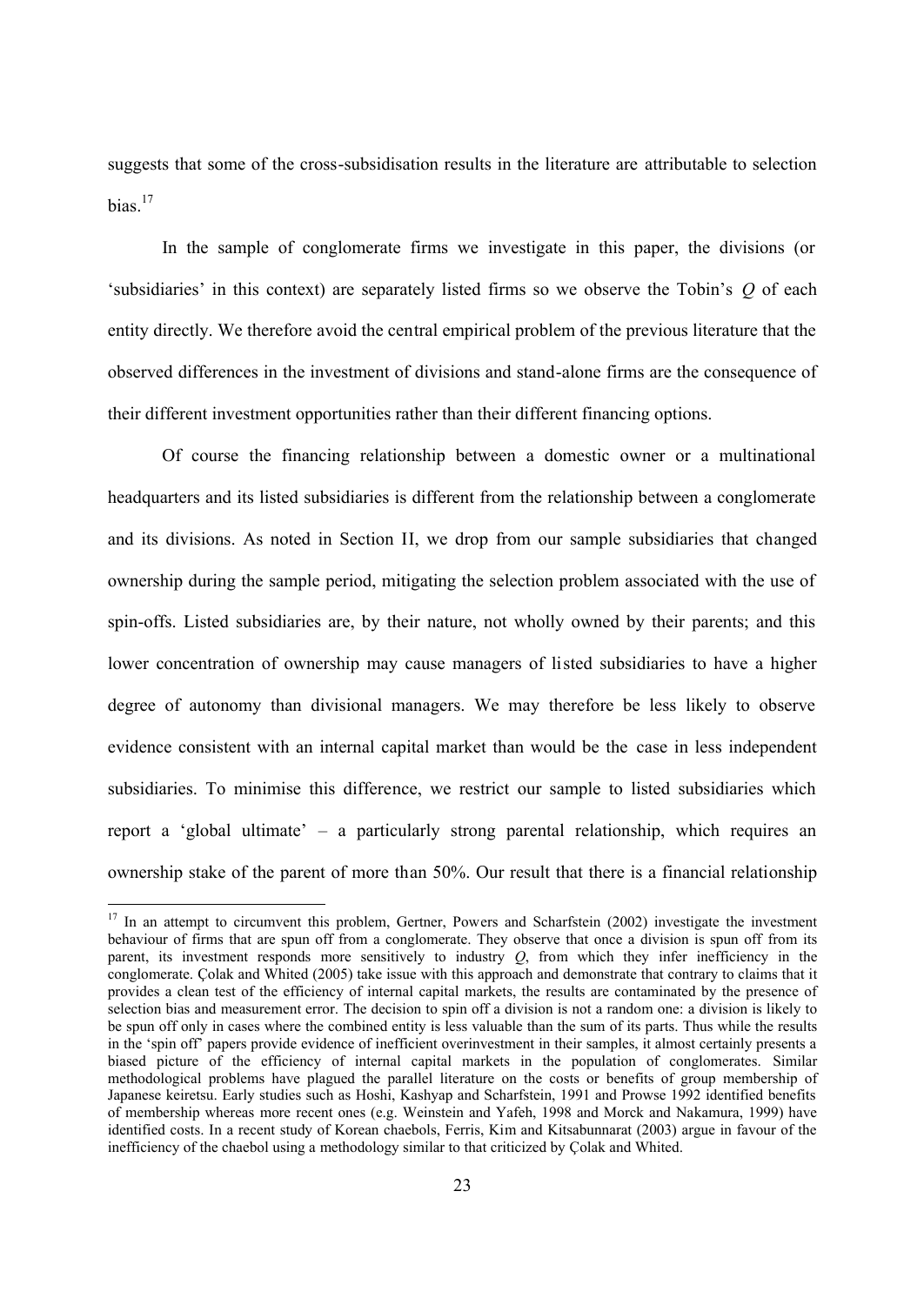suggests that some of the cross-subsidisation results in the literature are attributable to selection  $bias<sup>17</sup>$ 

In the sample of conglomerate firms we investigate in this paper, the divisions (or 'subsidiaries' in this context) are separately listed firms so we observe the Tobin's *Q* of each entity directly. We therefore avoid the central empirical problem of the previous literature that the observed differences in the investment of divisions and stand-alone firms are the consequence of their different investment opportunities rather than their different financing options.

Of course the financing relationship between a domestic owner or a multinational headquarters and its listed subsidiaries is different from the relationship between a conglomerate and its divisions. As noted in Section II, we drop from our sample subsidiaries that changed ownership during the sample period, mitigating the selection problem associated with the use of spin-offs. Listed subsidiaries are, by their nature, not wholly owned by their parents; and this lower concentration of ownership may cause managers of listed subsidiaries to have a higher degree of autonomy than divisional managers. We may therefore be less likely to observe evidence consistent with an internal capital market than would be the case in less independent subsidiaries. To minimise this difference, we restrict our sample to listed subsidiaries which report a 'global ultimate' – a particularly strong parental relationship, which requires an ownership stake of the parent of more than 50%. Our result that there is a financial relationship

<sup>&</sup>lt;sup>17</sup> In an attempt to circumvent this problem, Gertner, Powers and Scharfstein (2002) investigate the investment behaviour of firms that are spun off from a conglomerate. They observe that once a division is spun off from its parent, its investment responds more sensitively to industry *Q*, from which they infer inefficiency in the conglomerate. Çolak and Whited (2005) take issue with this approach and demonstrate that contrary to claims that it provides a clean test of the efficiency of internal capital markets, the results are contaminated by the presence of selection bias and measurement error. The decision to spin off a division is not a random one: a division is likely to be spun off only in cases where the combined entity is less valuable than the sum of its parts. Thus while the results in the 'spin off' papers provide evidence of inefficient overinvestment in their samples, it almost certainly presents a biased picture of the efficiency of internal capital markets in the population of conglomerates. Similar methodological problems have plagued the parallel literature on the costs or benefits of group membership of Japanese keiretsu. Early studies such as Hoshi, Kashyap and Scharfstein, 1991 and Prowse 1992 identified benefits of membership whereas more recent ones (e.g. Weinstein and Yafeh, 1998 and Morck and Nakamura, 1999) have identified costs. In a recent study of Korean chaebols, Ferris, Kim and Kitsabunnarat (2003) argue in favour of the inefficiency of the chaebol using a methodology similar to that criticized by Çolak and Whited.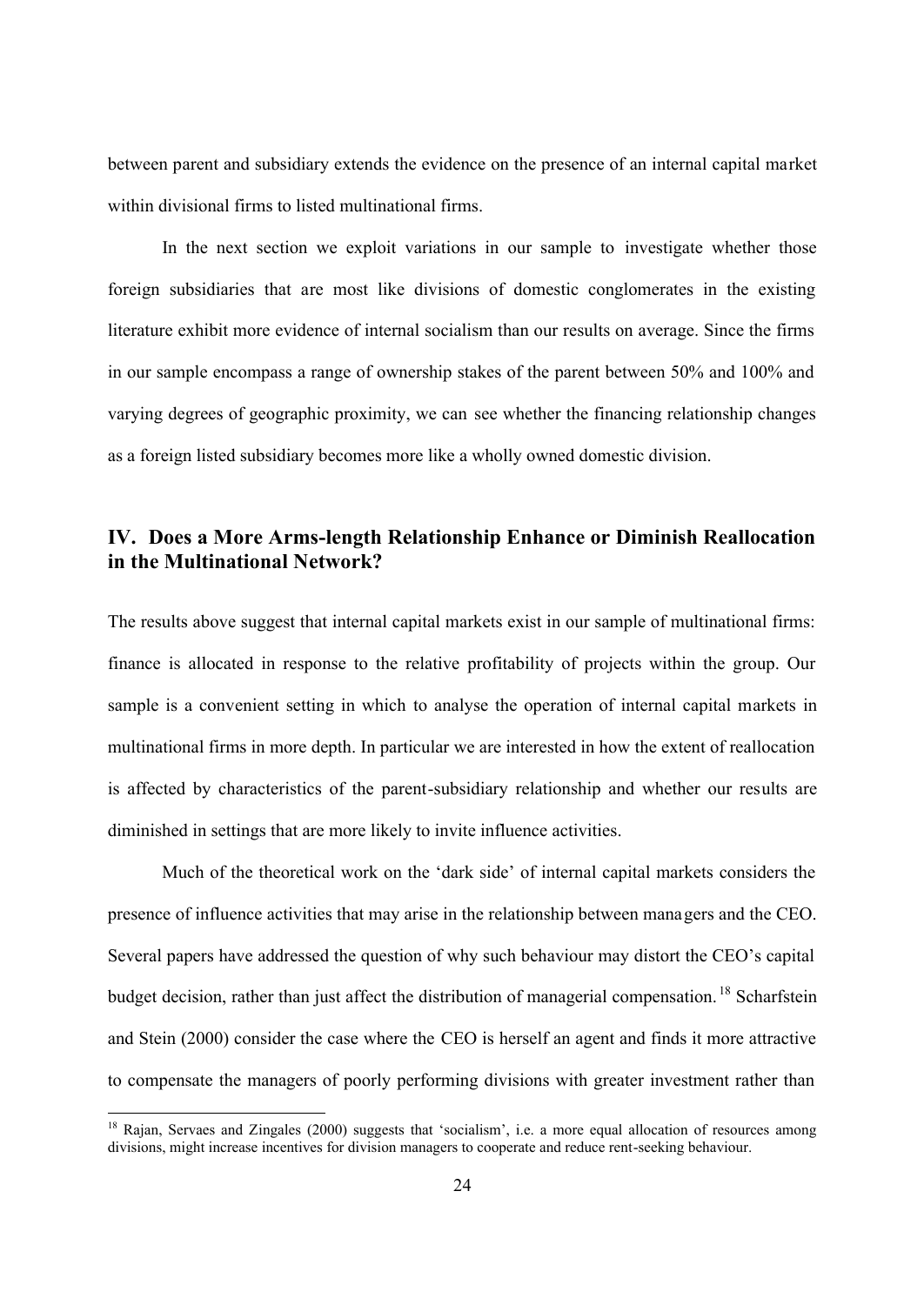between parent and subsidiary extends the evidence on the presence of an internal capital market within divisional firms to listed multinational firms.

In the next section we exploit variations in our sample to investigate whether those foreign subsidiaries that are most like divisions of domestic conglomerates in the existing literature exhibit more evidence of internal socialism than our results on average. Since the firms in our sample encompass a range of ownership stakes of the parent between 50% and 100% and varying degrees of geographic proximity, we can see whether the financing relationship changes as a foreign listed subsidiary becomes more like a wholly owned domestic division.

## **IV. Does a More Arms-length Relationship Enhance or Diminish Reallocation in the Multinational Network?**

The results above suggest that internal capital markets exist in our sample of multinational firms: finance is allocated in response to the relative profitability of projects within the group. Our sample is a convenient setting in which to analyse the operation of internal capital markets in multinational firms in more depth. In particular we are interested in how the extent of reallocation is affected by characteristics of the parent-subsidiary relationship and whether our results are diminished in settings that are more likely to invite influence activities.

Much of the theoretical work on the 'dark side' of internal capital markets considers the presence of influence activities that may arise in the relationship between managers and the CEO. Several papers have addressed the question of why such behaviour may distort the CEO's capital budget decision, rather than just affect the distribution of managerial compensation.<sup>18</sup> Scharfstein and Stein (2000) consider the case where the CEO is herself an agent and finds it more attractive to compensate the managers of poorly performing divisions with greater investment rather than

<sup>&</sup>lt;sup>18</sup> Rajan, Servaes and Zingales (2000) suggests that 'socialism', i.e. a more equal allocation of resources among divisions, might increase incentives for division managers to cooperate and reduce rent-seeking behaviour.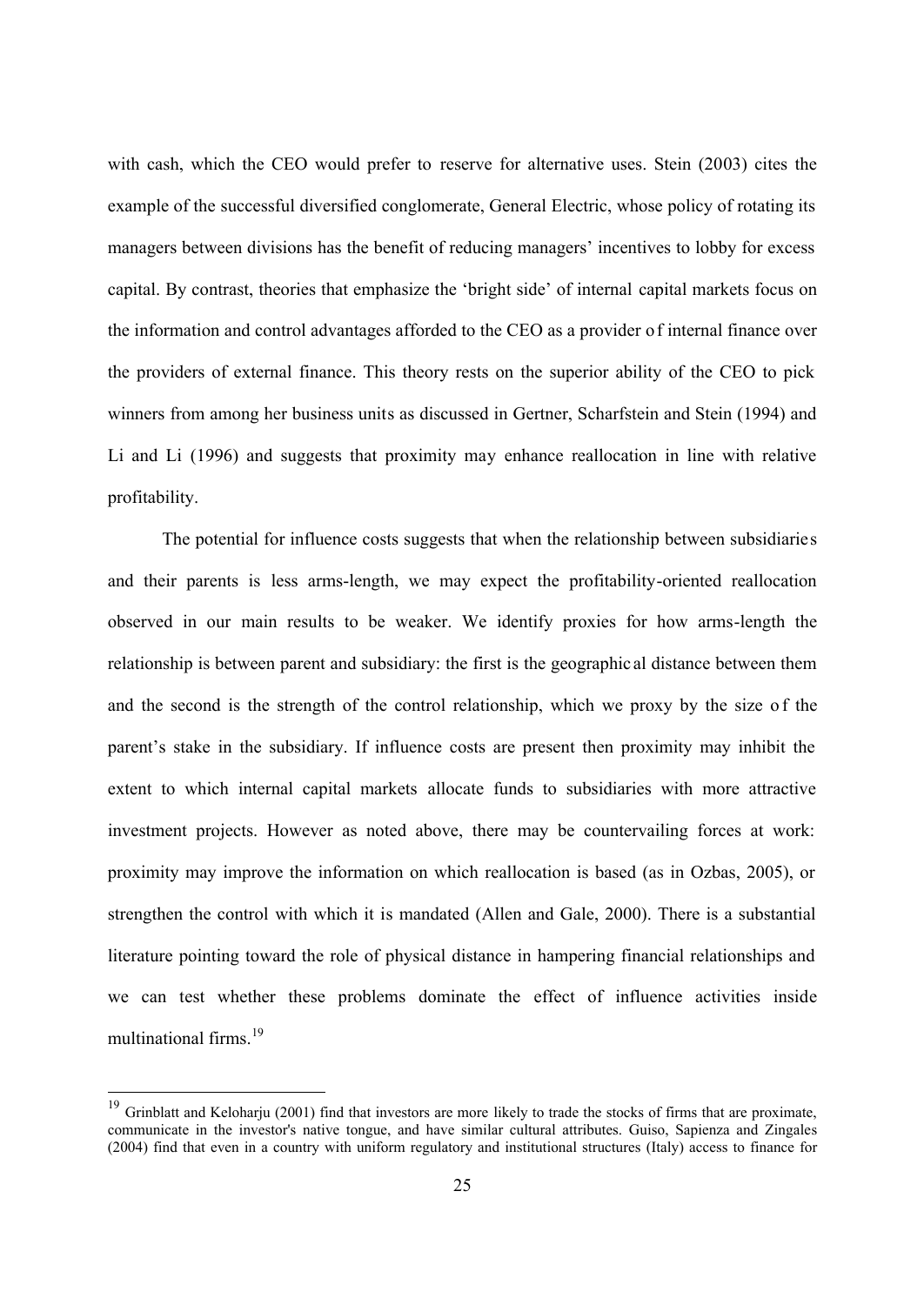with cash, which the CEO would prefer to reserve for alternative uses. Stein (2003) cites the example of the successful diversified conglomerate, General Electric, whose policy of rotating its managers between divisions has the benefit of reducing managers' incentives to lobby for excess capital. By contrast, theories that emphasize the 'bright side' of internal capital markets focus on the information and control advantages afforded to the CEO as a provider of internal finance over the providers of external finance. This theory rests on the superior ability of the CEO to pick winners from among her business units as discussed in Gertner, Scharfstein and Stein (1994) and Li and Li (1996) and suggests that proximity may enhance reallocation in line with relative profitability.

The potential for influence costs suggests that when the relationship between subsidiaries and their parents is less arms-length, we may expect the profitability-oriented reallocation observed in our main results to be weaker. We identify proxies for how arms-length the relationship is between parent and subsidiary: the first is the geographic al distance between them and the second is the strength of the control relationship, which we proxy by the size of the parent's stake in the subsidiary. If influence costs are present then proximity may inhibit the extent to which internal capital markets allocate funds to subsidiaries with more attractive investment projects. However as noted above, there may be countervailing forces at work: proximity may improve the information on which reallocation is based (as in Ozbas, 2005), or strengthen the control with which it is mandated (Allen and Gale, 2000). There is a substantial literature pointing toward the role of physical distance in hampering financial relationships and we can test whether these problems dominate the effect of influence activities inside multinational firms.<sup>19</sup>

 $\overline{a}$ 

 $19$  Grinblatt and Keloharju (2001) find that investors are more likely to trade the stocks of firms that are proximate, communicate in the investor's native tongue, and have similar cultural attributes. Guiso, Sapienza and Zingales (2004) find that even in a country with uniform regulatory and institutional structures (Italy) access to finance for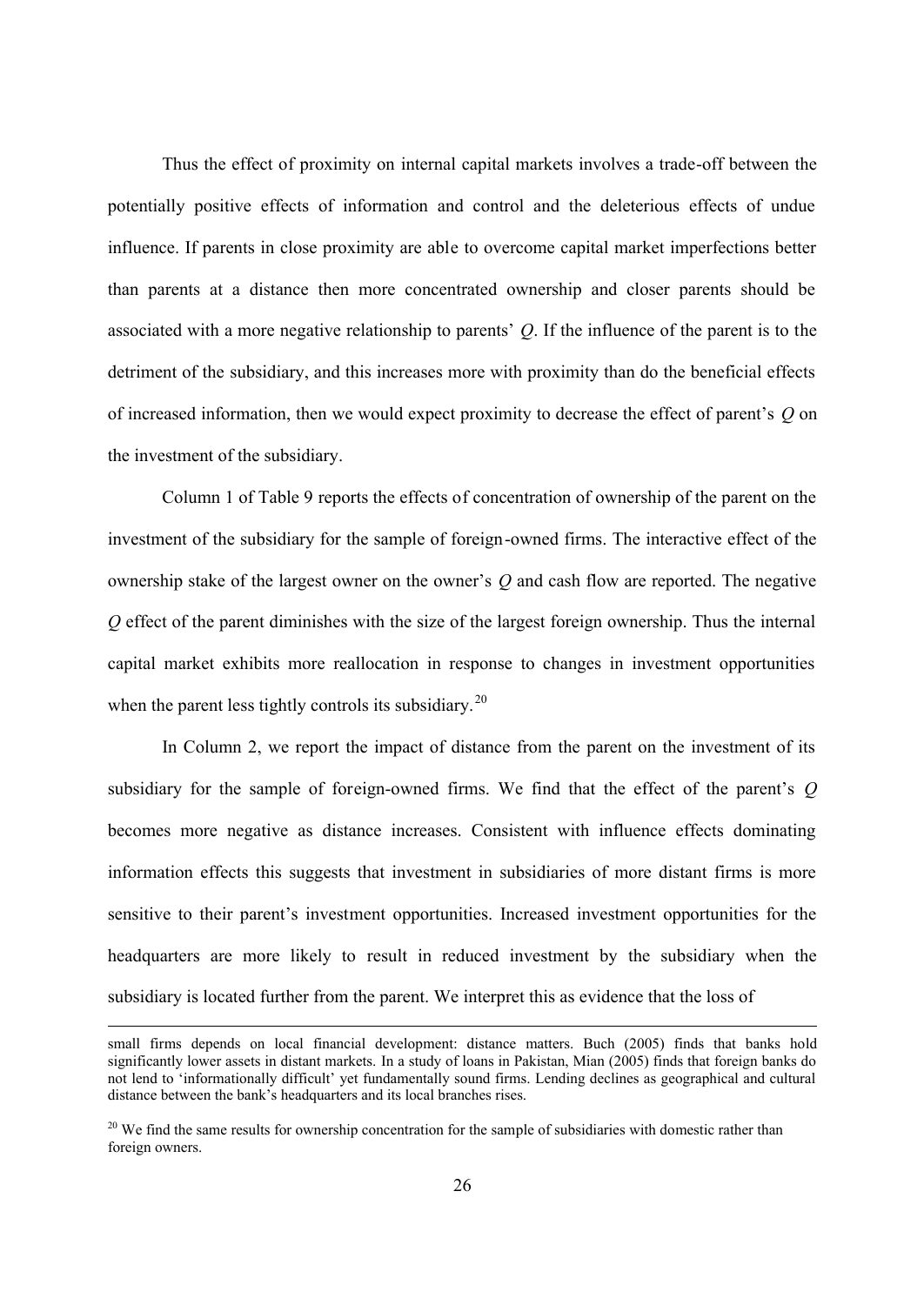Thus the effect of proximity on internal capital markets involves a trade-off between the potentially positive effects of information and control and the deleterious effects of undue influence. If parents in close proximity are able to overcome capital market imperfections better than parents at a distance then more concentrated ownership and closer parents should be associated with a more negative relationship to parents' *Q*. If the influence of the parent is to the detriment of the subsidiary, and this increases more with proximity than do the beneficial effects of increased information, then we would expect proximity to decrease the effect of parent's *Q* on the investment of the subsidiary.

Column 1 of Table 9 reports the effects of concentration of ownership of the parent on the investment of the subsidiary for the sample of foreign-owned firms. The interactive effect of the ownership stake of the largest owner on the owner's *Q* and cash flow are reported. The negative *Q* effect of the parent diminishes with the size of the largest foreign ownership. Thus the internal capital market exhibits more reallocation in response to changes in investment opportunities when the parent less tightly controls its subsidiary.<sup>20</sup>

In Column 2, we report the impact of distance from the parent on the investment of its subsidiary for the sample of foreign-owned firms. We find that the effect of the parent's *Q* becomes more negative as distance increases. Consistent with influence effects dominating information effects this suggests that investment in subsidiaries of more distant firms is more sensitive to their parent's investment opportunities. Increased investment opportunities for the headquarters are more likely to result in reduced investment by the subsidiary when the subsidiary is located further from the parent. We interpret this as evidence that the loss of

small firms depends on local financial development: distance matters. Buch (2005) finds that banks hold significantly lower assets in distant markets. In a study of loans in Pakistan, Mian (2005) finds that foreign banks do not lend to 'informationally difficult' yet fundamentally sound firms. Lending declines as geographical and cultural distance between the bank's headquarters and its local branches rises.

<sup>&</sup>lt;sup>20</sup> We find the same results for ownership concentration for the sample of subsidiaries with domestic rather than foreign owners.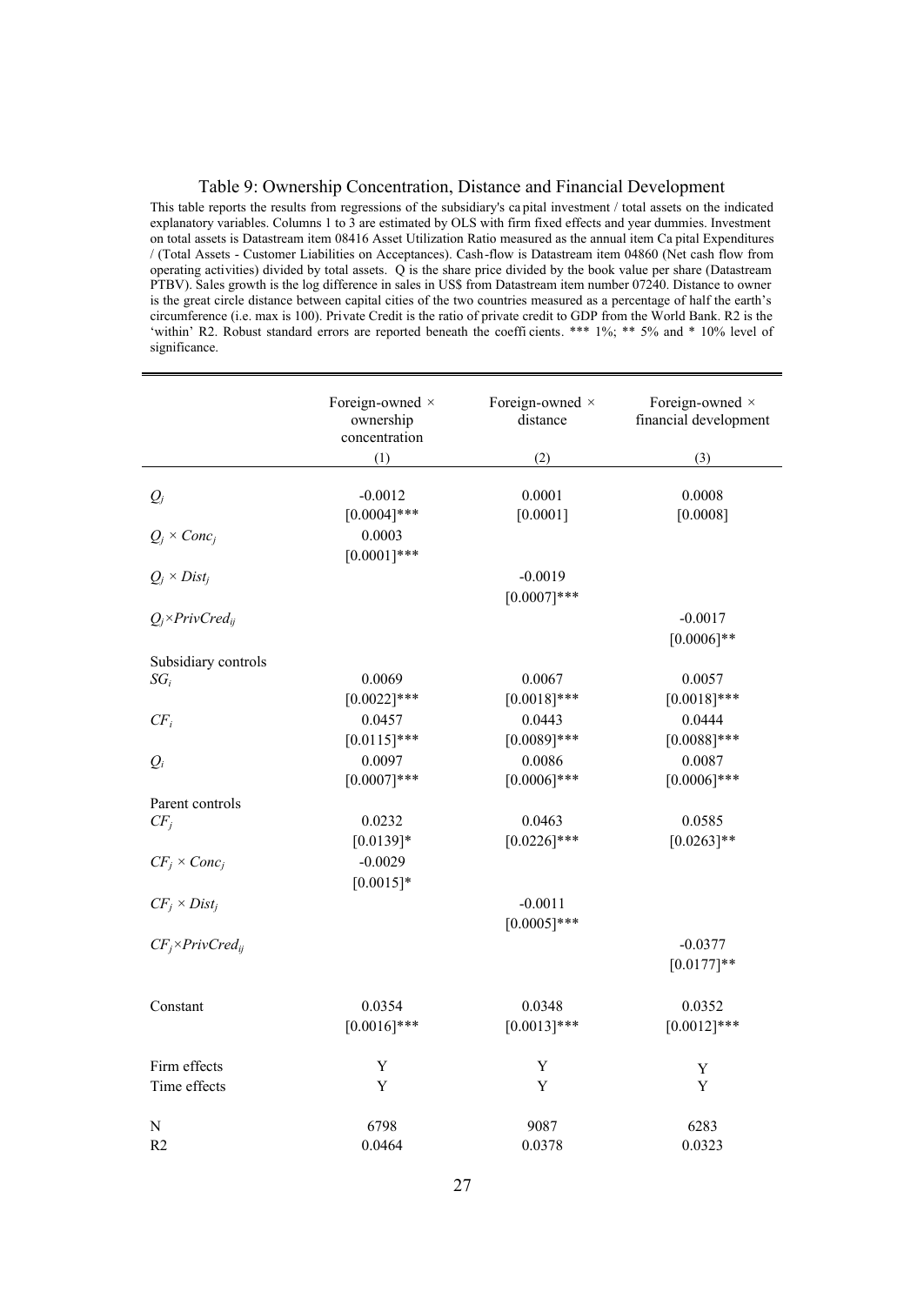#### Table 9: Ownership Concentration, Distance and Financial Development

This table reports the results from regressions of the subsidiary's ca pital investment / total assets on the indicated explanatory variables. Columns 1 to 3 are estimated by OLS with firm fixed effects and year dummies. Investment on total assets is Datastream item 08416 Asset Utilization Ratio measured as the annual item Ca pital Expenditures / (Total Assets - Customer Liabilities on Acceptances). Cash-flow is Datastream item 04860 (Net cash flow from operating activities) divided by total assets. Q is the share price divided by the book value per share (Datastream PTBV). Sales growth is the log difference in sales in US\$ from Datastream item number 07240. Distance to owner is the great circle distance between capital cities of the two countries measured as a percentage of half the earth's circumference (i.e. max is 100). Private Credit is the ratio of private credit to GDP from the World Bank. R2 is the 'within' R2. Robust standard errors are reported beneath the coeffi cients. \*\*\* 1%; \*\* 5% and \* 10% level of significance.

|                               | Foreign-owned ×<br>ownership<br>concentration | Foreign-owned ×<br>distance | Foreign-owned ×<br>financial development |
|-------------------------------|-----------------------------------------------|-----------------------------|------------------------------------------|
|                               | (1)                                           | (2)                         | (3)                                      |
| $Q_j$                         | $-0.0012$<br>$[0.0004]$ ***                   | 0.0001<br>[0.0001]          | 0.0008<br>[0.0008]                       |
| $Q_j \times Conc_j$           | 0.0003<br>$[0.0001]$ ***                      |                             |                                          |
| $Q_i \times Dist_i$           |                                               | $-0.0019$<br>$[0.0007]***$  |                                          |
| $Q_j \times PrivCred_{ij}$    |                                               |                             | $-0.0017$<br>$[0.0006]$ **               |
| Subsidiary controls<br>$SG_i$ | 0.0069<br>$[0.0022]$ ***                      | 0.0067<br>$[0.0018]***$     | 0.0057<br>$[0.0018]***$                  |
| $CF_i$                        | 0.0457<br>$[0.0115]$ ***                      | 0.0443<br>$[0.0089]$ ***    | 0.0444<br>$[0.0088]$ ***                 |
| $Q_i$                         | 0.0097<br>$[0.0007]***$                       | 0.0086<br>$[0.0006]$ ***    | 0.0087<br>$[0.0006]$ ***                 |
| Parent controls               |                                               |                             |                                          |
| $CF_i$                        | 0.0232<br>$[0.0139]*$                         | 0.0463<br>$[0.0226]$ ***    | 0.0585<br>$[0.0263]**$                   |
| $CF_i \times Conc_i$          | $-0.0029$<br>$[0.0015]*$                      |                             |                                          |
| $CF_i \times Dist_i$          |                                               | $-0.0011$<br>$[0.0005]$ *** |                                          |
| $CF_i \times Private_{ij}$    |                                               |                             | $-0.0377$<br>$[0.0177]**$                |
| Constant                      | 0.0354<br>$[0.0016]$ ***                      | 0.0348<br>$[0.0013]$ ***    | 0.0352<br>$[0.0012]$ ***                 |
| Firm effects                  | Y                                             | Y                           | Y                                        |
| Time effects                  | Y                                             | Y                           | Y                                        |
| N                             | 6798                                          | 9087                        | 6283                                     |
| R <sub>2</sub>                | 0.0464                                        | 0.0378                      | 0.0323                                   |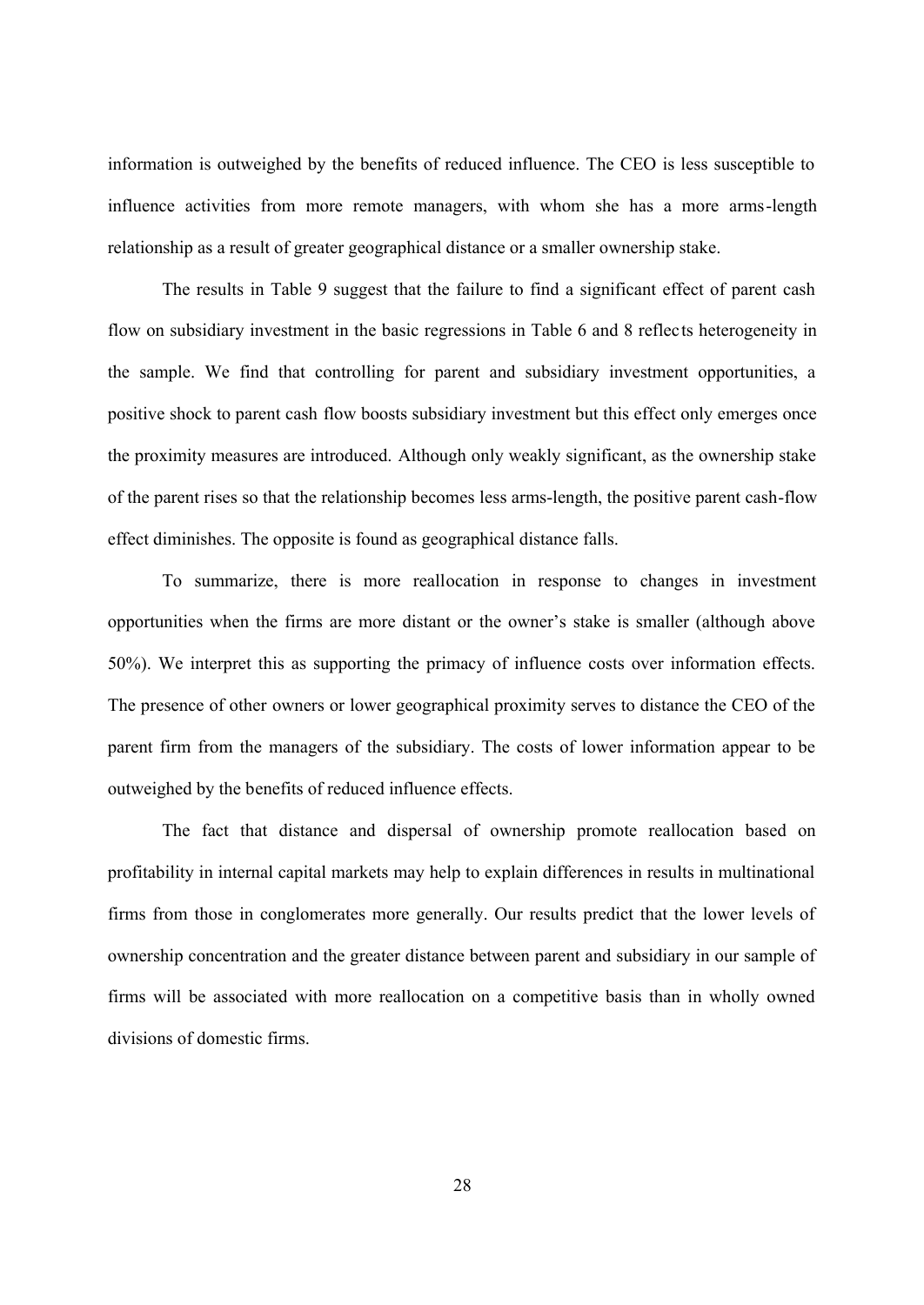information is outweighed by the benefits of reduced influence. The CEO is less susceptible to influence activities from more remote managers, with whom she has a more arms-length relationship as a result of greater geographical distance or a smaller ownership stake.

The results in Table 9 suggest that the failure to find a significant effect of parent cash flow on subsidiary investment in the basic regressions in Table 6 and 8 reflects heterogeneity in the sample. We find that controlling for parent and subsidiary investment opportunities, a positive shock to parent cash flow boosts subsidiary investment but this effect only emerges once the proximity measures are introduced. Although only weakly significant, as the ownership stake of the parent rises so that the relationship becomes less arms-length, the positive parent cash-flow effect diminishes. The opposite is found as geographical distance falls.

To summarize, there is more reallocation in response to changes in investment opportunities when the firms are more distant or the owner's stake is smaller (although above 50%). We interpret this as supporting the primacy of influence costs over information effects. The presence of other owners or lower geographical proximity serves to distance the CEO of the parent firm from the managers of the subsidiary. The costs of lower information appear to be outweighed by the benefits of reduced influence effects.

The fact that distance and dispersal of ownership promote reallocation based on profitability in internal capital markets may help to explain differences in results in multinational firms from those in conglomerates more generally. Our results predict that the lower levels of ownership concentration and the greater distance between parent and subsidiary in our sample of firms will be associated with more reallocation on a competitive basis than in wholly owned divisions of domestic firms.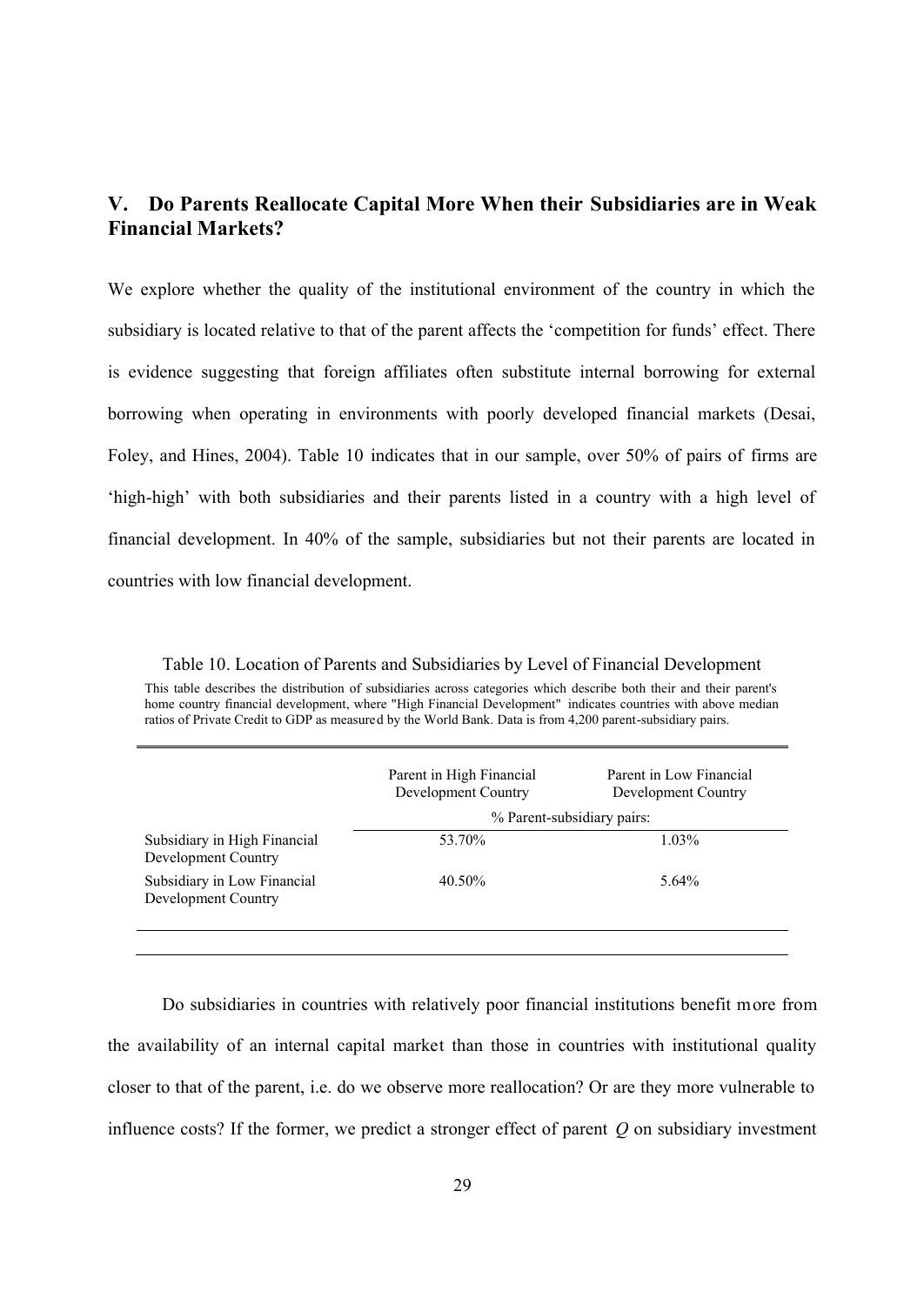## **V. Do Parents Reallocate Capital More When their Subsidiaries are in Weak Financial Markets?**

We explore whether the quality of the institutional environment of the country in which the subsidiary is located relative to that of the parent affects the 'competition for funds' effect. There is evidence suggesting that foreign affiliates often substitute internal borrowing for external borrowing when operating in environments with poorly developed financial markets (Desai, Foley, and Hines, 2004). Table 10 indicates that in our sample, over 50% of pairs of firms are 'high-high' with both subsidiaries and their parents listed in a country with a high level of financial development. In 40% of the sample, subsidiaries but not their parents are located in countries with low financial development.

Table 10. Location of Parents and Subsidiaries by Level of Financial Development This table describes the distribution of subsidiaries across categories which describe both their and their parent's home country financial development, where "High Financial Development" indicates countries with above median ratios of Private Credit to GDP as measured by the World Bank. Data is from 4,200 parent-subsidiary pairs.

|                                                     | Parent in High Financial<br>Development Country | Parent in Low Financial<br>Development Country |
|-----------------------------------------------------|-------------------------------------------------|------------------------------------------------|
|                                                     |                                                 | % Parent-subsidiary pairs:                     |
| Subsidiary in High Financial<br>Development Country | 53.70%                                          | 1.03%                                          |
| Subsidiary in Low Financial<br>Development Country  | $40.50\%$                                       | $5.64\%$                                       |
|                                                     |                                                 |                                                |

Do subsidiaries in countries with relatively poor financial institutions benefit more from the availability of an internal capital market than those in countries with institutional quality closer to that of the parent, i.e. do we observe more reallocation? Or are they more vulnerable to influence costs? If the former, we predict a stronger effect of parent *Q* on subsidiary investment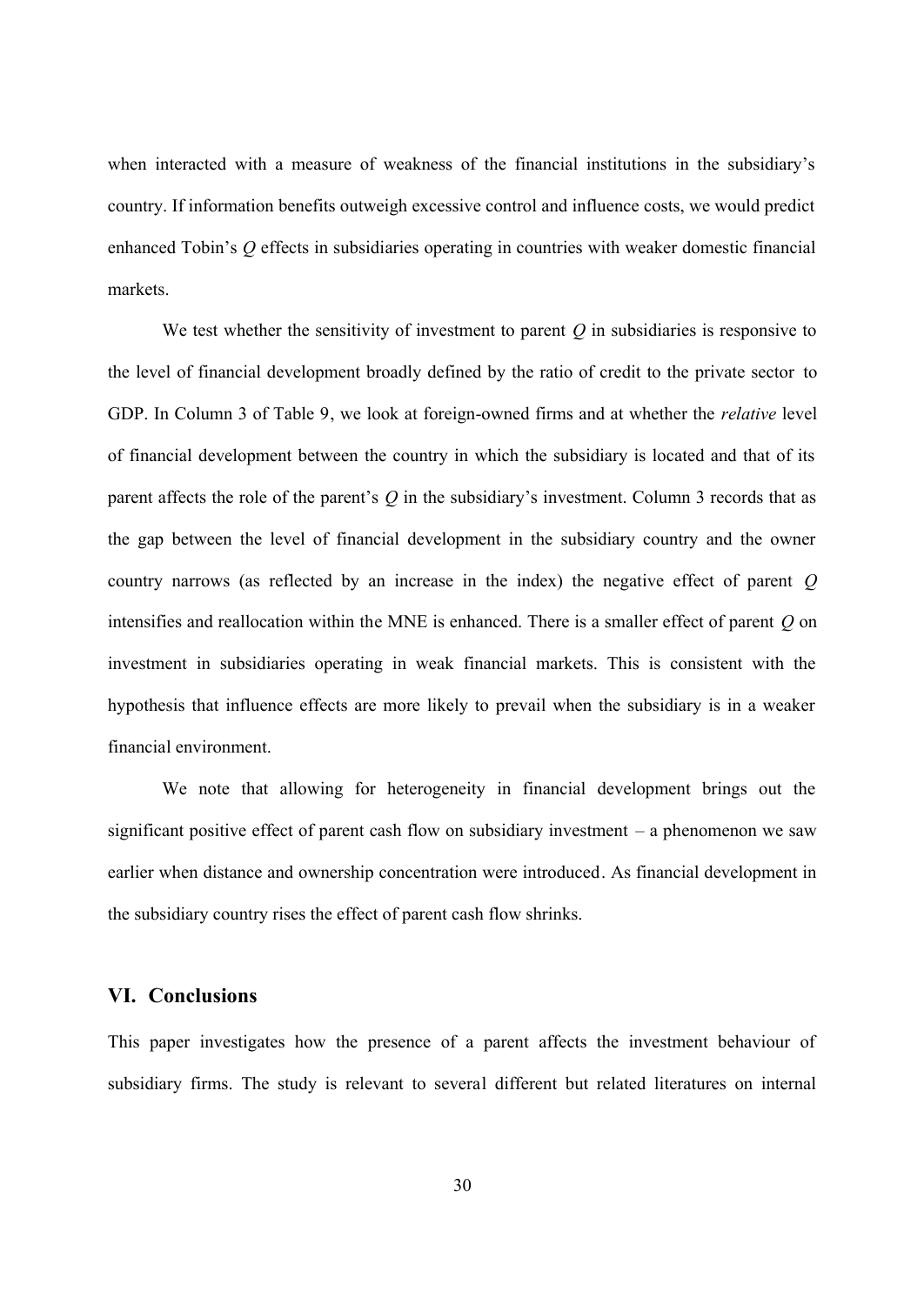when interacted with a measure of weakness of the financial institutions in the subsidiary's country. If information benefits outweigh excessive control and influence costs, we would predict enhanced Tobin's *Q* effects in subsidiaries operating in countries with weaker domestic financial markets.

We test whether the sensitivity of investment to parent *Q* in subsidiaries is responsive to the level of financial development broadly defined by the ratio of credit to the private sector to GDP. In Column 3 of Table 9, we look at foreign-owned firms and at whether the *relative* level of financial development between the country in which the subsidiary is located and that of its parent affects the role of the parent's *Q* in the subsidiary's investment. Column 3 records that as the gap between the level of financial development in the subsidiary country and the owner country narrows (as reflected by an increase in the index) the negative effect of parent *Q* intensifies and reallocation within the MNE is enhanced. There is a smaller effect of parent *Q* on investment in subsidiaries operating in weak financial markets. This is consistent with the hypothesis that influence effects are more likely to prevail when the subsidiary is in a weaker financial environment.

We note that allowing for heterogeneity in financial development brings out the significant positive effect of parent cash flow on subsidiary investment – a phenomenon we saw earlier when distance and ownership concentration were introduced. As financial development in the subsidiary country rises the effect of parent cash flow shrinks.

## **VI. Conclusions**

This paper investigates how the presence of a parent affects the investment behaviour of subsidiary firms. The study is relevant to several different but related literatures on internal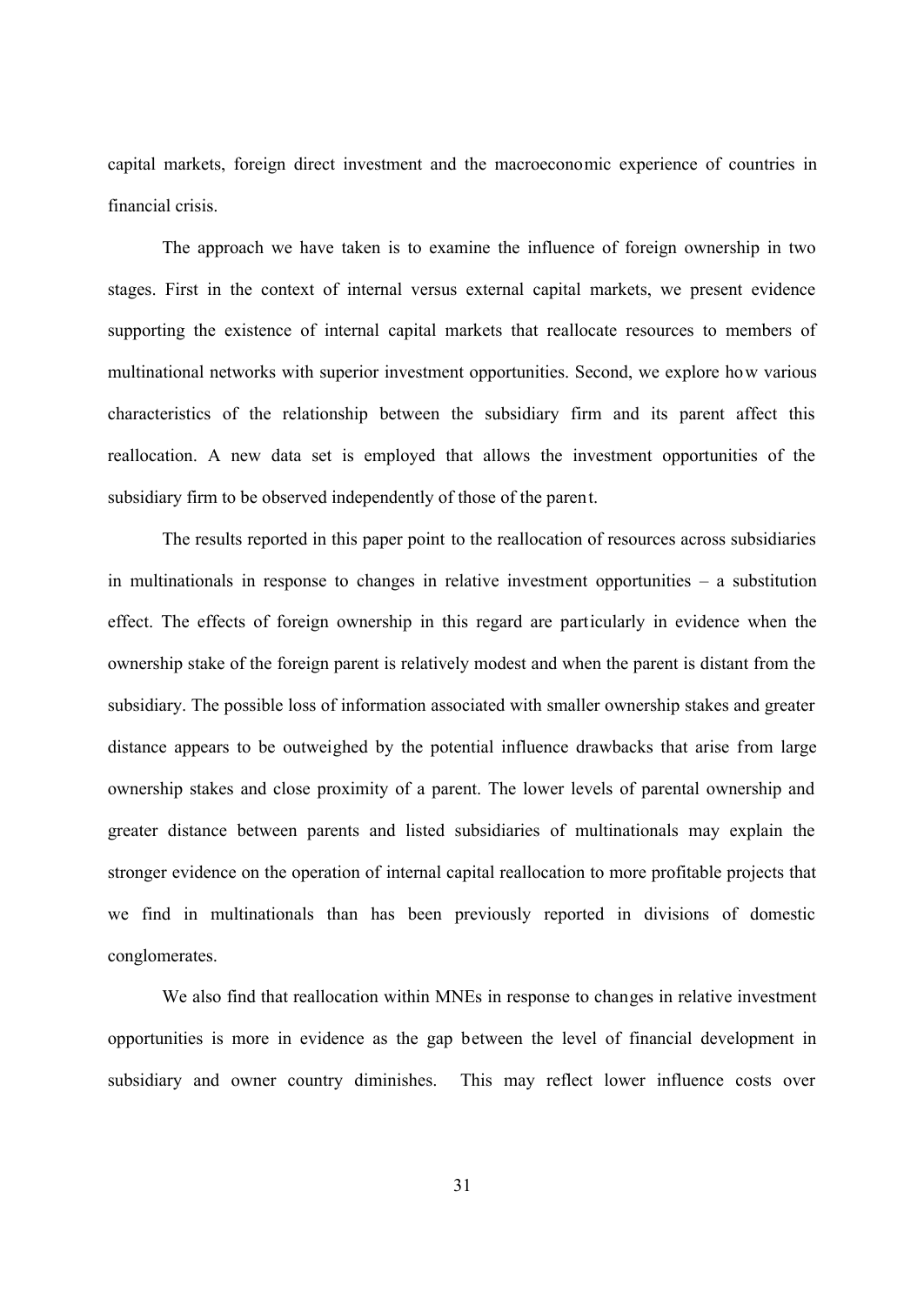capital markets, foreign direct investment and the macroeconomic experience of countries in financial crisis.

The approach we have taken is to examine the influence of foreign ownership in two stages. First in the context of internal versus external capital markets, we present evidence supporting the existence of internal capital markets that reallocate resources to members of multinational networks with superior investment opportunities. Second, we explore how various characteristics of the relationship between the subsidiary firm and its parent affect this reallocation. A new data set is employed that allows the investment opportunities of the subsidiary firm to be observed independently of those of the parent.

The results reported in this paper point to the reallocation of resources across subsidiaries in multinationals in response to changes in relative investment opportunities – a substitution effect. The effects of foreign ownership in this regard are particularly in evidence when the ownership stake of the foreign parent is relatively modest and when the parent is distant from the subsidiary. The possible loss of information associated with smaller ownership stakes and greater distance appears to be outweighed by the potential influence drawbacks that arise from large ownership stakes and close proximity of a parent. The lower levels of parental ownership and greater distance between parents and listed subsidiaries of multinationals may explain the stronger evidence on the operation of internal capital reallocation to more profitable projects that we find in multinationals than has been previously reported in divisions of domestic conglomerates.

We also find that reallocation within MNEs in response to changes in relative investment opportunities is more in evidence as the gap between the level of financial development in subsidiary and owner country diminishes. This may reflect lower influence costs over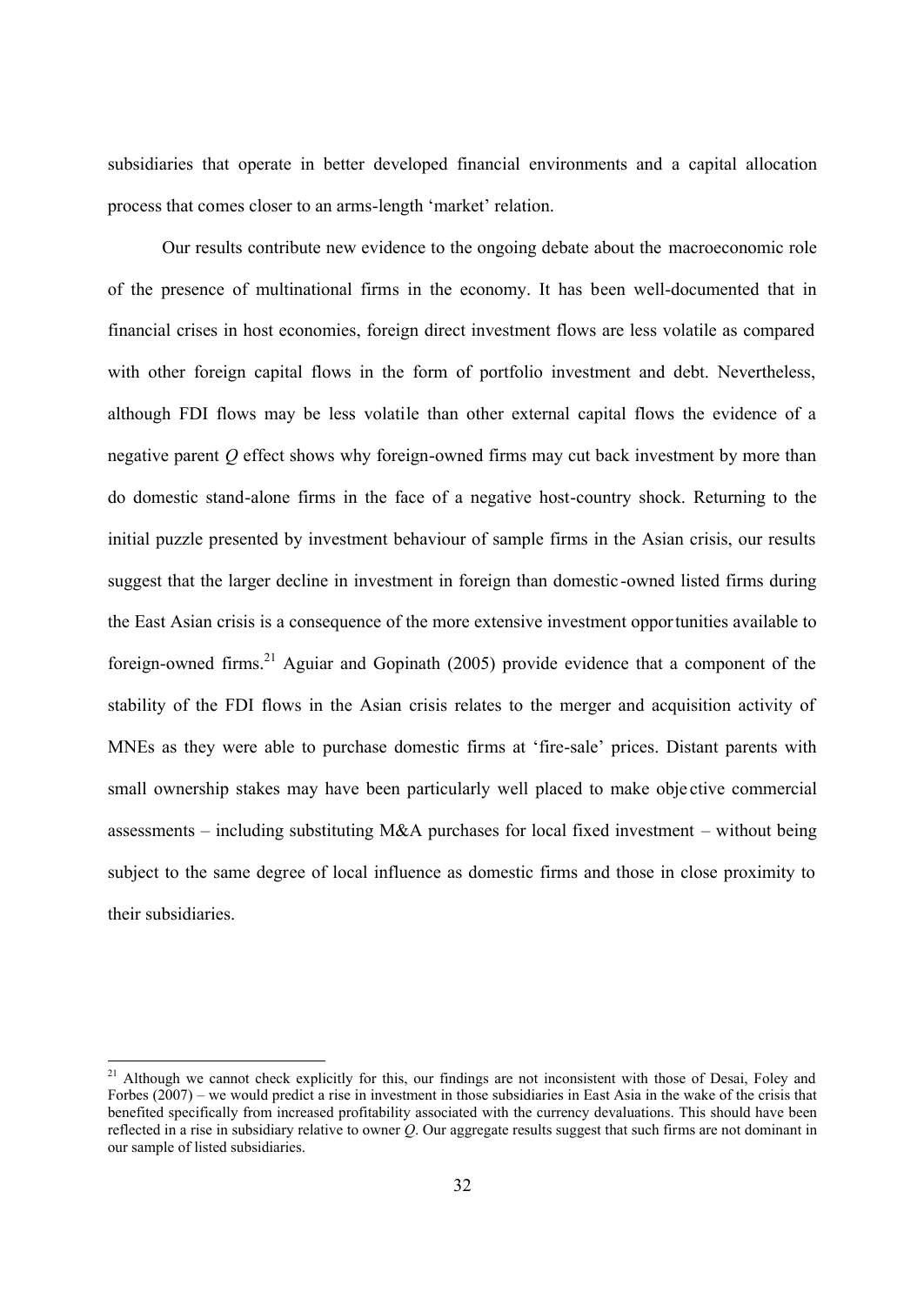subsidiaries that operate in better developed financial environments and a capital allocation process that comes closer to an arms-length 'market' relation.

Our results contribute new evidence to the ongoing debate about the macroeconomic role of the presence of multinational firms in the economy. It has been well-documented that in financial crises in host economies, foreign direct investment flows are less volatile as compared with other foreign capital flows in the form of portfolio investment and debt. Nevertheless, although FDI flows may be less volatile than other external capital flows the evidence of a negative parent *Q* effect shows why foreign-owned firms may cut back investment by more than do domestic stand-alone firms in the face of a negative host-country shock. Returning to the initial puzzle presented by investment behaviour of sample firms in the Asian crisis, our results suggest that the larger decline in investment in foreign than domestic -owned listed firms during the East Asian crisis is a consequence of the more extensive investment opportunities available to foreign-owned firms.<sup>21</sup> Aguiar and Gopinath (2005) provide evidence that a component of the stability of the FDI flows in the Asian crisis relates to the merger and acquisition activity of MNEs as they were able to purchase domestic firms at 'fire-sale' prices. Distant parents with small ownership stakes may have been particularly well placed to make obje ctive commercial assessments – including substituting M&A purchases for local fixed investment – without being subject to the same degree of local influence as domestic firms and those in close proximity to their subsidiaries.

 $\overline{a}$ 

<sup>&</sup>lt;sup>21</sup> Although we cannot check explicitly for this, our findings are not inconsistent with those of Desai, Foley and Forbes (2007) – we would predict a rise in investment in those subsidiaries in East Asia in the wake of the crisis that benefited specifically from increased profitability associated with the currency devaluations. This should have been reflected in a rise in subsidiary relative to owner *Q*. Our aggregate results suggest that such firms are not dominant in our sample of listed subsidiaries.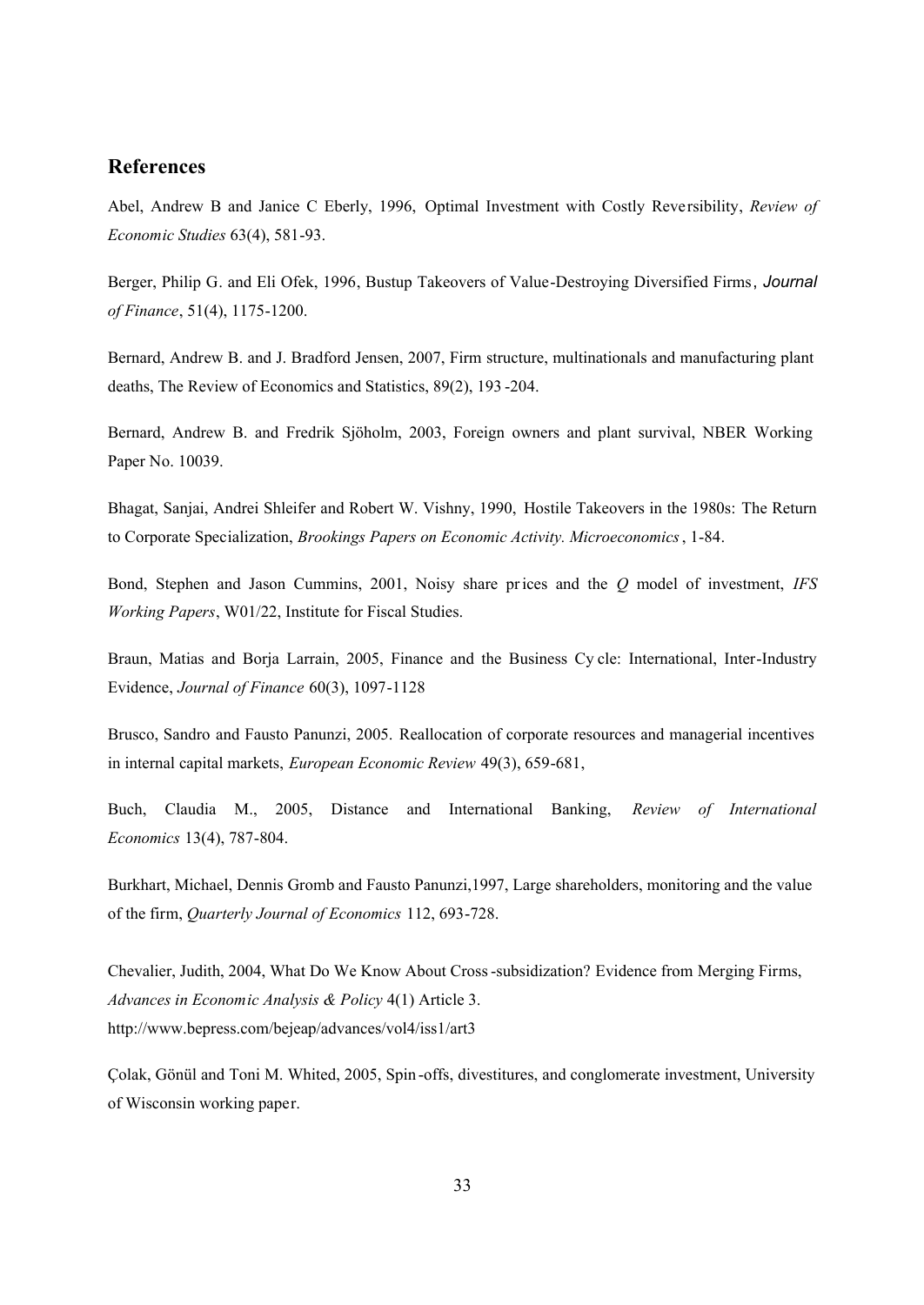## **References**

Abel, Andrew B and Janice C Eberly, 1996, Optimal Investment with Costly Reversibility, *Review of Economic Studies* 63(4), 581-93.

Berger, Philip G. and Eli Ofek, 1996, Bustup Takeovers of Value-Destroying Diversified Firms, *Journal of Finance*, 51(4), 1175-1200.

Bernard, Andrew B. and J. Bradford Jensen, 2007, Firm structure, multinationals and manufacturing plant deaths, The Review of Economics and Statistics, 89(2), 193 -204.

Bernard, Andrew B. and Fredrik Sjöholm, 2003, Foreign owners and plant survival, NBER Working Paper No. 10039.

Bhagat, Sanjai, Andrei Shleifer and Robert W. Vishny, 1990, Hostile Takeovers in the 1980s: The Return to Corporate Specialization, *Brookings Papers on Economic Activity. Microeconomics*, 1-84.

Bond, Stephen and Jason Cummins, 2001, Noisy share prices and the *Q* model of investment, *IFS Working Papers*, W01/22, Institute for Fiscal Studies.

Braun, Matias and Borja Larrain, 2005, Finance and the Business Cy cle: International, Inter-Industry Evidence, *Journal of Finance* 60(3), 1097-1128

Brusco, Sandro and Fausto Panunzi, 2005. Reallocation of corporate resources and managerial incentives in internal capital markets, *European Economic Review* 49(3), 659-681,

Buch, Claudia M., 2005, Distance and International Banking, *Review of International Economics* 13(4), 787-804.

Burkhart, Michael, Dennis Gromb and Fausto Panunzi,1997, Large shareholders, monitoring and the value of the firm, *Quarterly Journal of Economics* 112, 693-728.

Chevalier, Judith, 2004, What Do We Know About Cross-subsidization? Evidence from Merging Firms, *Advances in Economic Analysis & Policy* 4(1) Article 3. http://www.bepress.com/bejeap/advances/vol4/iss1/art3

Çolak, Gönül and Toni M. Whited, 2005, Spin -offs, divestitures, and conglomerate investment, University of Wisconsin working paper.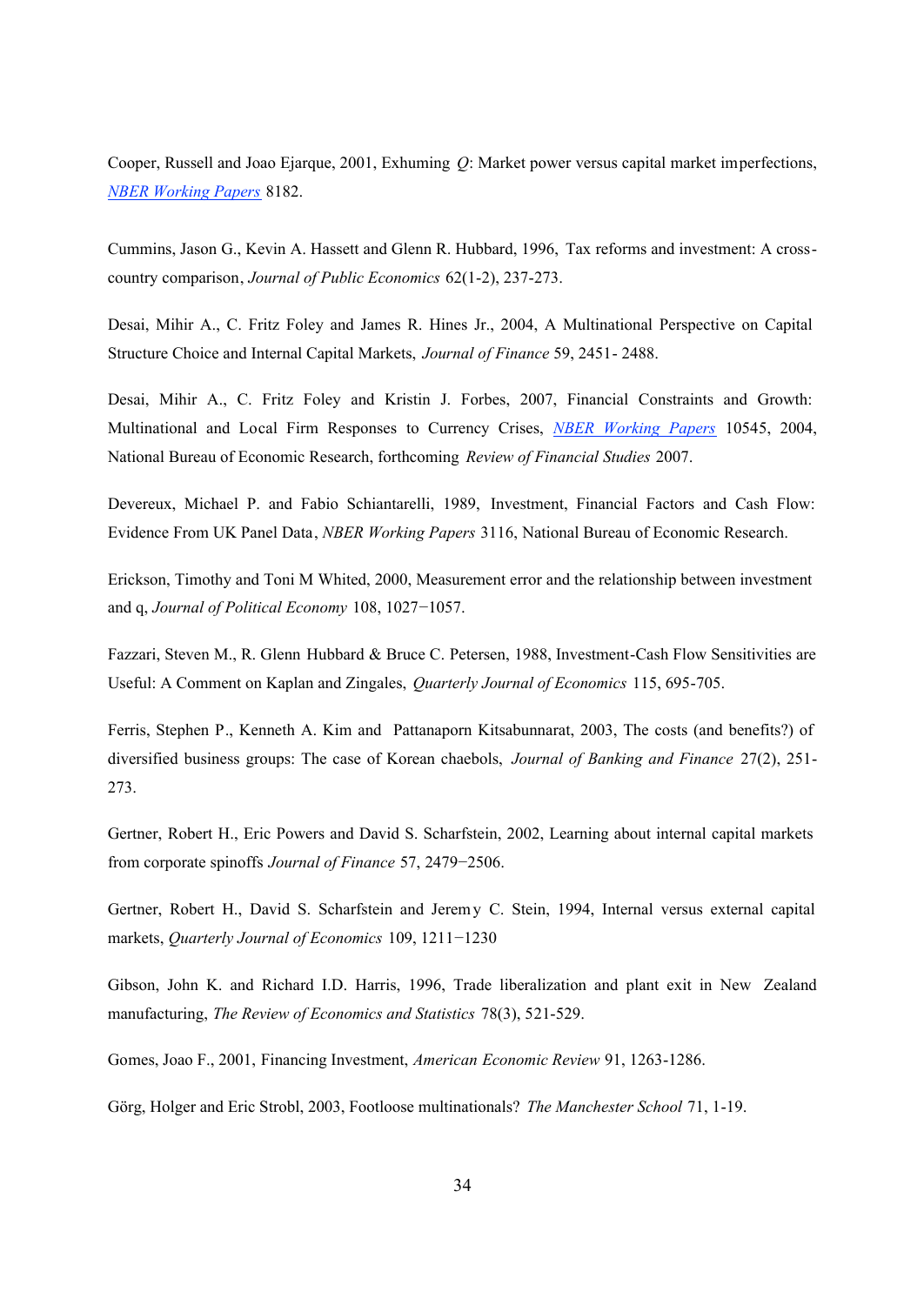Cooper, Russell and Joao Ejarque, 2001, Exhuming *Q*: Market power versus capital market imperfections, *NBER Working Papers* 8182.

Cummins, Jason G., Kevin A. Hassett and Glenn R. Hubbard, 1996, Tax reforms and investment: A crosscountry comparison, *Journal of Public Economics* 62(1-2), 237-273.

Desai, Mihir A., C. Fritz Foley and James R. Hines Jr., 2004, A Multinational Perspective on Capital Structure Choice and Internal Capital Markets, *Journal of Finance* 59, 2451- 2488.

Desai, Mihir A., C. Fritz Foley and Kristin J. Forbes, 2007, Financial Constraints and Growth: Multinational and Local Firm Responses to Currency Crises, *NBER Working Papers* 10545, 2004, National Bureau of Economic Research, forthcoming *Review of Financial Studies* 2007.

Devereux, Michael P. and Fabio Schiantarelli, 1989, Investment, Financial Factors and Cash Flow: Evidence From UK Panel Data, *NBER Working Papers* 3116, National Bureau of Economic Research.

Erickson, Timothy and Toni M Whited, 2000, Measurement error and the relationship between investment and q, *Journal of Political Economy* 108, 1027−1057.

Fazzari, Steven M., R. Glenn Hubbard & Bruce C. Petersen, 1988, Investment-Cash Flow Sensitivities are Useful: A Comment on Kaplan and Zingales, *Quarterly Journal of Economics* 115, 695-705.

Ferris, Stephen P., Kenneth A. Kim and Pattanaporn Kitsabunnarat, 2003, The costs (and benefits?) of diversified business groups: The case of Korean chaebols, *Journal of Banking and Finance* 27(2), 251- 273.

Gertner, Robert H., Eric Powers and David S. Scharfstein, 2002, Learning about internal capital markets from corporate spinoffs *Journal of Finance* 57, 2479−2506.

Gertner, Robert H., David S. Scharfstein and Jeremy C. Stein, 1994, Internal versus external capital markets, *Quarterly Journal of Economics* 109, 1211−1230

Gibson, John K. and Richard I.D. Harris, 1996, Trade liberalization and plant exit in New Zealand manufacturing, *The Review of Economics and Statistics* 78(3), 521-529.

Gomes, Joao F., 2001, Financing Investment, *American Economic Review* 91, 1263-1286.

Görg, Holger and Eric Strobl, 2003, Footloose multinationals? *The Manchester School* 71, 1-19.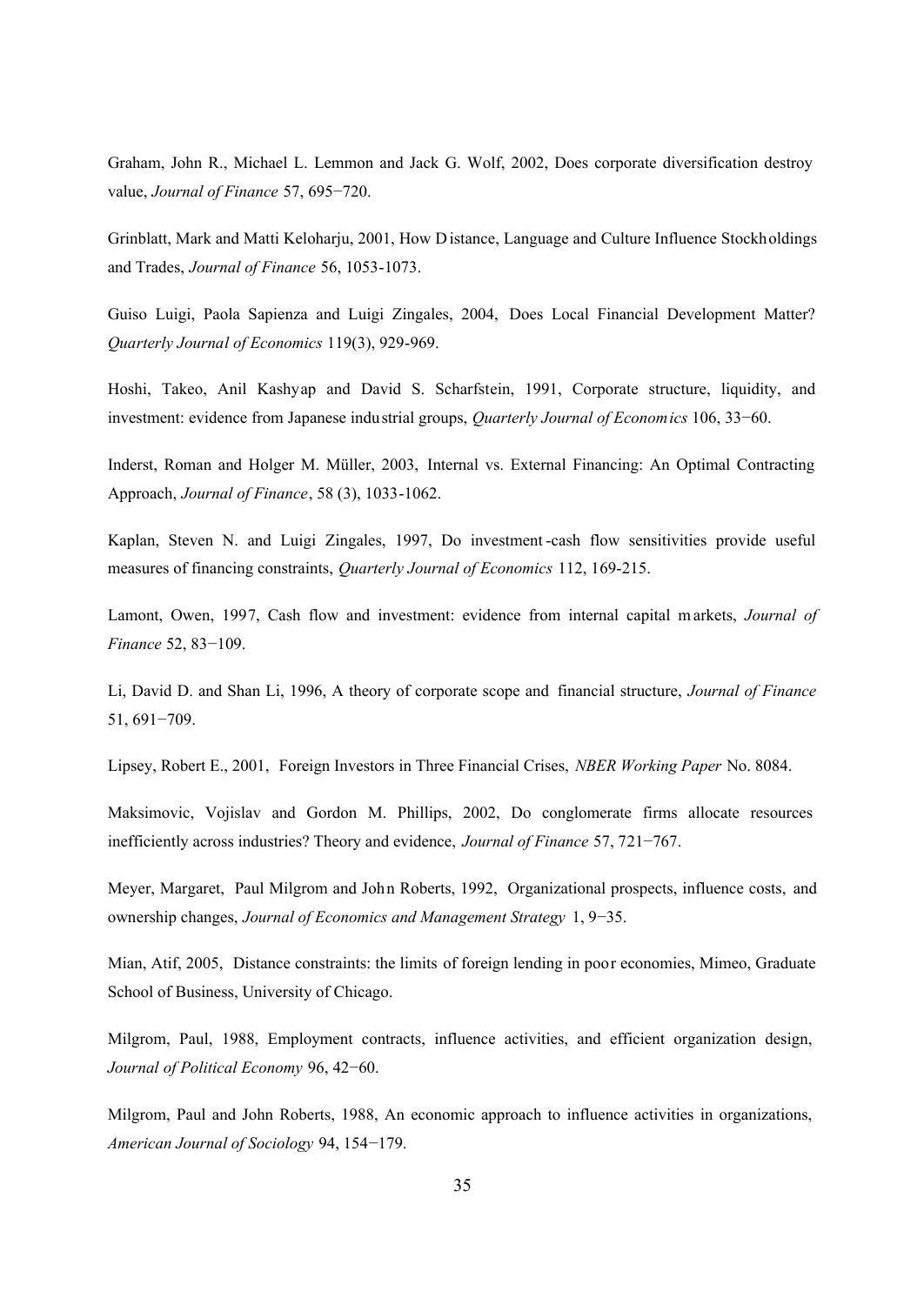Graham, John R., Michael L. Lemmon and Jack G. Wolf, 2002, Does corporate diversification destroy value, *Journal of Finance* 57, 695−720.

Grinblatt, Mark and Matti Keloharju, 2001, How Distance, Language and Culture Influence Stockholdings and Trades, *Journal of Finance* 56, 1053-1073.

Guiso Luigi, Paola Sapienza and Luigi Zingales, 2004, Does Local Financial Development Matter? *Quarterly Journal of Economics* 119(3), 929-969.

Hoshi, Takeo, Anil Kashyap and David S. Scharfstein, 1991, Corporate structure, liquidity, and investment: evidence from Japanese industrial groups, *Quarterly Journal of Economics* 106, 33−60.

Inderst, Roman and Holger M. Müller, 2003, Internal vs. External Financing: An Optimal Contracting Approach, *Journal of Finance*, 58 (3), 1033-1062.

Kaplan, Steven N. and Luigi Zingales, 1997, Do investment -cash flow sensitivities provide useful measures of financing constraints, *Quarterly Journal of Economics* 112, 169-215.

Lamont, Owen, 1997, Cash flow and investment: evidence from internal capital markets, *Journal of Finance* 52, 83−109.

Li, David D. and Shan Li, 1996, A theory of corporate scope and financial structure, *Journal of Finance* 51, 691−709.

Lipsey, Robert E., 2001, Foreign Investors in Three Financial Crises, *NBER Working Paper* No. 8084.

Maksimovic, Vojislav and Gordon M. Phillips, 2002, Do conglomerate firms allocate resources inefficiently across industries? Theory and evidence, *Journal of Finance* 57, 721−767.

Meyer, Margaret, Paul Milgrom and John Roberts, 1992, Organizational prospects, influence costs, and ownership changes, *Journal of Economics and Management Strategy* 1, 9−35.

Mian, Atif, 2005, Distance constraints: the limits of foreign lending in poor economies, Mimeo, Graduate School of Business, University of Chicago.

Milgrom, Paul, 1988, Employment contracts, influence activities, and efficient organization design, *Journal of Political Economy* 96, 42−60.

Milgrom, Paul and John Roberts, 1988, An economic approach to influence activities in organizations, *American Journal of Sociology* 94, 154−179.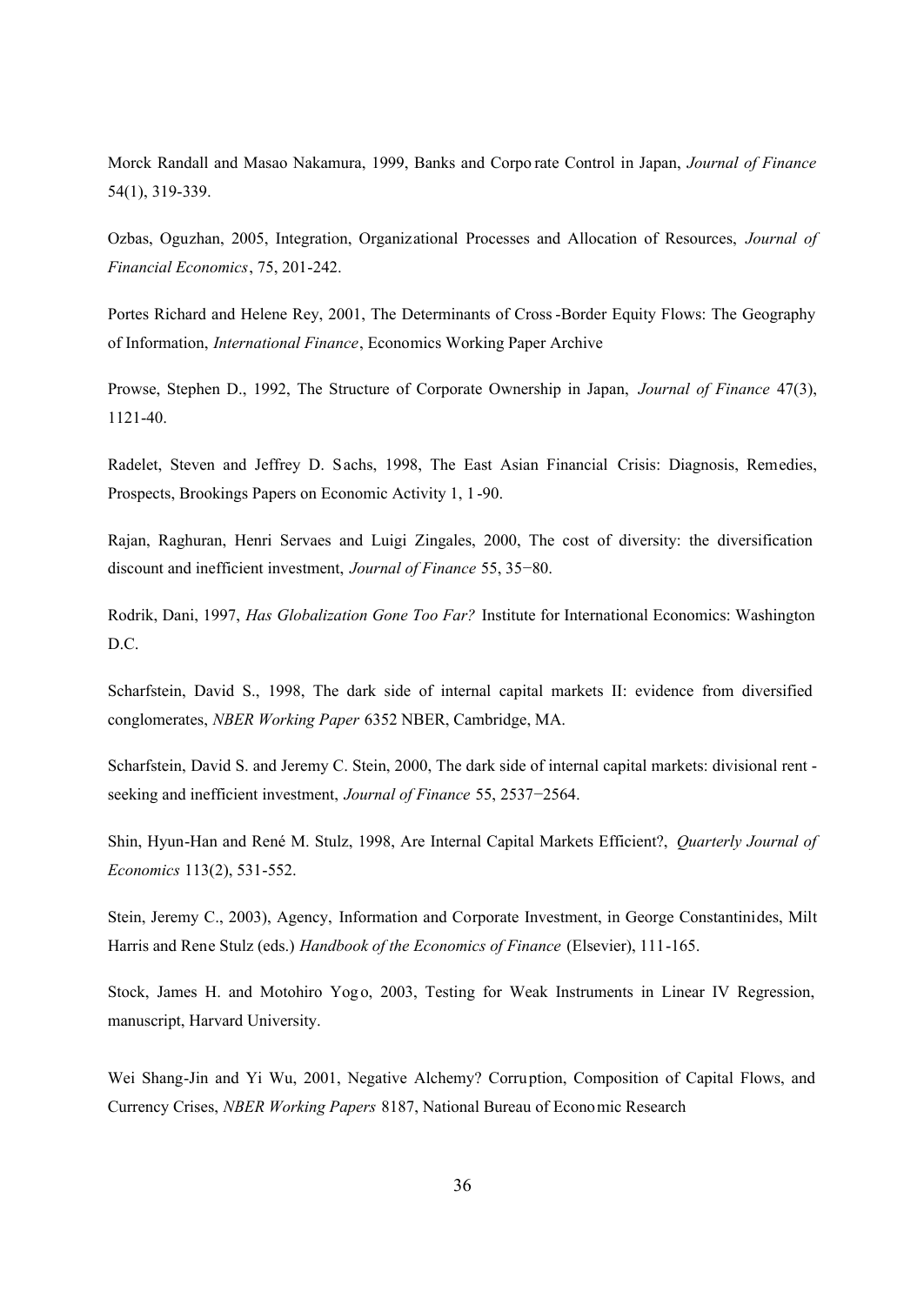Morck Randall and Masao Nakamura, 1999, Banks and Corpo rate Control in Japan, *Journal of Finance* 54(1), 319-339.

Ozbas, Oguzhan, 2005, Integration, Organizational Processes and Allocation of Resources, *Journal of Financial Economics*, 75, 201-242.

Portes Richard and Helene Rey, 2001, The Determinants of Cross -Border Equity Flows: The Geography of Information, *International Finance*, Economics Working Paper Archive

Prowse, Stephen D., 1992, The Structure of Corporate Ownership in Japan, *Journal of Finance* 47(3), 1121-40.

Radelet, Steven and Jeffrey D. Sachs, 1998, The East Asian Financial Crisis: Diagnosis, Remedies, Prospects, Brookings Papers on Economic Activity 1, 1 -90.

Rajan, Raghuran, Henri Servaes and Luigi Zingales, 2000, The cost of diversity: the diversification discount and inefficient investment, *Journal of Finance* 55, 35−80.

Rodrik, Dani, 1997, *Has Globalization Gone Too Far?* Institute for International Economics: Washington D.C.

Scharfstein, David S., 1998, The dark side of internal capital markets II: evidence from diversified conglomerates, *NBER Working Paper* 6352 NBER, Cambridge, MA.

Scharfstein, David S. and Jeremy C. Stein, 2000, The dark side of internal capital markets: divisional rent seeking and inefficient investment, *Journal of Finance* 55, 2537−2564.

Shin, Hyun-Han and René M. Stulz, 1998, Are Internal Capital Markets Efficient?, *Quarterly Journal of Economics* 113(2), 531-552.

Stein, Jeremy C., 2003), Agency, Information and Corporate Investment, in George Constantinides, Milt Harris and Rene Stulz (eds.) *Handbook of the Economics of Finance* (Elsevier), 111-165.

Stock, James H. and Motohiro Yogo, 2003, Testing for Weak Instruments in Linear IV Regression, manuscript, Harvard University.

Wei Shang-Jin and Yi Wu, 2001, Negative Alchemy? Corruption, Composition of Capital Flows, and Currency Crises, *NBER Working Papers* 8187, National Bureau of Economic Research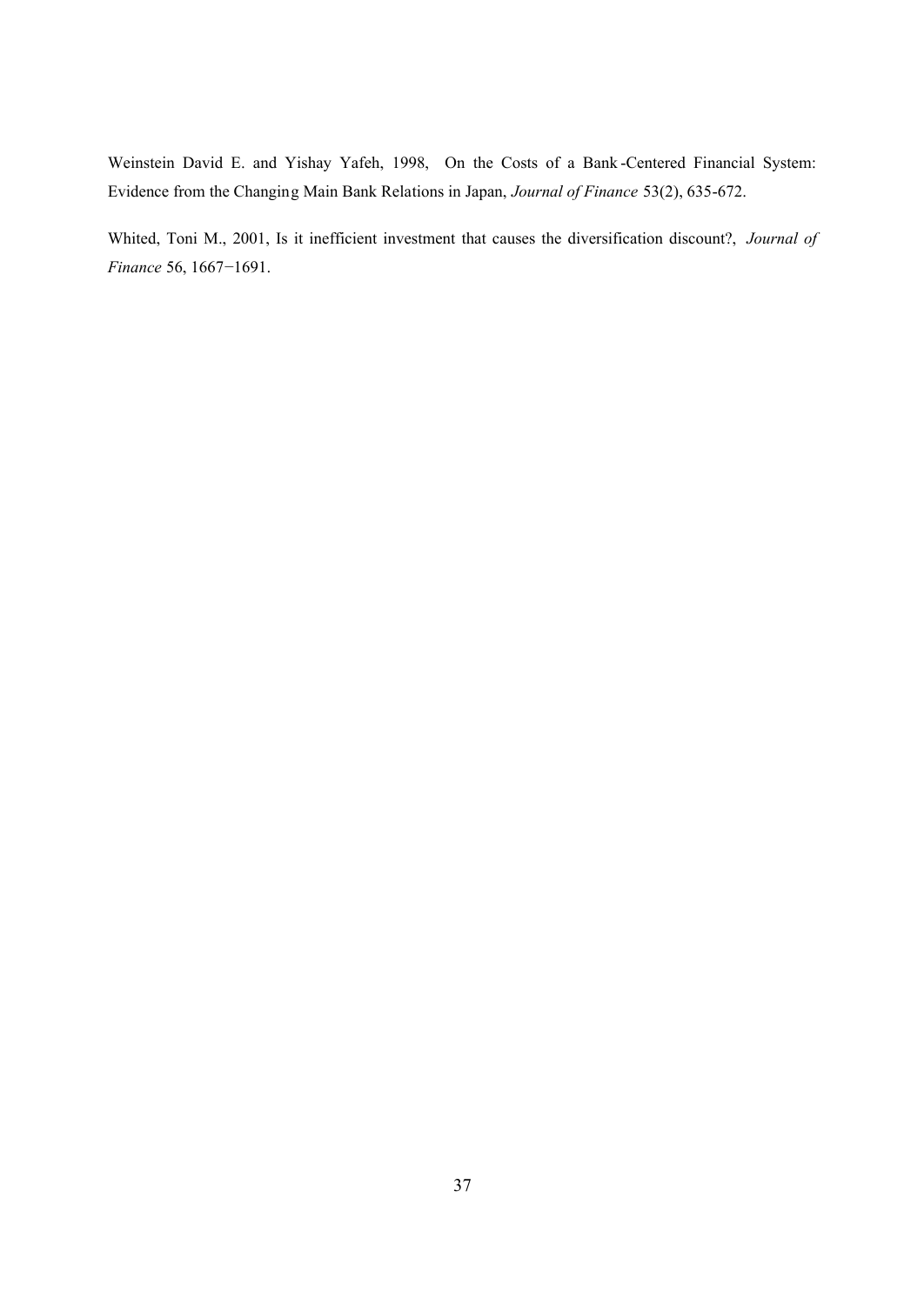Weinstein David E. and Yishay Yafeh, 1998, On the Costs of a Bank -Centered Financial System: Evidence from the Changing Main Bank Relations in Japan, *Journal of Finance* 53(2), 635-672.

Whited, Toni M., 2001, Is it inefficient investment that causes the diversification discount?, *Journal of Finance* 56, 1667−1691.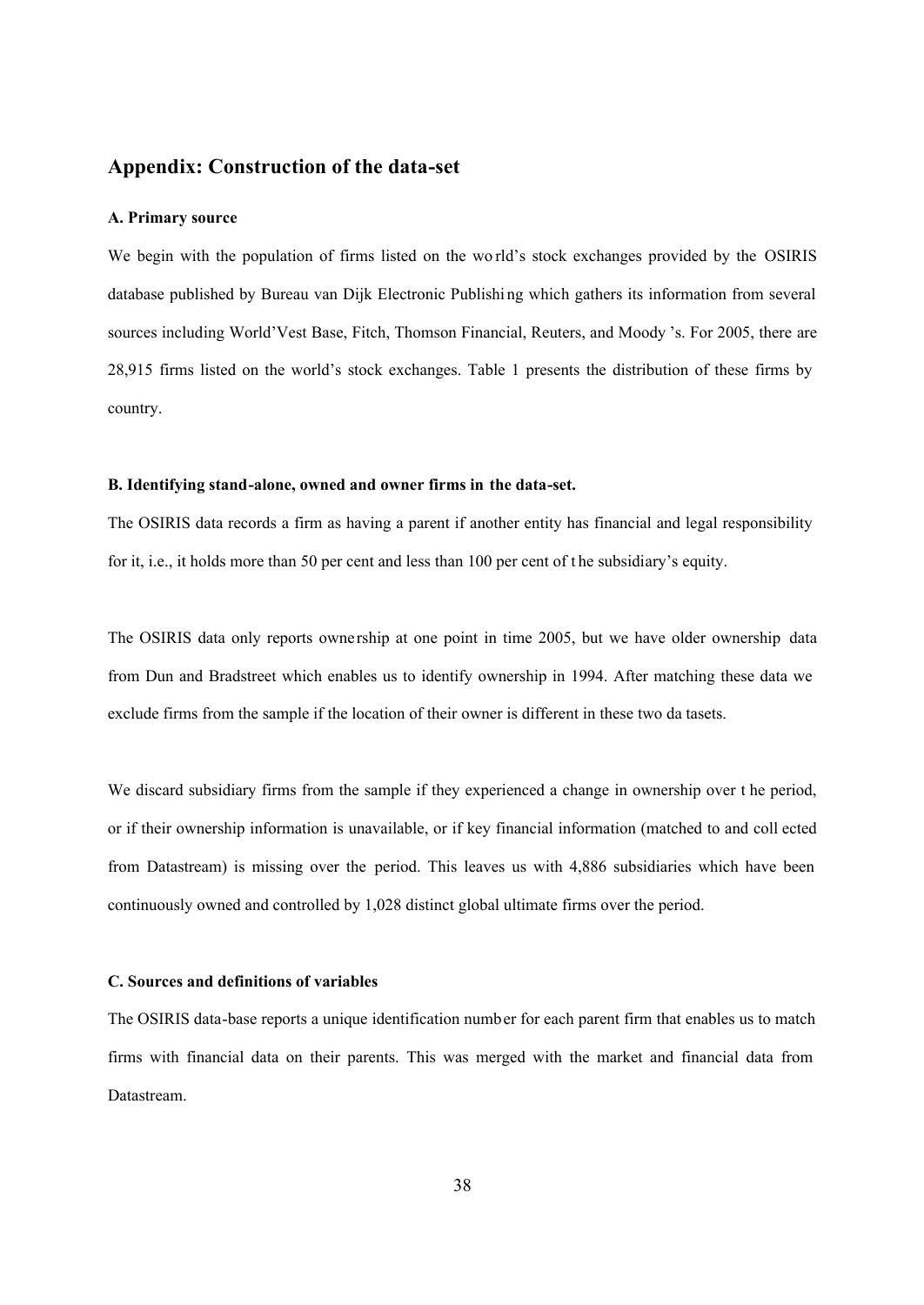## **Appendix: Construction of the data-set**

#### **A. Primary source**

We begin with the population of firms listed on the wo rld's stock exchanges provided by the OSIRIS database published by Bureau van Dijk Electronic Publishi ng which gathers its information from several sources including World'Vest Base, Fitch, Thomson Financial, Reuters, and Moody 's. For 2005, there are 28,915 firms listed on the world's stock exchanges. Table 1 presents the distribution of these firms by country.

#### **B. Identifying stand-alone, owned and owner firms in the data-set.**

The OSIRIS data records a firm as having a parent if another entity has financial and legal responsibility for it, i.e., it holds more than 50 per cent and less than 100 per cent of t he subsidiary's equity.

The OSIRIS data only reports owne rship at one point in time 2005, but we have older ownership data from Dun and Bradstreet which enables us to identify ownership in 1994. After matching these data we exclude firms from the sample if the location of their owner is different in these two da tasets.

We discard subsidiary firms from the sample if they experienced a change in ownership over t he period, or if their ownership information is unavailable, or if key financial information (matched to and coll ected from Datastream) is missing over the period. This leaves us with 4,886 subsidiaries which have been continuously owned and controlled by 1,028 distinct global ultimate firms over the period.

#### **C. Sources and definitions of variables**

The OSIRIS data-base reports a unique identification number for each parent firm that enables us to match firms with financial data on their parents. This was merged with the market and financial data from Datastream.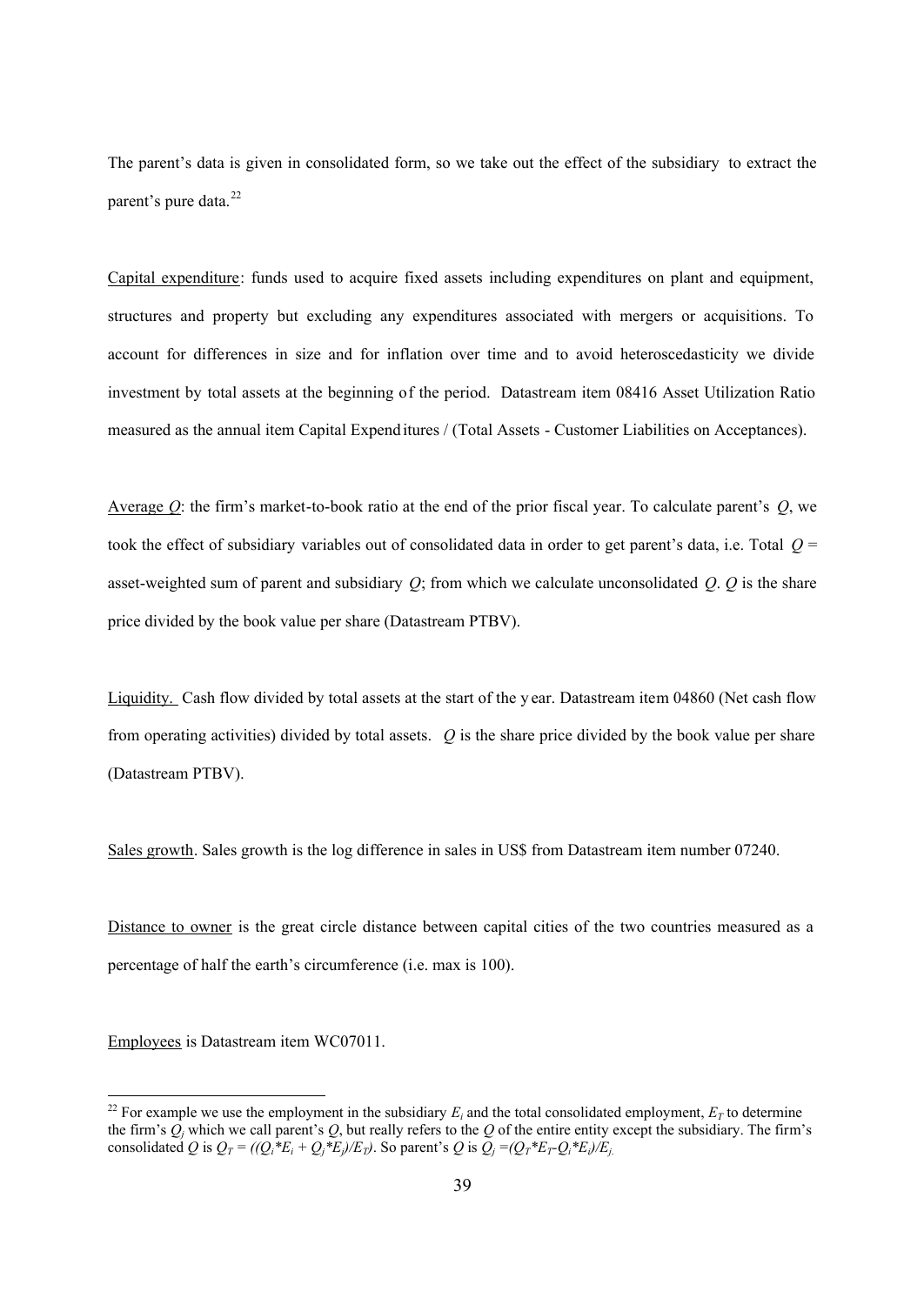The parent's data is given in consolidated form, so we take out the effect of the subsidiary to extract the parent's pure data.<sup>22</sup>

Capital expenditure: funds used to acquire fixed assets including expenditures on plant and equipment, structures and property but excluding any expenditures associated with mergers or acquisitions. To account for differences in size and for inflation over time and to avoid heteroscedasticity we divide investment by total assets at the beginning of the period. Datastream item 08416 Asset Utilization Ratio measured as the annual item Capital Expenditures / (Total Assets - Customer Liabilities on Acceptances).

Average *Q*: the firm's market-to-book ratio at the end of the prior fiscal year. To calculate parent's *Q*, we took the effect of subsidiary variables out of consolidated data in order to get parent's data, i.e. Total *Q* = asset-weighted sum of parent and subsidiary *Q*; from which we calculate unconsolidated *Q*. *Q* is the share price divided by the book value per share (Datastream PTBV).

Liquidity. Cash flow divided by total assets at the start of the y ear. Datastream item 04860 (Net cash flow from operating activities) divided by total assets. *Q* is the share price divided by the book value per share (Datastream PTBV).

Sales growth. Sales growth is the log difference in sales in US\$ from Datastream item number 07240.

Distance to owner is the great circle distance between capital cities of the two countries measured as a percentage of half the earth's circumference (i.e. max is 100).

Employees is Datastream item WC07011.

<sup>&</sup>lt;sup>22</sup> For example we use the employment in the subsidiary  $E_i$  and the total consolidated employment,  $E_T$  to determine the firm's  $Q_j$  which we call parent's  $Q$ , but really refers to the  $Q$  of the entire entity except the subsidiary. The firm's consolidated Q is  $Q_T = ((Q_i * E_i + Q_j * E_j)/E_T)$ . So parent's Q is  $Q_j = (Q_T * E_T Q_i * E_j)/E_j$ .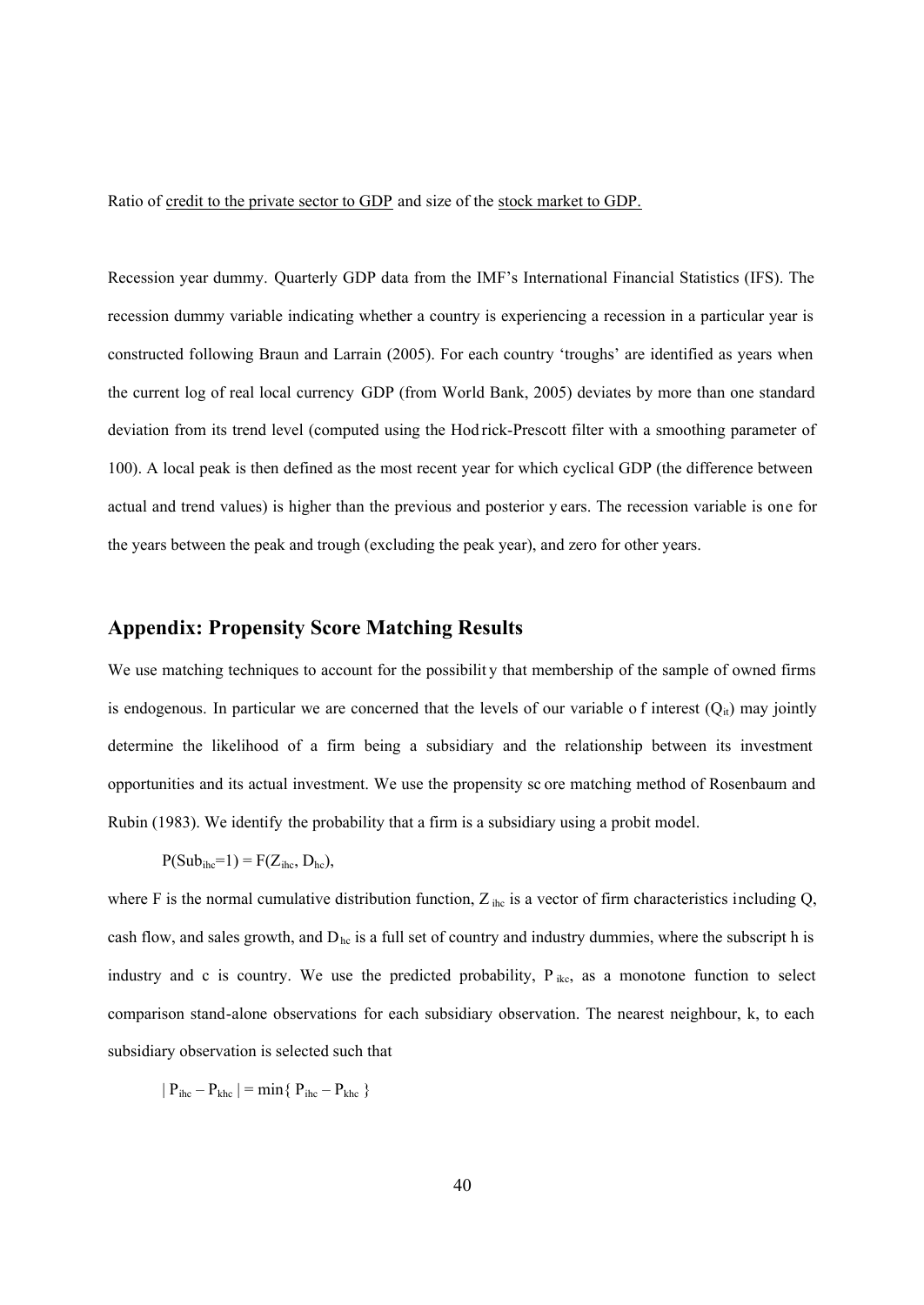Ratio of credit to the private sector to GDP and size of the stock market to GDP.

Recession year dummy. Quarterly GDP data from the IMF's International Financial Statistics (IFS). The recession dummy variable indicating whether a country is experiencing a recession in a particular year is constructed following Braun and Larrain (2005). For each country 'troughs' are identified as years when the current log of real local currency GDP (from World Bank, 2005) deviates by more than one standard deviation from its trend level (computed using the Hod rick-Prescott filter with a smoothing parameter of 100). A local peak is then defined as the most recent year for which cyclical GDP (the difference between actual and trend values) is higher than the previous and posterior y ears. The recession variable is one for the years between the peak and trough (excluding the peak year), and zero for other years.

## **Appendix: Propensity Score Matching Results**

We use matching techniques to account for the possibility that membership of the sample of owned firms is endogenous. In particular we are concerned that the levels of our variable of interest  $(Q<sub>it</sub>)$  may jointly determine the likelihood of a firm being a subsidiary and the relationship between its investment opportunities and its actual investment. We use the propensity sc ore matching method of Rosenbaum and Rubin (1983). We identify the probability that a firm is a subsidiary using a probit model.

$$
P(Sub_{ihc}=1) = F(Z_{ihc}, D_{hc}),
$$

where F is the normal cumulative distribution function,  $Z_{\text{inc}}$  is a vector of firm characteristics including Q, cash flow, and sales growth, and  $D_{hc}$  is a full set of country and industry dummies, where the subscript h is industry and c is country. We use the predicted probability,  $P_{ikc}$ , as a monotone function to select comparison stand-alone observations for each subsidiary observation. The nearest neighbour, k, to each subsidiary observation is selected such that

$$
|P_{\text{ihc}} - P_{\text{khc}}| = \min\{P_{\text{ihc}} - P_{\text{khc}}\}
$$